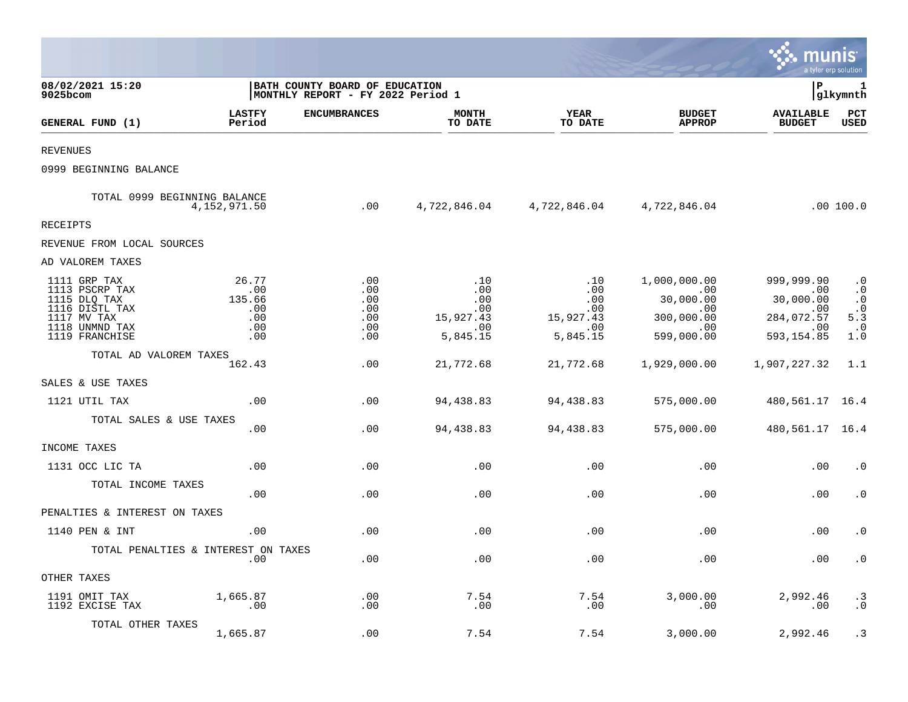|                                                                                                                     |                                                    |                                                                            |                                                          |                                                          |                                                                            | munis                                                                    | a tyler erp solution                                                        |
|---------------------------------------------------------------------------------------------------------------------|----------------------------------------------------|----------------------------------------------------------------------------|----------------------------------------------------------|----------------------------------------------------------|----------------------------------------------------------------------------|--------------------------------------------------------------------------|-----------------------------------------------------------------------------|
| 08/02/2021 15:20<br>9025bcom                                                                                        |                                                    | <b>BATH COUNTY BOARD OF EDUCATION</b><br>MONTHLY REPORT - FY 2022 Period 1 |                                                          |                                                          |                                                                            | l P                                                                      | 1<br> glkymnth                                                              |
| GENERAL FUND (1)                                                                                                    | <b>LASTFY</b><br>Period                            | <b>ENCUMBRANCES</b>                                                        | <b>MONTH</b><br>TO DATE                                  | <b>YEAR</b><br>TO DATE                                   | <b>BUDGET</b><br><b>APPROP</b>                                             | <b>AVAILABLE</b><br><b>BUDGET</b>                                        | PCT<br><b>USED</b>                                                          |
| <b>REVENUES</b>                                                                                                     |                                                    |                                                                            |                                                          |                                                          |                                                                            |                                                                          |                                                                             |
| 0999 BEGINNING BALANCE                                                                                              |                                                    |                                                                            |                                                          |                                                          |                                                                            |                                                                          |                                                                             |
| TOTAL 0999 BEGINNING BALANCE                                                                                        | 4,152,971.50                                       | .00                                                                        | 4,722,846.04                                             |                                                          | 4,722,846.04 4,722,846.04                                                  |                                                                          | .00 100.0                                                                   |
| RECEIPTS                                                                                                            |                                                    |                                                                            |                                                          |                                                          |                                                                            |                                                                          |                                                                             |
| REVENUE FROM LOCAL SOURCES                                                                                          |                                                    |                                                                            |                                                          |                                                          |                                                                            |                                                                          |                                                                             |
| AD VALOREM TAXES                                                                                                    |                                                    |                                                                            |                                                          |                                                          |                                                                            |                                                                          |                                                                             |
| 1111 GRP TAX<br>1113 PSCRP TAX<br>1115 DLQ TAX<br>1116 DISTL TAX<br>1117 MV TAX<br>1118 UNMND TAX<br>1119 FRANCHISE | 26.77<br>.00<br>135.66<br>.00<br>.00<br>.00<br>.00 | .00<br>.00<br>.00<br>.00<br>.00<br>.00<br>$.00 \,$                         | .10<br>.00<br>.00<br>.00<br>15,927.43<br>.00<br>5,845.15 | .10<br>.00<br>.00<br>.00<br>15,927.43<br>.00<br>5,845.15 | 1,000,000.00<br>.00<br>30,000.00<br>.00<br>300,000.00<br>.00<br>599,000.00 | 999,999.90<br>.00<br>30,000.00<br>.00<br>284,072.57<br>.00<br>593,154.85 | $\cdot$ 0<br>$\cdot$ 0<br>$\cdot$ 0<br>$\frac{.0}{5.3}$<br>$\cdot$ 0<br>1.0 |
| TOTAL AD VALOREM TAXES                                                                                              | 162.43                                             | .00                                                                        | 21,772.68                                                | 21,772.68                                                | 1,929,000.00                                                               | 1,907,227.32                                                             | 1.1                                                                         |
| SALES & USE TAXES                                                                                                   |                                                    |                                                                            |                                                          |                                                          |                                                                            |                                                                          |                                                                             |
| 1121 UTIL TAX                                                                                                       | .00                                                | .00                                                                        | 94,438.83                                                | 94,438.83                                                | 575,000.00                                                                 | 480, 561. 17 16. 4                                                       |                                                                             |
| TOTAL SALES & USE TAXES                                                                                             | .00                                                | .00                                                                        | 94,438.83                                                | 94,438.83                                                | 575,000.00                                                                 | 480, 561. 17 16. 4                                                       |                                                                             |
| INCOME TAXES                                                                                                        |                                                    |                                                                            |                                                          |                                                          |                                                                            |                                                                          |                                                                             |
| 1131 OCC LIC TA                                                                                                     | .00                                                | .00                                                                        | .00                                                      | .00                                                      | .00                                                                        | .00                                                                      | $\cdot$ 0                                                                   |
| TOTAL INCOME TAXES                                                                                                  | .00                                                | .00                                                                        | .00                                                      | .00                                                      | .00                                                                        | .00                                                                      | $\cdot$ 0                                                                   |
| PENALTIES & INTEREST ON TAXES                                                                                       |                                                    |                                                                            |                                                          |                                                          |                                                                            |                                                                          |                                                                             |
| 1140 PEN & INT                                                                                                      | .00                                                | .00                                                                        | .00                                                      | .00                                                      | .00                                                                        | .00                                                                      | . 0                                                                         |
| TOTAL PENALTIES & INTEREST ON TAXES                                                                                 | $.00 \,$                                           | .00                                                                        | .00                                                      | .00                                                      | .00                                                                        | .00                                                                      | $\cdot$ 0                                                                   |
| OTHER TAXES                                                                                                         |                                                    |                                                                            |                                                          |                                                          |                                                                            |                                                                          |                                                                             |
| 1191 OMIT TAX<br>1192 EXCISE TAX                                                                                    | 1,665.87<br>.00                                    | .00<br>.00                                                                 | 7.54<br>.00                                              | 7.54<br>.00                                              | 3,000.00<br>.00                                                            | 2,992.46<br>.00                                                          | $\cdot$ 3<br>$\boldsymbol{\cdot}$ 0                                         |
| TOTAL OTHER TAXES                                                                                                   | 1,665.87                                           | .00                                                                        | 7.54                                                     | 7.54                                                     | 3,000.00                                                                   | 2,992.46                                                                 | .3                                                                          |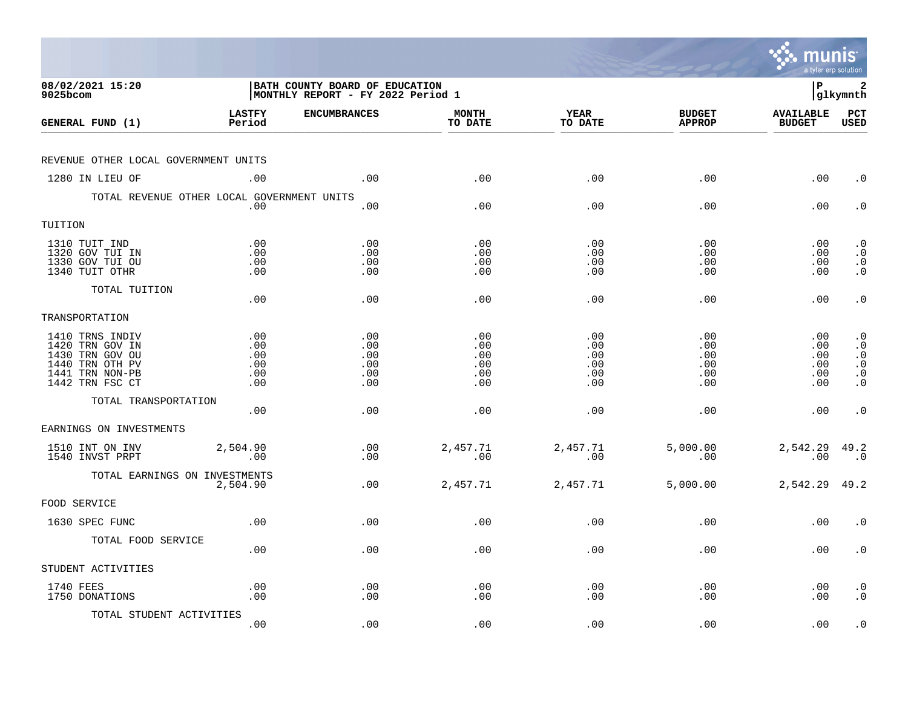|                                                                                                                |                                        |                                                                     |                                        |                                        |                                        | munis<br>a tyler erp solution               |                                                                            |
|----------------------------------------------------------------------------------------------------------------|----------------------------------------|---------------------------------------------------------------------|----------------------------------------|----------------------------------------|----------------------------------------|---------------------------------------------|----------------------------------------------------------------------------|
| 08/02/2021 15:20<br>$9025$ bcom                                                                                |                                        | BATH COUNTY BOARD OF EDUCATION<br>MONTHLY REPORT - FY 2022 Period 1 |                                        |                                        |                                        | l P                                         | 2<br> glkymnth                                                             |
| GENERAL FUND (1)                                                                                               | <b>LASTFY</b><br>Period                | <b>ENCUMBRANCES</b>                                                 | <b>MONTH</b><br>TO DATE                | YEAR<br>TO DATE                        | <b>BUDGET</b><br><b>APPROP</b>         | <b>AVAILABLE</b><br><b>BUDGET</b>           | $_{\rm PCT}$<br><b>USED</b>                                                |
| REVENUE OTHER LOCAL GOVERNMENT UNITS                                                                           |                                        |                                                                     |                                        |                                        |                                        |                                             |                                                                            |
| 1280 IN LIEU OF                                                                                                | .00                                    | .00                                                                 | .00                                    | .00                                    | .00                                    | .00                                         | $\cdot$ 0                                                                  |
| TOTAL REVENUE OTHER LOCAL GOVERNMENT UNITS                                                                     | .00                                    | .00                                                                 | .00                                    | .00                                    | .00                                    | .00                                         | $\cdot$ 0                                                                  |
| TUITION                                                                                                        |                                        |                                                                     |                                        |                                        |                                        |                                             |                                                                            |
| 1310 TUIT IND<br>1320 GOV TUI IN<br>1330 GOV TUI OU<br>1340 TUIT OTHR                                          | .00<br>.00<br>.00<br>.00               | .00<br>.00<br>.00<br>.00                                            | .00<br>.00<br>.00<br>.00               | .00<br>.00<br>.00<br>.00               | .00<br>.00<br>.00<br>.00               | $.00 \,$<br>$.00 \,$<br>.00<br>$.00 \,$     | $\cdot$ 0<br>$\cdot$ 0<br>$\, \, . \, 0 \,$                                |
| TOTAL TUITION                                                                                                  | .00                                    | .00                                                                 | .00                                    | .00                                    | .00                                    | .00                                         | $\cdot$ 0                                                                  |
| TRANSPORTATION                                                                                                 |                                        |                                                                     |                                        |                                        |                                        |                                             |                                                                            |
| 1410 TRNS INDIV<br>1420 TRN GOV IN<br>1430 TRN GOV OU<br>1440 TRN OTH PV<br>1441 TRN NON-PB<br>1442 TRN FSC CT | .00<br>.00<br>.00<br>.00<br>.00<br>.00 | .00<br>.00<br>.00<br>.00<br>.00<br>.00                              | .00<br>.00<br>.00<br>.00<br>.00<br>.00 | .00<br>.00<br>.00<br>.00<br>.00<br>.00 | .00<br>.00<br>.00<br>.00<br>.00<br>.00 | .00<br>.00<br>$.00 \,$<br>.00<br>.00<br>.00 | $\cdot$ 0<br>$\cdot$ 0<br>$\cdot$ 0<br>$\cdot$ 0<br>$\cdot$ 0<br>$\cdot$ 0 |
| TOTAL TRANSPORTATION                                                                                           | .00                                    | .00                                                                 | .00                                    | .00                                    | .00                                    | $.00 \,$                                    | $\cdot$ 0                                                                  |
| EARNINGS ON INVESTMENTS                                                                                        |                                        |                                                                     |                                        |                                        |                                        |                                             |                                                                            |
| 1510 INT ON INV<br>1540 INVST PRPT                                                                             | 2,504.90<br>.00                        | .00<br>.00                                                          | 2,457.71<br>.00                        | 2,457.71<br>.00                        | 5,000.00<br>.00                        | 2,542.29 49.2<br>.00                        | $\cdot$ 0                                                                  |
| TOTAL EARNINGS ON INVESTMENTS                                                                                  | 2,504.90                               | .00                                                                 | 2,457.71                               | 2,457.71                               | 5,000.00                               | 2,542.29                                    | 49.2                                                                       |
| FOOD SERVICE                                                                                                   |                                        |                                                                     |                                        |                                        |                                        |                                             |                                                                            |
| 1630 SPEC FUNC                                                                                                 | .00                                    | .00                                                                 | .00                                    | .00                                    | .00                                    | .00                                         | $\cdot$ 0                                                                  |
| TOTAL FOOD SERVICE                                                                                             | .00                                    | .00                                                                 | .00                                    | .00                                    | .00                                    | $.00 \,$                                    | $\cdot$ 0                                                                  |
| STUDENT ACTIVITIES                                                                                             |                                        |                                                                     |                                        |                                        |                                        |                                             |                                                                            |
| 1740 FEES<br>1750 DONATIONS                                                                                    | .00<br>.00                             | .00<br>.00                                                          | .00<br>.00                             | .00<br>.00                             | .00<br>.00                             | $.00 \,$<br>.00                             | $\cdot$ 0<br>$\cdot$ 0                                                     |
| TOTAL STUDENT ACTIVITIES                                                                                       | .00                                    | .00                                                                 | .00                                    | .00                                    | .00                                    | .00                                         | $\cdot$ 0                                                                  |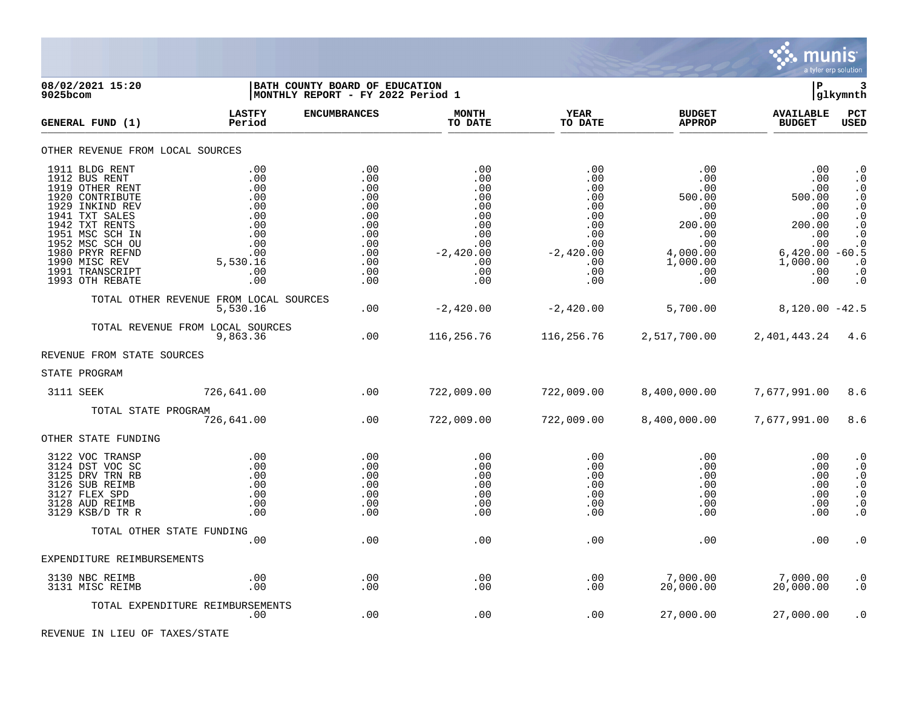

08/02/2021 15:20 **| BATH COUNTY BOARD OF EDUCATION**<br>
9025bcom **| P 3**<br>
9025bcom | MONTHLY REPORT - FY 2022 Period 1 **|MONTHLY REPORT - FY 2022 Period 1 LASTFY ENCUMBRANCES MONTH YEAR BUDGET AVAILABLE PCT GENERAL FUND (1) Period TO DATE TO DATE APPROP BUDGET USED** TO DATE THE RELIGION CONDUCT TO DATE THE RELIGION CONDUCT TO DATE THE RELIGION OF THE RELIGION OF THE RELIGION OF THE RELIGION OF THE RELIGION OF THE RELIGION OF THE RELIGION OF THE RELIGION OF THE RELIGION OF THE RELIGION OTHER REVENUE FROM LOCAL SOURCES 1911 BLDG RENT .00 .00 .00 .00 .00 .00 .0 1912 BUS RENT .00 .00 .00 .00 .00 .00 .0 1919 OTHER RENT .00 .00 .00 .00 .00 .00 .0 1920 CONTRIBUTE .00 .00 .00 .00 500.00 500.00 .0 1929 INKIND REV .00 .00 .00 .00 .00 .00 .0 1941 TXT SALES .00 .00 .00 .00 .00 .00 .0 1942 TXT RENTS .00 .00 .00 .00 200.00 200.00 .0 1951 MSC SCH IN .00 .00 .00 .00 .00 .00 .0 1952 MSC SCH OU .00 .00 .00 .00 .00 .00 .0 1980 PRYR REFND .00 .00 -2,420.00 -2,420.00 4,000.00 6,420.00 -60.5 1990 MISC REV 5,530.16 .00 .00 .00 1,000.00 1,000.00 .0 1991 TRANSCRIPT .00 .00 .00 .00 .00 .00 .0 1993 OTH REBATE .00 .00 .00 .00 .00 .00 .0 TOTAL OTHER REVENUE FROM LOCAL SOURCES  $-2,420.00$   $-2,420.00$   $-2,420.00$   $-5,700.00$   $8,120.00$   $-42.5$ TOTAL REVENUE FROM LOCAL SOURCES<br>9.863.36 9,863.36 .00 116,256.76 116,256.76 2,517,700.00 2,401,443.24 4.6 REVENUE FROM STATE SOURCES STATE PROGRAM 3111 SEEK 726,641.00 .00 722,009.00 722,009.00 8,400,000.00 7,677,991.00 8.6 TOTAL STATE PROGRAM 726,641.00 .00 722,009.00 722,009.00 8,400,000.00 7,677,991.00 8.6 OTHER STATE FUNDING 3122 VOC TRANSP .00 .00 .00 .00 .00 .00 .0 3124 DST VOC SC .00 .00 .00 .00 .00 .00 .0 3125 DRV TRN RB .00 .00 .00 .00 .00 .00 .0 3126 SUB REIMB .00 .00 .00 .00 .00 .00 .0 3127 FLEX SPD .00 .00 .00 .00 .00 .00 .0 3128 AUD REIMB .00 .00 .00 .00 .00 .00 .0 3129 KSB/D TR R .00 .00 .00 .00 .00 .00 .0 TOTAL OTHER STATE FUNDING .00 .00 .00 .00 .00 .00 .0 EXPENDITURE REIMBURSEMENTS 3130 NBC REIMB .00 .00 .00 .00 7,000.00 7,000.00 .0 3131 MISC REIMB .00 .00 .00 .00 20,000.00 20,000.00 .0 TOTAL EXPENDITURE REIMBURSEMENTS .00 .00 .00 .00 27,000.00 27,000.00 .0

REVENUE IN LIEU OF TAXES/STATE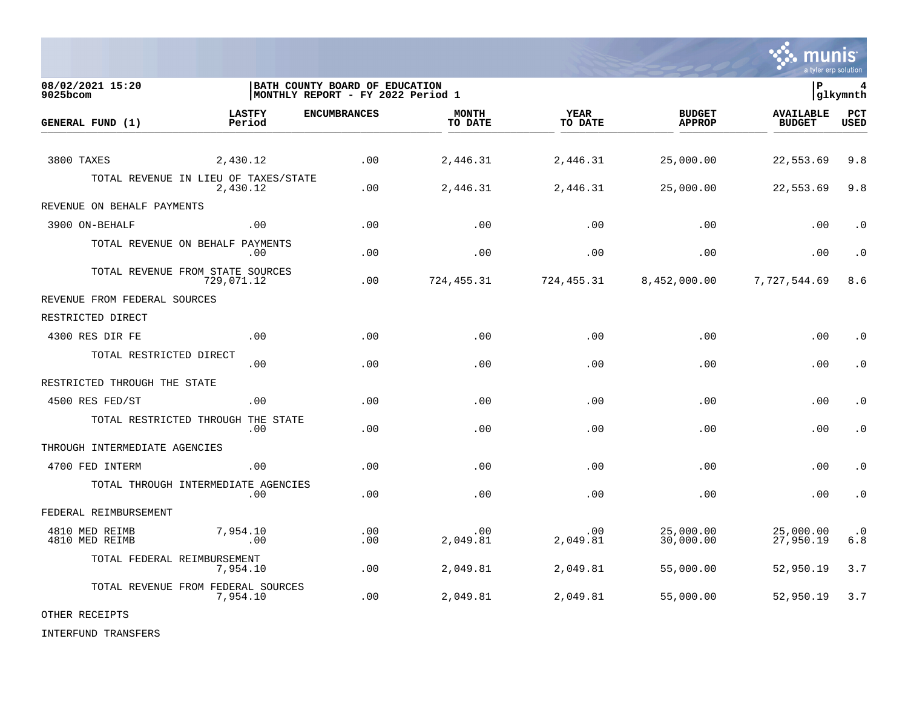

**08/02/2021 15:20 |BATH COUNTY BOARD OF EDUCATION |P 4 9025bcom |MONTHLY REPORT - FY 2022 Period 1 |glkymnth LASTFY ENCUMBRANCES MONTH YEAR BUDGET AVAILABLE PCT GENERAL FUND (1) Period TO DATE TO DATE APPROP BUDGET USED** TO DATE THE RELIGION CONDUCT TO DATE THE RELIGION CONDUCT TO DATE THE RELIGION OF THE RELIGION OF THE RELIGION OF THE RELIGION OF THE RELIGION OF THE RELIGION OF THE RELIGION OF THE RELIGION OF THE RELIGION OF THE RELIGION 3800 TAXES 2,430.12 .00 2,446.31 2,446.31 25,000.00 22,553.69 9.8 TOTAL REVENUE IN LIEU OF TAXES/STATE<br>2.430.12 2,430.12 .00 2,446.31 2,446.31 25,000.00 22,553.69 9.8 REVENUE ON BEHALF PAYMENTS 3900 ON-BEHALF .00 .00 .00 .00 .00 .00 .0 TOTAL REVENUE ON BEHALF PAYMENTS .00 .00 .00 .00 .00 .00 .0 TOTAL REVENUE FROM STATE SOURCES 729,071.12 .00 724,455.31 724,455.31 8,452,000.00 7,727,544.69 8.6 REVENUE FROM FEDERAL SOURCES RESTRICTED DIRECT 4300 RES DIR FE .00 .00 .00 .00 .00 .00 .0 TOTAL RESTRICTED DIRECT .00 .00 .00 .00 .00 .00 .0 RESTRICTED THROUGH THE STATE 4500 RES FED/ST .00 .00 .00 .00 .00 .00 .0 TOTAL RESTRICTED THROUGH THE STATE .00 .00 .00 .00 .00 .00 .0 THROUGH INTERMEDIATE AGENCIES 4700 FED INTERM .00 .00 .00 .00 .00 .00 .0 TOTAL THROUGH INTERMEDIATE AGENCIES .00 .00 .00 .00 .00 .00 .0 FEDERAL REIMBURSEMENT 4810 MED REIMB 7,954.10 .00 .00 .00 25,000.00 25,000.00 .0 4810 MED REIMB .00 .00 2,049.81 2,049.81 30,000.00 27,950.19 6.8 TOTAL FEDERAL REIMBURSEMENT 7,954.10 .00 2,049.81 2,049.81 55,000.00 52,950.19 3.7 TOTAL REVENUE FROM FEDERAL SOURCES<br>7,954.10 7,954.10 .00 2,049.81 2,049.81 55,000.00 52,950.19 3.7

OTHER RECEIPTS

INTERFUND TRANSFERS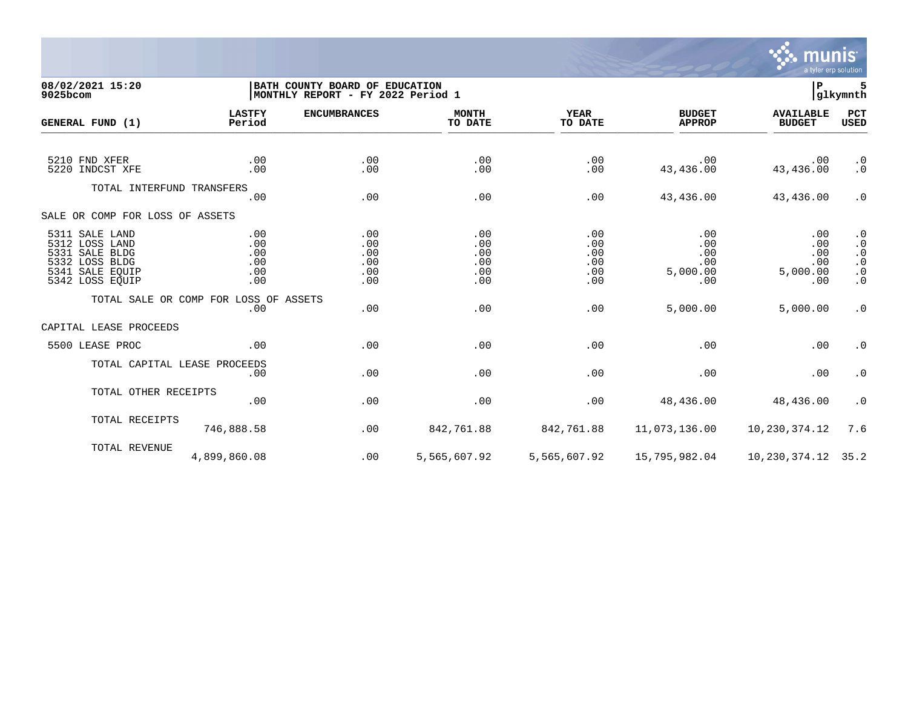

## **08/02/2021 15:20 |BATH COUNTY BOARD OF EDUCATION |P 5 9025bcom |MONTHLY REPORT - FY 2022 Period 1 |glkymnth**

| GENERAL FUND (1)                                                                                           | <b>LASTFY</b><br>Period                | <b>ENCUMBRANCES</b>                    | <b>MONTH</b><br>TO DATE                | <b>YEAR</b><br>TO DATE                 | <b>BUDGET</b><br><b>APPROP</b>              | <b>AVAILABLE</b><br><b>BUDGET</b>           | <b>PCT</b><br><b>USED</b>                                                                               |
|------------------------------------------------------------------------------------------------------------|----------------------------------------|----------------------------------------|----------------------------------------|----------------------------------------|---------------------------------------------|---------------------------------------------|---------------------------------------------------------------------------------------------------------|
| 5210 FND XFER<br>5220 INDCST XFE                                                                           | .00<br>.00                             | .00<br>.00                             | .00<br>.00                             | .00<br>.00                             | .00<br>43,436.00                            | .00<br>43, 436.00                           | $\cdot$ 0<br>$\cdot$ 0                                                                                  |
| TOTAL INTERFUND TRANSFERS                                                                                  | .00                                    | .00                                    | .00                                    | .00                                    | 43,436.00                                   | 43,436.00                                   | $\cdot$ 0                                                                                               |
| SALE OR COMP FOR LOSS OF ASSETS                                                                            |                                        |                                        |                                        |                                        |                                             |                                             |                                                                                                         |
| 5311 SALE LAND<br>5312 LOSS LAND<br>5331 SALE BLDG<br>5332 LOSS BLDG<br>5341 SALE EOUIP<br>5342 LOSS EQUIP | .00<br>.00<br>.00<br>.00<br>.00<br>.00 | .00<br>.00<br>.00<br>.00<br>.00<br>.00 | .00<br>.00<br>.00<br>.00<br>.00<br>.00 | .00<br>.00<br>.00<br>.00<br>.00<br>.00 | .00<br>.00<br>.00<br>.00<br>5,000.00<br>.00 | .00<br>.00<br>.00<br>.00<br>5,000.00<br>.00 | $\cdot$ 0<br>$\cdot$ 0<br>$\cdot$ 0<br>$\begin{smallmatrix} 0 \\ 0 \\ 0 \end{smallmatrix}$<br>$\cdot$ 0 |
|                                                                                                            | TOTAL SALE OR COMP FOR LOSS OF ASSETS  |                                        |                                        |                                        |                                             |                                             |                                                                                                         |
| CAPITAL LEASE PROCEEDS                                                                                     | .00                                    | .00                                    | .00                                    | .00                                    | 5,000.00                                    | 5,000.00                                    | $\cdot$ 0                                                                                               |
| 5500 LEASE PROC                                                                                            | .00                                    | .00                                    | .00                                    | .00                                    | .00                                         | .00                                         | $\cdot$ 0                                                                                               |
| TOTAL CAPITAL LEASE PROCEEDS                                                                               | .00                                    | .00                                    | .00                                    | .00                                    | .00                                         | .00                                         | $\cdot$ 0                                                                                               |
| TOTAL OTHER RECEIPTS                                                                                       | .00                                    | .00                                    | .00                                    | .00                                    | 48,436.00                                   | 48,436.00                                   | $\cdot$ 0                                                                                               |
| TOTAL RECEIPTS                                                                                             | 746,888.58                             | .00                                    | 842,761.88                             | 842,761.88                             | 11,073,136.00                               | 10,230,374.12                               | 7.6                                                                                                     |
| TOTAL REVENUE                                                                                              | 4,899,860.08                           | .00                                    | 5,565,607.92                           | 5,565,607.92                           | 15,795,982.04                               | 10,230,374.12                               | 35.2                                                                                                    |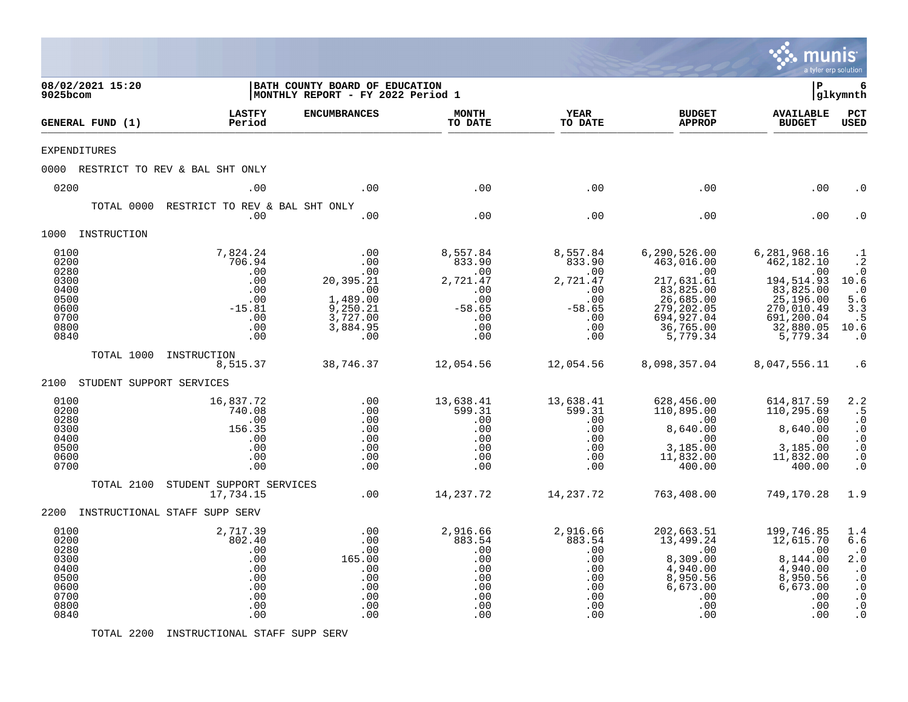|                                                                              |                          |                                                                                 |                                                                                              |                                                                                      |                                                                                      |                                                                                                                                      | $mu$ numis<br>a tyler erp solution                                                                                                |                                                                                                              |
|------------------------------------------------------------------------------|--------------------------|---------------------------------------------------------------------------------|----------------------------------------------------------------------------------------------|--------------------------------------------------------------------------------------|--------------------------------------------------------------------------------------|--------------------------------------------------------------------------------------------------------------------------------------|-----------------------------------------------------------------------------------------------------------------------------------|--------------------------------------------------------------------------------------------------------------|
| 9025bcom                                                                     | 08/02/2021 15:20         |                                                                                 | BATH COUNTY BOARD OF EDUCATION<br>MONTHLY REPORT - FY 2022 Period 1                          |                                                                                      |                                                                                      |                                                                                                                                      | ΙP                                                                                                                                | 6<br> glkymnth                                                                                               |
|                                                                              | GENERAL FUND (1)         | <b>LASTFY</b><br>Period                                                         | <b>ENCUMBRANCES</b>                                                                          | <b>MONTH</b><br>TO DATE                                                              | YEAR<br>TO DATE                                                                      | <b>BUDGET</b><br><b>APPROP</b>                                                                                                       | <b>AVAILABLE</b><br><b>BUDGET</b>                                                                                                 | $_{\rm PCT}$<br>USED                                                                                         |
| <b>EXPENDITURES</b>                                                          |                          |                                                                                 |                                                                                              |                                                                                      |                                                                                      |                                                                                                                                      |                                                                                                                                   |                                                                                                              |
|                                                                              |                          | 0000 RESTRICT TO REV & BAL SHT ONLY                                             |                                                                                              |                                                                                      |                                                                                      |                                                                                                                                      |                                                                                                                                   |                                                                                                              |
| 0200                                                                         |                          | .00                                                                             | .00                                                                                          | .00                                                                                  | .00                                                                                  | .00                                                                                                                                  | .00                                                                                                                               | . ດ                                                                                                          |
|                                                                              | TOTAL 0000               | RESTRICT TO REV & BAL SHT ONLY<br>.00                                           | .00                                                                                          | .00                                                                                  | .00                                                                                  | .00                                                                                                                                  | .00                                                                                                                               | . 0                                                                                                          |
|                                                                              | 1000 INSTRUCTION         |                                                                                 |                                                                                              |                                                                                      |                                                                                      |                                                                                                                                      |                                                                                                                                   |                                                                                                              |
| 0100<br>0200<br>0280<br>0300<br>0400<br>0500<br>0600<br>0700<br>0800<br>0840 |                          | 7,824.24<br>706.94<br>.00<br>.00<br>.00<br>.00<br>$-15.81$<br>.00<br>.00<br>.00 | .00<br>.00<br>.00<br>20,395.21<br>.00<br>1,489.00<br>9,250.21<br>3,727.00<br>3,884.95<br>.00 | 8,557.84<br>833.90<br>.00<br>2,721.47<br>.00<br>.00<br>$-58.65$<br>.00<br>.00<br>.00 | 8,557.84<br>833.90<br>.00<br>2,721.47<br>.00<br>.00<br>$-58.65$<br>.00<br>.00<br>.00 | 6, 290, 526.00<br>463,016.00<br>.00<br>217,631.61<br>83,825.00<br>$26,685.00$<br>279, 202.05<br>694, 927.04<br>36,765.00<br>5,779.34 | 6, 281, 968.16<br>462,182.10<br>.00<br>194,514.93<br>83,825.00<br>25, 196.00<br>270,010.49<br>691,200.04<br>32,880.05<br>5,779.34 | .1<br>$\ddot{\cdot}$ 2<br>$\cdot$ 0<br>10.6<br>$\cdot$ 0<br>5.6<br>3.3<br>.5<br>10.6<br>$\cdot$ 0            |
|                                                                              | TOTAL 1000               | INSTRUCTION<br>8,515.37                                                         | 38,746.37                                                                                    | 12,054.56                                                                            | 12,054.56                                                                            | 8,098,357.04                                                                                                                         | 8,047,556.11                                                                                                                      | . 6                                                                                                          |
| 2100                                                                         | STUDENT SUPPORT SERVICES |                                                                                 |                                                                                              |                                                                                      |                                                                                      |                                                                                                                                      |                                                                                                                                   |                                                                                                              |
| 0100<br>0200<br>0280<br>0300<br>0400<br>0500<br>0600<br>0700                 |                          | 16,837.72<br>740.08<br>.00<br>156.35<br>.00<br>.00<br>.00<br>.00                | .00<br>.00<br>.00<br>.00<br>.00<br>.00<br>.00<br>.00                                         | 13,638.41<br>599.31<br>.00<br>.00<br>.00<br>.00<br>.00<br>.00                        | 13,638.41<br>599.31<br>.00<br>.00<br>.00<br>.00<br>.00<br>.00                        | 628,456.00<br>110,895.00<br>.00<br>8,640.00<br>.00<br>3,185.00<br>11,832.00<br>400.00                                                | 614,817.59<br>110,295.69<br>$\overline{\phantom{0}}$ .00<br>8,640.00<br>.00<br>3,185.00<br>11,832.00<br>400.00                    | 2.2<br>. 5<br>$\cdot$ 0<br>$\cdot$ 0<br>$\cdot$ 0<br>$\cdot$ 0<br>$\cdot$ 0<br>$\cdot$ 0                     |
|                                                                              | TOTAL 2100               | STUDENT SUPPORT SERVICES<br>17,734.15                                           | .00                                                                                          | 14,237.72                                                                            | 14,237.72                                                                            | 763,408.00                                                                                                                           | 749,170.28                                                                                                                        | 1.9                                                                                                          |
|                                                                              |                          | 2200 INSTRUCTIONAL STAFF SUPP SERV                                              |                                                                                              |                                                                                      |                                                                                      |                                                                                                                                      |                                                                                                                                   |                                                                                                              |
| 0100<br>0200<br>0280<br>0300<br>0400<br>0500<br>0600<br>0700<br>0800<br>0840 |                          | 2,717.39<br>802.40<br>.00<br>.00<br>.00<br>.00<br>.00<br>.00<br>.00<br>.00      | .00<br>.00<br>.00<br>165.00<br>.00<br>.00<br>.00<br>.00<br>.00<br>.00                        | 2,916.66<br>883.54<br>.00<br>.00<br>.00<br>.00<br>.00<br>.00<br>.00<br>.00           | 2,916.66<br>883.54<br>.00<br>.00<br>.00<br>.00<br>.00<br>.00<br>.00<br>.00           | 202,663.51<br>13,499.24<br>.00<br>8,309.00<br>4,940.00<br>8,950.56<br>6,673.00<br>.00<br>.00<br>.00                                  | 199,746.85<br>12,615.70<br>.00<br>8,144.00<br>4,940.00<br>8,950.56<br>6,673.00<br>.00<br>.00<br>.00                               | 1.4<br>6.6<br>$\cdot$ 0<br>2.0<br>$\cdot$ 0<br>$\cdot$ 0<br>$\cdot$ 0<br>$\cdot$ 0<br>$\cdot$ 0<br>$\cdot$ 0 |

TOTAL 2200 INSTRUCTIONAL STAFF SUPP SERV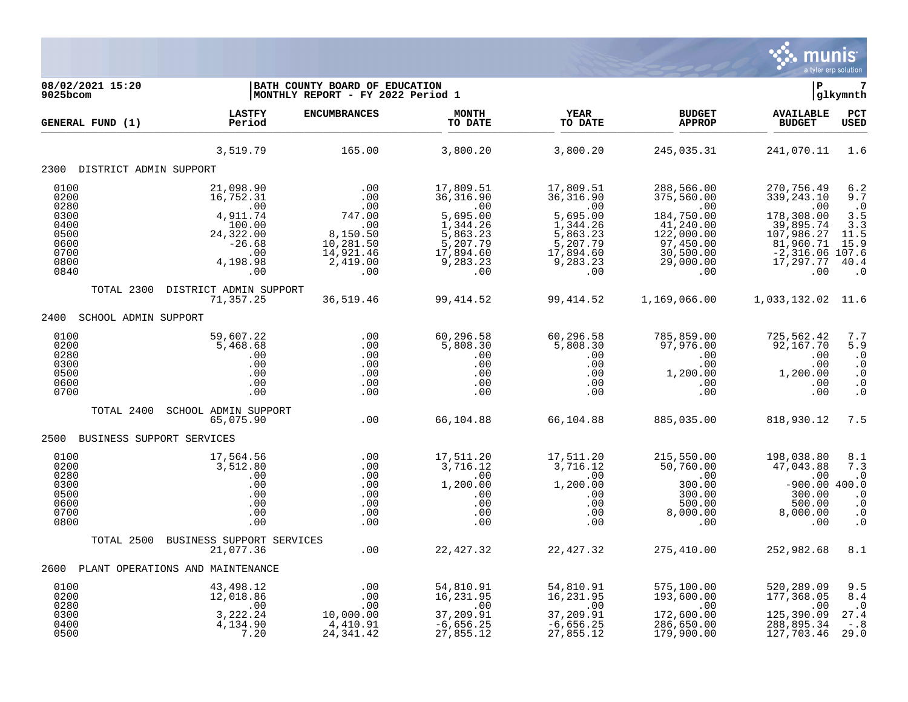

**08/02/2021 15:20 |BATH COUNTY BOARD OF EDUCATION |P 7 9025bcom |MONTHLY REPORT - FY 2022 Period 1 |glkymnth LASTFY ENCUMBRANCES MONTH YEAR BUDGET AVAILABLE PCT GENERAL FUND (1) Period TO DATE TO DATE APPROP BUDGET USED** TO DATE THE RELIGION CONDUCT TO DATE THE RELIGION CONDUCT TO DATE THE RELIGION OF THE RELIGION OF THE RELIGION OF THE RELIGION OF THE RELIGION OF THE RELIGION OF THE RELIGION OF THE RELIGION OF THE RELIGION OF THE RELIGION 3,519.79 165.00 3,800.20 3,800.20 245,035.31 241,070.11 1.6 2300 DISTRICT ADMIN SUPPORT 0100 21,098.90 .00 17,809.51 17,809.51 288,566.00 270,756.49 6.2 0200 16,752.31 .00 36,316.90 36,316.90 375,560.00 339,243.10 9.7 0280 .00 .00 .00 .00 .00 .00 .0 0300 4,911.74 747.00 5,695.00 5,695.00 184,750.00 178,308.00 3.5 0400 100.00 .00 1,344.26 1,344.26 41,240.00 39,895.74 3.3 0500 24,322.00 8,150.50 5,863.23 5,863.23 122,000.00 107,986.27 11.5 0600 -26.68 10,281.50 5,207.79 5,207.79 97,450.00 81,960.71 15.9 0700 .00 14,921.46 17,894.60 17,894.60 30,500.00 -2,316.06 107.6 0800 4,198.98 2,419.00 9,283.23 9,283.23 29,000.00 17,297.77 40.4 0840 .00 .00 .00 .00 .00 .00 .0 TOTAL 2300 DISTRICT ADMIN SUPPORT 71,357.25 36,519.46 99,414.52 99,414.52 1,169,066.00 1,033,132.02 11.6 2400 SCHOOL ADMIN SUPPORT 0100 59,607.22 .00 60,296.58 60,296.58 785,859.00 725,562.42 7.7 0200 5,468.68 .00 5,808.30 5,808.30 97,976.00 92,167.70 5.9 0280 .00 .00 .00 .00 .00 .00 .0 0300 .00 .00 .00 .00 .00 .00 .0 0500 .00 .00 .00 .00 1,200.00 1,200.00 .0 0600 .00 .00 .00 .00 .00 .00 .0 0700 .00 .00 .00 .00 .00 .00 .0 TOTAL 2400 SCHOOL ADMIN SUPPORT 65,075.90 .00 66,104.88 66,104.88 885,035.00 818,930.12 7.5 2500 BUSINESS SUPPORT SERVICES 0100 17,564.56 .00 17,511.20 17,511.20 215,550.00 198,038.80 8.1 0200 3,512.80 .00 3,716.12 3,716.12 50,760.00 47,043.88 7.3 0280 .00 .00 .00 .00 .00 .00 .0 0300 .00 .00 1,200.00 1,200.00 300.00 -900.00 400.0 0500 .00 .00 .00 .00 300.00 300.00 .0 0600 .00 .00 .00 .00 500.00 500.00 .0 0700 .00 .00 .00 .00 8,000.00 8,000.00 .0 0800 .00 .00 .00 .00 .00 .00 .0 TOTAL 2500 BUSINESS SUPPORT SERVICES 21,077.36 .00 22,427.32 22,427.32 275,410.00 252,982.68 8.1 2600 PLANT OPERATIONS AND MAINTENANCE 0100 43,498.12 .00 54,810.91 54,810.91 575,100.00 520,289.09 9.5 0200 12,018.86 .00 16,231.95 16,231.95 193,600.00 177,368.05 8.4 0280 .00 .00 .00 .00 .00 .00 .0 0300 3,222.24 10,000.00 37,209.91 37,209.91 172,600.00 125,390.09 27.4 0400 4,134.90 4,410.91 -6,656.25 -6,656.25 286,650.00 288,895.34 -.8

0500 7.20 24,341.42 27,855.12 27,855.12 179,900.00 127,703.46 29.0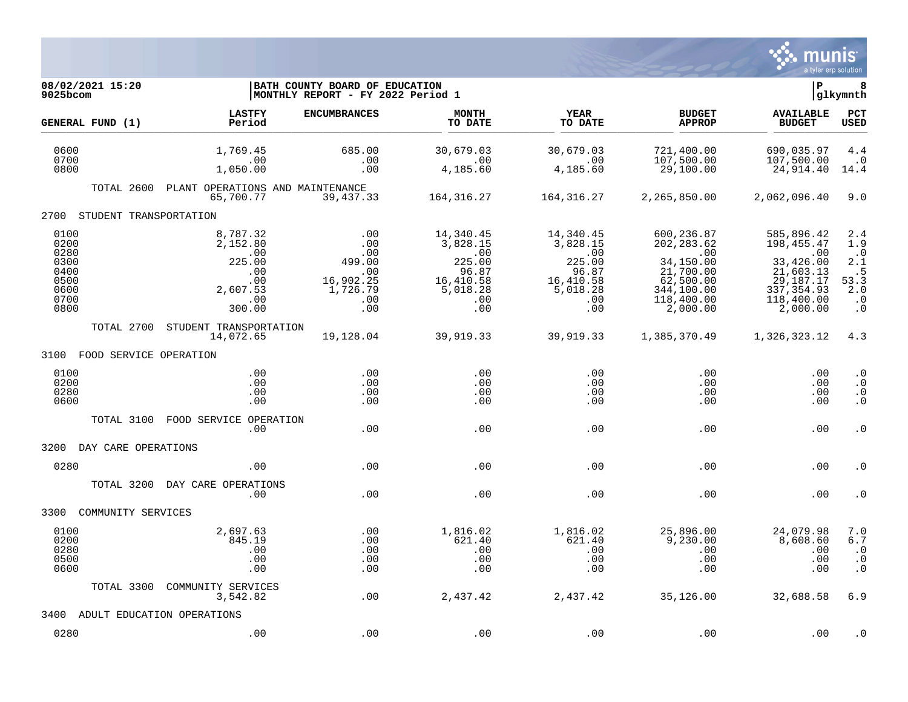

| 08/02/2021 15:20<br>9025bcom                                         |                                                                                       | BATH COUNTY BOARD OF EDUCATION<br> MONTHLY REPORT - FY 2022 Period 1           |                                                                                        |                                                                                               |                                                                                                                 | lР                                                                                                                | 8<br> glkymnth                                                                       |
|----------------------------------------------------------------------|---------------------------------------------------------------------------------------|--------------------------------------------------------------------------------|----------------------------------------------------------------------------------------|-----------------------------------------------------------------------------------------------|-----------------------------------------------------------------------------------------------------------------|-------------------------------------------------------------------------------------------------------------------|--------------------------------------------------------------------------------------|
| GENERAL FUND (1)                                                     | <b>LASTFY</b><br>Period                                                               | <b>ENCUMBRANCES</b>                                                            | <b>MONTH</b><br>TO DATE                                                                | YEAR<br>TO DATE                                                                               | <b>BUDGET</b><br><b>APPROP</b>                                                                                  | <b>AVAILABLE</b><br><b>BUDGET</b>                                                                                 | <b>PCT</b><br><b>USED</b>                                                            |
| 0600<br>0700<br>0800                                                 | 1,769.45<br>.00<br>1,050.00                                                           | 685.00<br>.00<br>.00                                                           | 30,679.03<br>.00<br>4,185.60                                                           | 30,679.03<br>.00<br>4,185.60                                                                  | 721,400.00<br>107,500.00<br>29,100.00                                                                           | 690,035.97<br>107,500.00<br>24,914.40                                                                             | 4.4<br>$\cdot$ 0<br>14.4                                                             |
| TOTAL 2600                                                           | PLANT OPERATIONS AND MAINTENANCE<br>65,700.77                                         | 39,437.33                                                                      | 164,316.27                                                                             | 164,316.27                                                                                    | 2,265,850.00                                                                                                    | 2,062,096.40                                                                                                      | 9.0                                                                                  |
| 2700                                                                 | STUDENT TRANSPORTATION                                                                |                                                                                |                                                                                        |                                                                                               |                                                                                                                 |                                                                                                                   |                                                                                      |
| 0100<br>0200<br>0280<br>0300<br>0400<br>0500<br>0600<br>0700<br>0800 | 8,787.32<br>2,152.80<br>$\,$ .00<br>225.00<br>.00<br>.00<br>2,607.53<br>.00<br>300.00 | .00<br>.00<br>.00<br>499.00<br>.00<br>16,902.25<br>1,726.79<br>$.00 \,$<br>.00 | 14,340.45<br>3,828.15<br>.00<br>225.00<br>96.87<br>16,410.58<br>5,018.28<br>.00<br>.00 | 14,340.45<br>3,828.15<br>$\cdot$ 00<br>225.00<br>96.87<br>16,410.58<br>5,018.28<br>.00<br>.00 | 600,236.87<br>202, 283.62<br>.00<br>34,150.00<br>21,700.00<br>62,500.00<br>344,100.00<br>118,400.00<br>2,000.00 | 585,896.42<br>198, 455. 47<br>.00<br>33,426.00<br>21,603.13<br>29,187.17<br>337, 354.93<br>118,400.00<br>2,000.00 | 2.4<br>1.9<br>$\cdot$ 0<br>2.1<br>$\cdot$ 5<br>53.3<br>2.0<br>$\cdot$ 0<br>$\cdot$ 0 |
| TOTAL 2700                                                           | STUDENT TRANSPORTATION<br>14,072.65                                                   | 19,128.04                                                                      | 39,919.33                                                                              | 39,919.33                                                                                     | 1,385,370.49                                                                                                    | 1,326,323.12                                                                                                      | 4.3                                                                                  |
| 3100                                                                 | FOOD SERVICE OPERATION                                                                |                                                                                |                                                                                        |                                                                                               |                                                                                                                 |                                                                                                                   |                                                                                      |
| 0100<br>0200<br>0280<br>0600                                         | .00<br>.00<br>.00<br>.00                                                              | .00<br>.00<br>.00<br>.00                                                       | .00<br>.00<br>.00<br>.00                                                               | .00<br>.00<br>.00<br>.00                                                                      | .00<br>.00<br>.00<br>.00                                                                                        | .00<br>.00<br>.00<br>.00                                                                                          | $\cdot$ 0<br>$\cdot$ 0<br>$\cdot$ 0<br>$\cdot$ 0                                     |
| TOTAL 3100                                                           | FOOD SERVICE OPERATION<br>.00                                                         | .00                                                                            | .00                                                                                    | .00                                                                                           | .00                                                                                                             | .00                                                                                                               | $\cdot$ 0                                                                            |
| 3200<br>DAY CARE OPERATIONS                                          |                                                                                       |                                                                                |                                                                                        |                                                                                               |                                                                                                                 |                                                                                                                   |                                                                                      |
| 0280                                                                 | .00                                                                                   | .00                                                                            | .00                                                                                    | .00                                                                                           | .00                                                                                                             | .00                                                                                                               | . 0                                                                                  |
| TOTAL 3200                                                           | DAY CARE OPERATIONS<br>.00                                                            | .00                                                                            | .00                                                                                    | .00                                                                                           | .00                                                                                                             | .00                                                                                                               | . 0                                                                                  |
| 3300<br>COMMUNITY SERVICES                                           |                                                                                       |                                                                                |                                                                                        |                                                                                               |                                                                                                                 |                                                                                                                   |                                                                                      |
| 0100<br>0200<br>0280<br>0500<br>0600                                 | 2,697.63<br>845.19<br>.00<br>.00<br>.00                                               | .00<br>.00<br>.00<br>.00<br>.00                                                | 1,816.02<br>621.40<br>.00<br>.00<br>.00                                                | 1,816.02<br>621.40<br>.00<br>.00<br>.00                                                       | 25,896.00<br>9,230.00<br>.00<br>.00<br>.00                                                                      | 24,079.98<br>8,608.60<br>.00<br>.00<br>.00                                                                        | 7.0<br>6.7<br>$\cdot$ 0<br>$\cdot$ 0<br>$\cdot$ 0                                    |
| TOTAL 3300                                                           | COMMUNITY SERVICES<br>3,542.82                                                        | .00                                                                            | 2,437.42                                                                               | 2,437.42                                                                                      | 35,126.00                                                                                                       | 32,688.58                                                                                                         | 6.9                                                                                  |
| 3400                                                                 | ADULT EDUCATION OPERATIONS                                                            |                                                                                |                                                                                        |                                                                                               |                                                                                                                 |                                                                                                                   |                                                                                      |
| 0280                                                                 | .00                                                                                   | .00                                                                            | .00                                                                                    | .00                                                                                           | .00                                                                                                             | .00                                                                                                               | $\cdot$ 0                                                                            |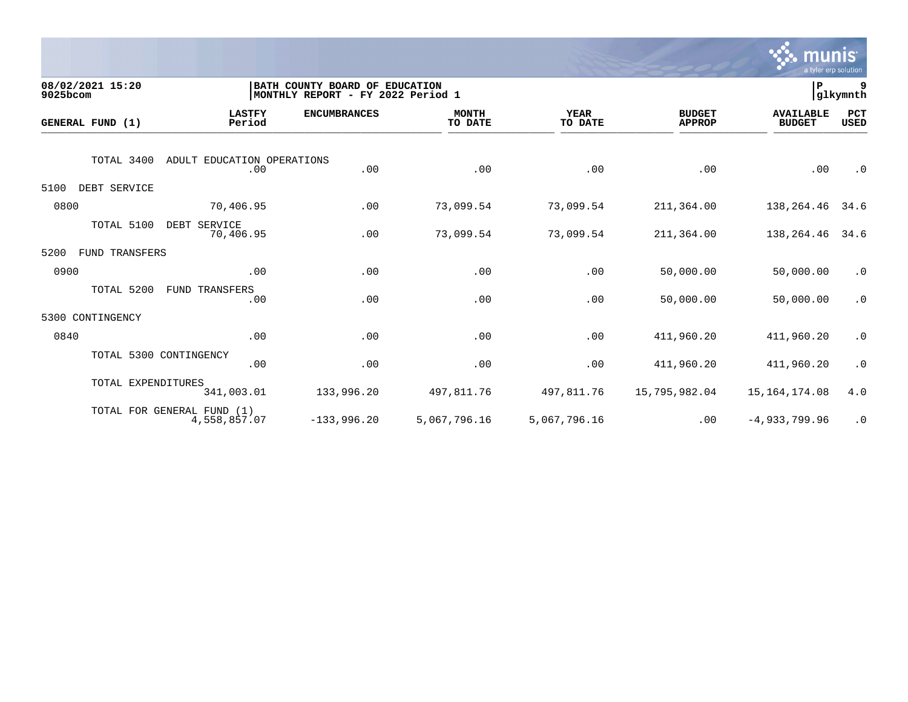

| 9025bcom | 08/02/2021 15:20       |                                            | BATH COUNTY BOARD OF EDUCATION<br>MONTHLY REPORT - FY 2022 Period 1 |                         |                        |                                | ∣P                                | 9<br>glkymnth      |
|----------|------------------------|--------------------------------------------|---------------------------------------------------------------------|-------------------------|------------------------|--------------------------------|-----------------------------------|--------------------|
|          | GENERAL FUND (1)       | <b>LASTFY</b><br>Period                    | <b>ENCUMBRANCES</b>                                                 | <b>MONTH</b><br>TO DATE | <b>YEAR</b><br>TO DATE | <b>BUDGET</b><br><b>APPROP</b> | <b>AVAILABLE</b><br><b>BUDGET</b> | PCT<br><b>USED</b> |
|          | TOTAL 3400             | ADULT EDUCATION OPERATIONS<br>.00          | .00                                                                 | .00                     | .00                    | .00                            | .00                               | $\cdot$ 0          |
| 5100     | DEBT SERVICE           |                                            |                                                                     |                         |                        |                                |                                   |                    |
| 0800     |                        | 70,406.95                                  | .00                                                                 | 73,099.54               | 73,099.54              | 211,364.00                     | 138,264.46                        | 34.6               |
|          | TOTAL 5100             | DEBT SERVICE<br>70,406.95                  | .00                                                                 | 73,099.54               | 73,099.54              | 211,364.00                     | 138,264.46                        | 34.6               |
| 5200     | FUND TRANSFERS         |                                            |                                                                     |                         |                        |                                |                                   |                    |
| 0900     |                        | .00                                        | .00                                                                 | .00                     | .00                    | 50,000.00                      | 50,000.00                         | $\cdot$ 0          |
|          | TOTAL 5200             | TRANSFERS<br>FUND<br>.00                   | .00                                                                 | .00                     | .00                    | 50,000.00                      | 50,000.00                         | $\cdot$ 0          |
| 5300     | CONTINGENCY            |                                            |                                                                     |                         |                        |                                |                                   |                    |
| 0840     |                        | .00                                        | .00                                                                 | .00                     | .00                    | 411,960.20                     | 411,960.20                        | $\cdot$ 0          |
|          | TOTAL 5300 CONTINGENCY | .00                                        | .00                                                                 | .00                     | .00                    | 411,960.20                     | 411,960.20                        | $\cdot$ 0          |
|          | TOTAL EXPENDITURES     | 341,003.01                                 | 133,996.20                                                          | 497,811.76              | 497,811.76             | 15,795,982.04                  | 15, 164, 174.08                   | 4.0                |
|          |                        | TOTAL FOR GENERAL FUND (1)<br>4,558,857.07 | $-133,996.20$                                                       | 5,067,796.16            | 5,067,796.16           | .00                            | $-4,933,799.96$                   | $\cdot$ 0          |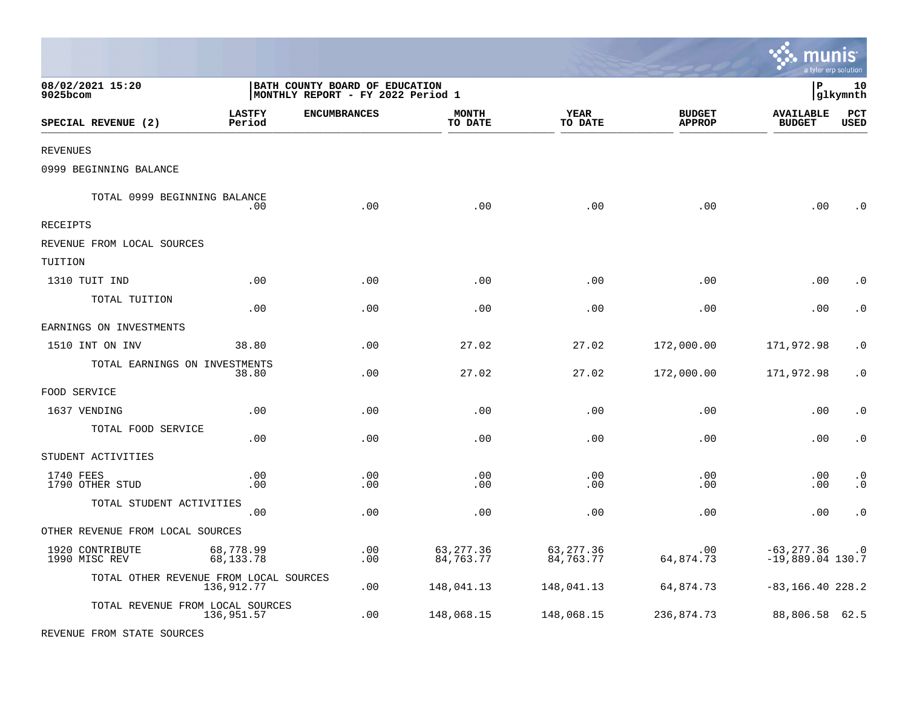|                                        |                         |                                                                     |                         |                         |                                | munis                               | a tyler erp solution   |
|----------------------------------------|-------------------------|---------------------------------------------------------------------|-------------------------|-------------------------|--------------------------------|-------------------------------------|------------------------|
| 08/02/2021 15:20<br>9025bcom           |                         | BATH COUNTY BOARD OF EDUCATION<br>MONTHLY REPORT - FY 2022 Period 1 |                         |                         |                                | l P                                 | 10<br> glkymnth        |
| SPECIAL REVENUE (2)                    | <b>LASTFY</b><br>Period | <b>ENCUMBRANCES</b>                                                 | <b>MONTH</b><br>TO DATE | <b>YEAR</b><br>TO DATE  | <b>BUDGET</b><br><b>APPROP</b> | <b>AVAILABLE</b><br><b>BUDGET</b>   | PCT<br><b>USED</b>     |
| <b>REVENUES</b>                        |                         |                                                                     |                         |                         |                                |                                     |                        |
| 0999 BEGINNING BALANCE                 |                         |                                                                     |                         |                         |                                |                                     |                        |
| TOTAL 0999 BEGINNING BALANCE           | .00.                    | .00                                                                 | .00                     | .00                     | .00                            | .00                                 | $\cdot$ 0              |
| RECEIPTS                               |                         |                                                                     |                         |                         |                                |                                     |                        |
| REVENUE FROM LOCAL SOURCES             |                         |                                                                     |                         |                         |                                |                                     |                        |
| TUITION                                |                         |                                                                     |                         |                         |                                |                                     |                        |
| 1310 TUIT IND                          | .00                     | .00                                                                 | .00                     | .00                     | .00                            | .00                                 | . 0                    |
| TOTAL TUITION                          | .00                     | .00                                                                 | .00                     | .00                     | .00                            | .00                                 | $\cdot$ 0              |
| EARNINGS ON INVESTMENTS                |                         |                                                                     |                         |                         |                                |                                     |                        |
| 1510 INT ON INV                        | 38.80                   | .00                                                                 | 27.02                   | 27.02                   | 172,000.00                     | 171,972.98                          | $\cdot$ 0              |
| TOTAL EARNINGS ON INVESTMENTS          | 38.80                   | .00                                                                 | 27.02                   | 27.02                   | 172,000.00                     | 171,972.98                          | $\cdot$ 0              |
| FOOD SERVICE                           |                         |                                                                     |                         |                         |                                |                                     |                        |
| 1637 VENDING                           | .00                     | .00                                                                 | .00                     | .00                     | .00                            | .00                                 | $\cdot$ 0              |
| TOTAL FOOD SERVICE                     | .00                     | .00                                                                 | .00                     | .00                     | .00                            | .00                                 | $\cdot$ 0              |
| STUDENT ACTIVITIES                     |                         |                                                                     |                         |                         |                                |                                     |                        |
| 1740 FEES<br>1790 OTHER STUD           | .00<br>.00              | .00<br>.00                                                          | .00<br>.00              | .00<br>.00              | .00<br>.00                     | .00<br>.00                          | $\cdot$ 0<br>$\cdot$ 0 |
| TOTAL STUDENT ACTIVITIES               | .00                     | .00                                                                 | .00                     | .00                     | .00                            | .00                                 | $\boldsymbol{\cdot}$ 0 |
| OTHER REVENUE FROM LOCAL SOURCES       |                         |                                                                     |                         |                         |                                |                                     |                        |
| 1920 CONTRIBUTE<br>1990 MISC REV       | 68,778.99<br>68,133.78  | .00<br>.00                                                          | 63, 277.36<br>84,763.77 | 63, 277.36<br>84,763.77 | .00<br>64,874.73               | $-63, 277.36$<br>$-19,889.04$ 130.7 | $\cdot$ 0              |
| TOTAL OTHER REVENUE FROM LOCAL SOURCES | 136,912.77              | .00                                                                 | 148,041.13              | 148,041.13              | 64,874.73                      | $-83, 166.40 228.2$                 |                        |
| TOTAL REVENUE FROM LOCAL SOURCES       | 136,951.57              | .00                                                                 | 148,068.15              | 148,068.15              | 236,874.73                     | 88,806.58                           | 62.5                   |
| REVENUE FROM STATE SOURCES             |                         |                                                                     |                         |                         |                                |                                     |                        |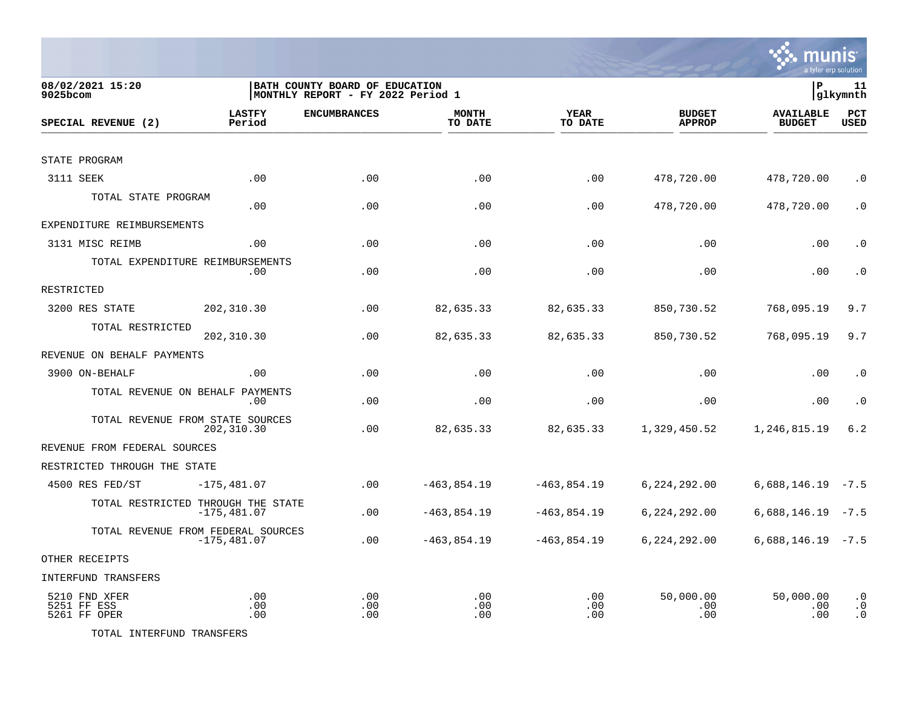

| 08/02/2021 15:20<br>$9025$ bcom              |                         | BATH COUNTY BOARD OF EDUCATION<br> MONTHLY REPORT - FY 2022 Period 1 |                         |                        |                                | P                                 | 11<br>glkymnth                      |
|----------------------------------------------|-------------------------|----------------------------------------------------------------------|-------------------------|------------------------|--------------------------------|-----------------------------------|-------------------------------------|
| SPECIAL REVENUE (2)                          | <b>LASTFY</b><br>Period | <b>ENCUMBRANCES</b>                                                  | <b>MONTH</b><br>TO DATE | <b>YEAR</b><br>TO DATE | <b>BUDGET</b><br><b>APPROP</b> | <b>AVAILABLE</b><br><b>BUDGET</b> | PCT<br><b>USED</b>                  |
|                                              |                         |                                                                      |                         |                        |                                |                                   |                                     |
| STATE PROGRAM                                |                         |                                                                      |                         |                        |                                |                                   |                                     |
| 3111 SEEK                                    | .00                     | .00                                                                  | .00                     | .00                    | 478,720.00                     | 478,720.00                        | $\cdot$ 0                           |
| TOTAL STATE PROGRAM                          | .00                     | .00                                                                  | .00                     | .00                    | 478,720.00                     | 478,720.00                        | $\cdot$ 0                           |
| EXPENDITURE REIMBURSEMENTS                   |                         |                                                                      |                         |                        |                                |                                   |                                     |
| 3131 MISC REIMB                              | .00                     | .00                                                                  | .00                     | .00                    | .00                            | .00                               | $\cdot$ 0                           |
| TOTAL EXPENDITURE REIMBURSEMENTS             | .00.                    | .00                                                                  | .00                     | .00                    | .00                            | .00                               | $\cdot$ 0                           |
| RESTRICTED                                   |                         |                                                                      |                         |                        |                                |                                   |                                     |
| 3200 RES STATE                               | 202,310.30              | .00                                                                  | 82,635.33               | 82,635.33              | 850,730.52                     | 768,095.19                        | 9.7                                 |
| TOTAL RESTRICTED                             | 202,310.30              | .00                                                                  | 82,635.33               | 82,635.33              | 850,730.52                     | 768,095.19                        | 9.7                                 |
| REVENUE ON BEHALF PAYMENTS                   |                         |                                                                      |                         |                        |                                |                                   |                                     |
| 3900 ON-BEHALF                               | .00                     | .00                                                                  | .00                     | .00                    | .00                            | .00                               | $\cdot$ 0                           |
| TOTAL REVENUE ON BEHALF PAYMENTS             | .00                     | .00                                                                  | .00                     | .00                    | .00                            | .00                               | $\cdot$ 0                           |
| TOTAL REVENUE FROM STATE SOURCES             | 202,310.30              | .00                                                                  | 82,635.33               | 82,635.33              | 1,329,450.52                   | 1,246,815.19                      | $6.2$                               |
| REVENUE FROM FEDERAL SOURCES                 |                         |                                                                      |                         |                        |                                |                                   |                                     |
| RESTRICTED THROUGH THE STATE                 |                         |                                                                      |                         |                        |                                |                                   |                                     |
| 4500 RES FED/ST                              | $-175,481.07$           | .00                                                                  | $-463,854.19$           | $-463,854.19$          | 6,224,292.00                   | $6,688,146.19 -7.5$               |                                     |
| TOTAL RESTRICTED THROUGH THE STATE           | $-175, 481.07$          | .00                                                                  | $-463,854.19$           | $-463,854.19$          | 6, 224, 292.00                 | 6,688,146.19                      | $-7.5$                              |
| TOTAL REVENUE FROM FEDERAL SOURCES           | $-175,481.07$           | .00                                                                  | $-463,854.19$           | $-463,854.19$          | 6,224,292.00                   | $6,688,146.19 -7.5$               |                                     |
| OTHER RECEIPTS                               |                         |                                                                      |                         |                        |                                |                                   |                                     |
| INTERFUND TRANSFERS                          |                         |                                                                      |                         |                        |                                |                                   |                                     |
| 5210 FND XFER<br>5251 FF ESS<br>5261 FF OPER | .00<br>.00<br>.00       | .00<br>.00<br>.00                                                    | .00<br>.00<br>.00       | .00.<br>.00<br>.00     | 50,000.00<br>.00<br>.00        | 50,000.00<br>.00<br>.00           | $\cdot$ 0<br>$\cdot$ 0<br>$\cdot$ 0 |

TOTAL INTERFUND TRANSFERS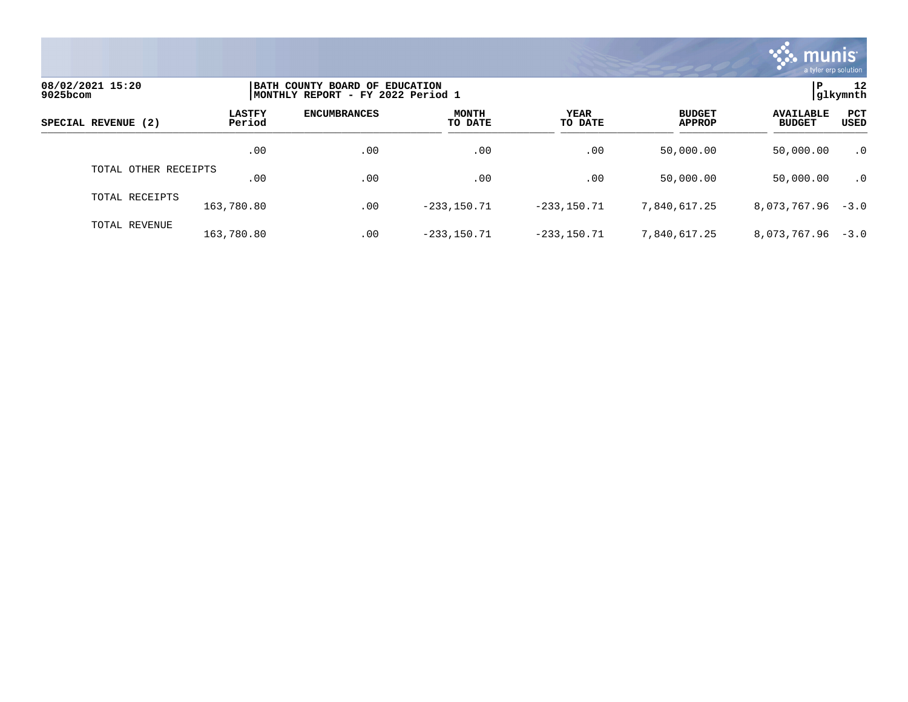

| 08/02/2021 15:20<br>9025bcom |                         | BATH COUNTY BOARD OF EDUCATION<br> MONTHLY REPORT - FY 2022 Period 1 |                         |                 |                                |                                   |             |  |
|------------------------------|-------------------------|----------------------------------------------------------------------|-------------------------|-----------------|--------------------------------|-----------------------------------|-------------|--|
| SPECIAL REVENUE (2)          | <b>LASTFY</b><br>Period | <b>ENCUMBRANCES</b>                                                  | <b>MONTH</b><br>TO DATE | YEAR<br>TO DATE | <b>BUDGET</b><br><b>APPROP</b> | <b>AVAILABLE</b><br><b>BUDGET</b> | PCT<br>USED |  |
|                              | .00                     | .00                                                                  | .00                     | .00             | 50,000.00                      | 50,000.00                         | $\cdot$ 0   |  |
| TOTAL OTHER RECEIPTS         | .00                     | .00                                                                  | .00                     | .00             | 50,000.00                      | 50,000.00                         | $\cdot$ 0   |  |
| TOTAL RECEIPTS               | 163,780.80              | .00                                                                  | $-233, 150.71$          | $-233.150.71$   | 7,840,617.25                   | 8,073,767.96                      | $-3.0$      |  |
| TOTAL REVENUE                | 163,780.80              | .00                                                                  | $-233, 150.71$          | $-233.150.71$   | 7,840,617.25                   | $8,073,767.96 - 3.0$              |             |  |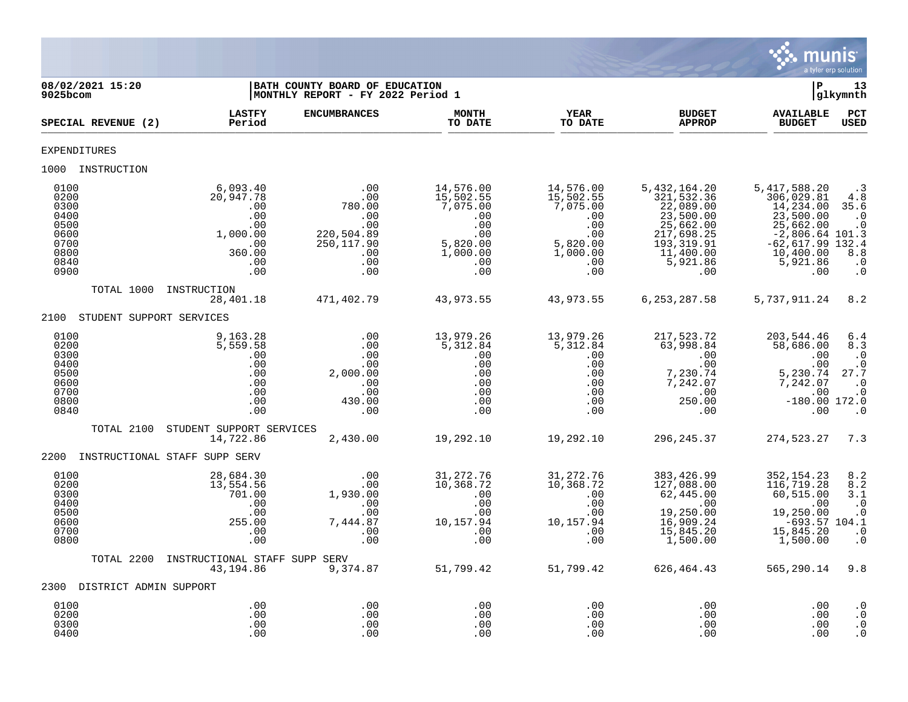

| 08/02/2021 15:20<br>$9025$ bcom                                              |                                                                                       | BATH COUNTY BOARD OF EDUCATION<br>MONTHLY REPORT - FY 2022 Period 1                  |                                                                                               |                                                                                                   | l P                                                                                                                           | 13<br> glkymnth                                                                                                                              |                                                                                     |  |
|------------------------------------------------------------------------------|---------------------------------------------------------------------------------------|--------------------------------------------------------------------------------------|-----------------------------------------------------------------------------------------------|---------------------------------------------------------------------------------------------------|-------------------------------------------------------------------------------------------------------------------------------|----------------------------------------------------------------------------------------------------------------------------------------------|-------------------------------------------------------------------------------------|--|
| SPECIAL REVENUE (2)                                                          | <b>LASTFY</b><br>Period                                                               | <b>ENCUMBRANCES</b>                                                                  | <b>MONTH</b><br>TO DATE                                                                       | <b>YEAR</b><br>TO DATE                                                                            | <b>BUDGET</b><br><b>APPROP</b>                                                                                                | <b>AVAILABLE</b><br><b>BUDGET</b>                                                                                                            | PCT<br><b>USED</b>                                                                  |  |
| EXPENDITURES                                                                 |                                                                                       |                                                                                      |                                                                                               |                                                                                                   |                                                                                                                               |                                                                                                                                              |                                                                                     |  |
| 1000 INSTRUCTION                                                             |                                                                                       |                                                                                      |                                                                                               |                                                                                                   |                                                                                                                               |                                                                                                                                              |                                                                                     |  |
| 0100<br>0200<br>0300<br>0400<br>0500<br>0600<br>0700<br>0800<br>0840<br>0900 | 6,093.40<br>20,947.78<br>.00<br>.00<br>.00<br>1,000.00<br>.00<br>360.00<br>.00<br>.00 | .00<br>.00<br>780.00<br>.00<br>.00<br>220,504.89<br>250, 117.90<br>.00<br>.00<br>.00 | 14,576.00<br>15,502.55<br>7,075.00<br>.00<br>.00<br>.00<br>5,820.00<br>1,000.00<br>.00<br>.00 | 14,576.00<br>15,502.55<br>7,075.00<br>.00<br>.00<br>.00<br>$5,820.00$<br>$1,000.00$<br>.00<br>.00 | 5,432,164.20<br>321,532.36<br>22,089.00<br>23,500.00<br>25,662.00<br>217,698.25<br>193,319.91<br>11,400.00<br>5,921.86<br>.00 | 5,417,588.20<br>306,029.81<br>14,234.00<br>23,500.00<br>25,662.00<br>$-2,806.64$ 101.3<br>$-62,617.99$ 132.4<br>10,400.00<br>5,921.86<br>.00 | $\cdot$ 3<br>4.8<br>35.6<br>$\cdot$ 0<br>$\cdot$ 0<br>8.8<br>$\cdot$ 0<br>$\cdot$ 0 |  |
| TOTAL 1000                                                                   | INSTRUCTION<br>28,401.18                                                              | 471,402.79                                                                           | 43,973.55                                                                                     | 43,973.55                                                                                         | 6, 253, 287.58                                                                                                                | 5,737,911.24                                                                                                                                 | 8.2                                                                                 |  |
| STUDENT SUPPORT SERVICES<br>2100                                             |                                                                                       |                                                                                      |                                                                                               |                                                                                                   |                                                                                                                               |                                                                                                                                              |                                                                                     |  |
| 0100<br>0200<br>0300<br>0400<br>0500<br>0600<br>0700<br>0800<br>0840         | 9,163.28<br>5,559.58<br>.00<br>.00<br>.00<br>.00<br>.00<br>.00<br>.00                 | .00<br>.00<br>.00<br>.00<br>2,000.00<br>.00<br>.00<br>430.00<br>.00                  | 13,979.26<br>5,312.84<br>.00<br>.00<br>.00<br>.00<br>.00<br>.00<br>.00                        | 13,979.26<br>5,312.84<br>.00<br>.00<br>.00<br>.00<br>.00<br>.00<br>.00                            | 217,523.72<br>63,998.84<br>.00<br>.00<br>7,230.74<br>7,242.07<br>.00<br>250.00<br>.00                                         | 203,544.46<br>58,686.00<br>.00<br>.00<br>5,230.74<br>7,242.07<br>.00<br>$-180.00$ 172.0<br>.00                                               | 6.4<br>8.3<br>$\cdot$ 0<br>$\cdot$ 0<br>27.7<br>$\cdot$ 0<br>$\cdot$ 0<br>$\cdot$ 0 |  |
| TOTAL 2100                                                                   | STUDENT SUPPORT SERVICES<br>14,722.86                                                 | 2,430.00                                                                             | 19,292.10                                                                                     | 19,292.10                                                                                         | 296,245.37                                                                                                                    | 274,523.27                                                                                                                                   | 7.3                                                                                 |  |
| 2200                                                                         | INSTRUCTIONAL STAFF SUPP SERV                                                         |                                                                                      |                                                                                               |                                                                                                   |                                                                                                                               |                                                                                                                                              |                                                                                     |  |
| 0100<br>0200<br>0300<br>0400<br>0500<br>0600<br>0700<br>0800                 | 28,684.30<br>13,554.56<br>701.00<br>.00<br>.00<br>255.00<br>.00<br>.00                | .00<br>.00<br>1,930.00<br>.00<br>.00<br>7,444.87<br>.00<br>.00                       | 31, 272. 76<br>10,368.72<br>.00<br>.00<br>.00<br>10,157.94<br>.00<br>.00                      | 31,272.76<br>10,368.72<br>.00<br>.00<br>.00<br>10,157.94<br>.00<br>.00                            | 383, 426.99<br>127,088.00<br>62,445.00<br>.00<br>19,250.00<br>16,909.24<br>15,845.20<br>1,500.00                              | 352, 154.23<br>116,719.28<br>60,515.00<br>.00<br>19,250.00<br>$-693.57$ $104.1$<br>15,845.20<br>1,500.00                                     | 8.2<br>8.2<br>3.1<br>$\cdot$ 0<br>$\cdot$ 0<br>$\cdot$ 0<br>$\cdot$ 0               |  |
| TOTAL 2200                                                                   | INSTRUCTIONAL STAFF SUPP SERV<br>43,194.86                                            | 9,374.87                                                                             | 51,799.42                                                                                     | 51,799.42                                                                                         | 626,464.43                                                                                                                    | 565,290.14                                                                                                                                   | 9.8                                                                                 |  |
| 2300 DISTRICT ADMIN SUPPORT                                                  |                                                                                       |                                                                                      |                                                                                               |                                                                                                   |                                                                                                                               |                                                                                                                                              |                                                                                     |  |
| 0100<br>0200<br>0300<br>0400                                                 | .00<br>.00<br>.00<br>.00                                                              | .00<br>.00<br>.00<br>.00                                                             | .00<br>.00<br>.00<br>.00                                                                      | .00<br>.00<br>.00<br>.00                                                                          | .00<br>.00<br>.00<br>.00                                                                                                      | .00<br>.00<br>.00<br>.00                                                                                                                     | $\cdot$ 0<br>$\cdot$ 0<br>$\cdot$ 0<br>$\cdot$ 0                                    |  |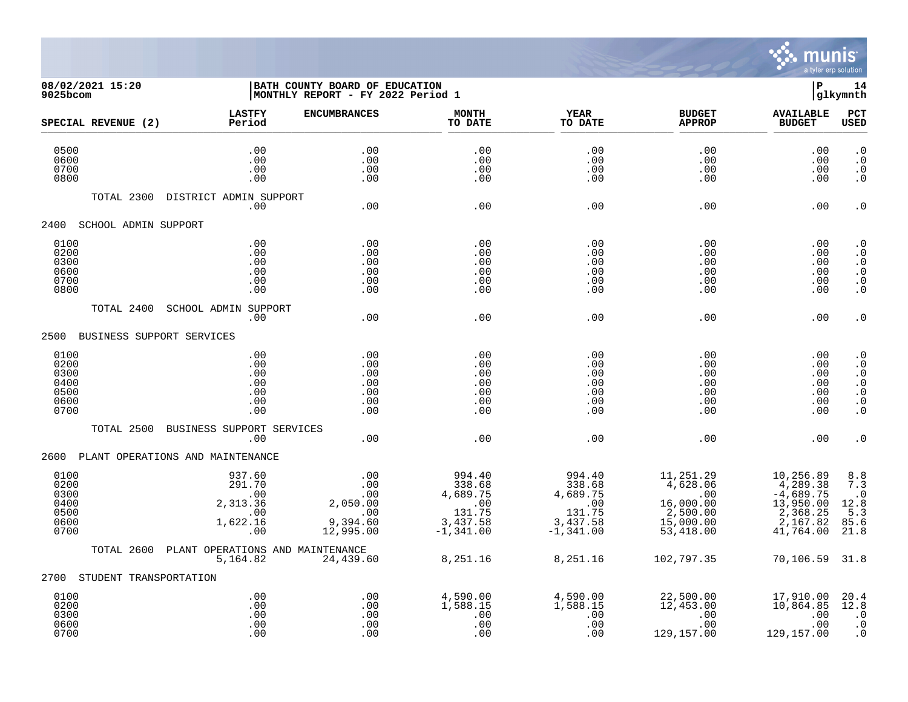

## **08/02/2021 15:20 |BATH COUNTY BOARD OF EDUCATION |P 14 9025bcom |MONTHLY REPORT - FY 2022 Period 1 |glkymnth**

| SPECIAL REVENUE (2)                                  | <b>LASTFY</b><br>Period                                       | <b>ENCUMBRANCES</b>                                           | <b>MONTH</b><br>TO DATE                                                  | <b>YEAR</b><br>TO DATE                                                   | <b>BUDGET</b><br><b>APPROP</b>                                                                 | <b>AVAILABLE</b><br><b>BUDGET</b>                                                      | <b>PCT</b><br><b>USED</b>                                                                      |
|------------------------------------------------------|---------------------------------------------------------------|---------------------------------------------------------------|--------------------------------------------------------------------------|--------------------------------------------------------------------------|------------------------------------------------------------------------------------------------|----------------------------------------------------------------------------------------|------------------------------------------------------------------------------------------------|
| 0500<br>0600<br>0700<br>0800                         | .00<br>.00<br>.00<br>.00                                      | .00<br>.00<br>.00<br>.00                                      | .00<br>.00<br>.00<br>.00                                                 | .00<br>.00<br>.00<br>.00                                                 | .00<br>.00<br>.00<br>.00                                                                       | .00<br>.00<br>.00<br>.00                                                               | $\cdot$ 0<br>$\cdot$ 0<br>$\cdot$ 0<br>$\cdot$ 0                                               |
| TOTAL 2300                                           | DISTRICT ADMIN SUPPORT<br>.00                                 | .00                                                           | .00                                                                      | .00                                                                      | .00                                                                                            | .00                                                                                    | $\cdot$ 0                                                                                      |
| 2400<br>SCHOOL ADMIN SUPPORT                         |                                                               |                                                               |                                                                          |                                                                          |                                                                                                |                                                                                        |                                                                                                |
| 0100<br>0200<br>0300<br>0600<br>0700<br>0800         | .00<br>.00<br>.00<br>.00<br>.00<br>.00                        | .00<br>.00<br>.00<br>.00<br>.00<br>.00                        | .00<br>.00<br>.00<br>.00<br>.00<br>.00                                   | .00<br>.00<br>.00<br>.00<br>.00<br>.00                                   | .00<br>.00<br>.00<br>.00<br>.00<br>.00                                                         | .00<br>.00<br>.00<br>.00<br>.00<br>.00                                                 | $\cdot$ 0<br>$\cdot$ 0<br>$\cdot$ 0<br>$\cdot$ 0<br>$\boldsymbol{\cdot}$ 0<br>$\cdot$ 0        |
| TOTAL 2400                                           | <b>SCHOOL ADMIN SUPPORT</b><br>.00                            | .00                                                           | .00                                                                      | .00                                                                      | .00                                                                                            | .00                                                                                    | $\cdot$ 0                                                                                      |
| 2500 BUSINESS SUPPORT SERVICES                       |                                                               |                                                               |                                                                          |                                                                          |                                                                                                |                                                                                        |                                                                                                |
| 0100<br>0200<br>0300<br>0400<br>0500<br>0600<br>0700 | .00<br>.00<br>.00<br>.00<br>.00<br>.00<br>.00                 | .00<br>.00<br>.00<br>.00<br>.00<br>.00<br>.00                 | .00<br>.00<br>.00<br>.00<br>.00<br>.00<br>.00                            | .00<br>.00<br>.00<br>.00<br>.00<br>.00<br>.00                            | .00<br>.00<br>.00<br>.00<br>.00<br>.00<br>.00                                                  | .00<br>.00<br>.00<br>.00<br>.00<br>.00<br>.00                                          | $\cdot$ 0<br>$\cdot$ 0<br>$\cdot$ 0<br>. 0<br>$\cdot$ 0<br>$\boldsymbol{\cdot}$ 0<br>$\cdot$ 0 |
| TOTAL 2500                                           | BUSINESS SUPPORT SERVICES<br>.00                              | .00                                                           | .00                                                                      | .00                                                                      | .00                                                                                            | .00                                                                                    | $\cdot$ 0                                                                                      |
| 2600                                                 | PLANT OPERATIONS AND MAINTENANCE                              |                                                               |                                                                          |                                                                          |                                                                                                |                                                                                        |                                                                                                |
| 0100<br>0200<br>0300<br>0400<br>0500<br>0600<br>0700 | 937.60<br>291.70<br>.00<br>2,313.36<br>.00<br>1,622.16<br>.00 | .00<br>.00<br>.00<br>2,050.00<br>.00<br>9,394.60<br>12,995.00 | 994.40<br>338.68<br>4,689.75<br>.00<br>131.75<br>$3,437.58$<br>-1,341.00 | 994.40<br>338.68<br>4,689.75<br>.00<br>131.75<br>3,437.58<br>$-1,341.00$ | 11,251.29<br>$-4,628.06$<br>$\overline{00}$<br>16,000.00<br>2,500.00<br>15,000.00<br>53,418.00 | 10,256.89<br>4,289.38<br>$-4,689.75$<br>13,950.00<br>2,368.25<br>2,167.82<br>41,764.00 | 8.8<br>7.3<br>$\cdot$ 0<br>12.8<br>5.3<br>85.6<br>21.8                                         |
| TOTAL 2600                                           | PLANT OPERATIONS AND MAINTENANCE<br>5,164.82                  | 24,439.60                                                     | 8,251.16                                                                 | 8,251.16                                                                 | 102,797.35                                                                                     | 70,106.59 31.8                                                                         |                                                                                                |
| STUDENT TRANSPORTATION<br>2700                       |                                                               |                                                               |                                                                          |                                                                          |                                                                                                |                                                                                        |                                                                                                |
| 0100<br>0200<br>0300<br>0600<br>0700                 | .00<br>.00<br>.00<br>.00<br>.00                               | $.00 \ \,$<br>.00<br>.00<br>.00<br>.00                        | 4,590.00<br>1,588.15<br>.00<br>.00<br>.00                                | 4,590.00<br>1,588.15<br>.00<br>.00<br>.00                                | 22,500.00<br>12,453.00<br>.00<br>.00<br>129,157.00                                             | 17,910.00<br>10,864.85<br>.00<br>.00<br>129,157.00                                     | 20.4<br>12.8<br>$\cdot$ 0<br>$\cdot$ 0<br>$\cdot$ 0                                            |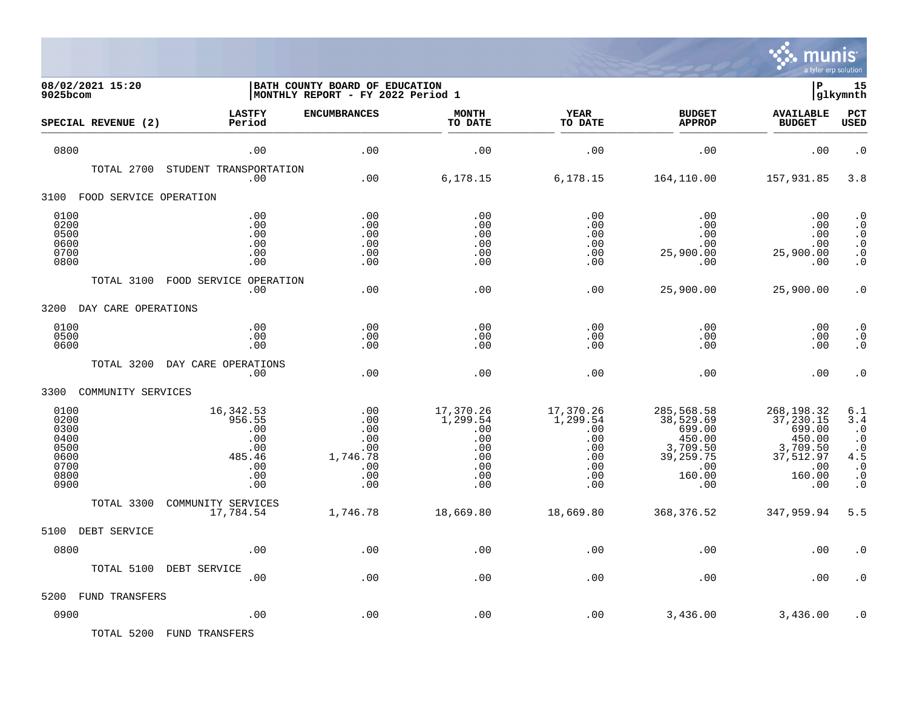

| 9025bcom                                                             | 08/02/2021 15:20       |                                                                         | BATH COUNTY BOARD OF EDUCATION<br>MONTHLY REPORT - FY 2022 Period 1 |                                                                        |                                                                        |                                                                                                | ΙP                                                                                            | 15<br>glkymnth                                                                                       |
|----------------------------------------------------------------------|------------------------|-------------------------------------------------------------------------|---------------------------------------------------------------------|------------------------------------------------------------------------|------------------------------------------------------------------------|------------------------------------------------------------------------------------------------|-----------------------------------------------------------------------------------------------|------------------------------------------------------------------------------------------------------|
|                                                                      | SPECIAL REVENUE (2)    | <b>LASTFY</b><br>Period                                                 | <b>ENCUMBRANCES</b>                                                 | <b>MONTH</b><br>TO DATE                                                | <b>YEAR</b><br>TO DATE                                                 | <b>BUDGET</b><br><b>APPROP</b>                                                                 | <b>AVAILABLE</b><br><b>BUDGET</b>                                                             | <b>PCT</b><br><b>USED</b>                                                                            |
| 0800                                                                 |                        | .00                                                                     | .00                                                                 | .00                                                                    | .00                                                                    | .00                                                                                            | .00                                                                                           | $\cdot$ 0                                                                                            |
|                                                                      | TOTAL 2700             | STUDENT TRANSPORTATION<br>.00                                           | .00                                                                 | 6,178.15                                                               | 6,178.15                                                               | 164,110.00                                                                                     | 157,931.85                                                                                    | 3.8                                                                                                  |
| 3100                                                                 | FOOD SERVICE OPERATION |                                                                         |                                                                     |                                                                        |                                                                        |                                                                                                |                                                                                               |                                                                                                      |
| 0100<br>0200<br>0500<br>0600<br>0700<br>0800                         |                        | .00<br>.00<br>.00<br>.00<br>.00<br>.00                                  | .00<br>.00<br>.00<br>.00<br>.00<br>.00                              | .00<br>.00<br>.00<br>.00<br>.00<br>.00                                 | .00<br>.00<br>.00<br>.00<br>.00<br>.00                                 | .00<br>.00<br>.00<br>.00<br>25,900.00<br>.00                                                   | .00<br>.00<br>.00<br>.00<br>25,900.00<br>.00                                                  | $\cdot$ 0<br>$\cdot$ 0<br>$\cdot$ 0<br>$\boldsymbol{\cdot}$ 0<br>. $\boldsymbol{0}$<br>$\cdot$ 0     |
|                                                                      | TOTAL 3100             | FOOD SERVICE OPERATION<br>.00                                           | .00                                                                 | .00                                                                    | .00                                                                    | 25,900.00                                                                                      | 25,900.00                                                                                     | $\cdot$ 0                                                                                            |
| 3200                                                                 | DAY CARE OPERATIONS    |                                                                         |                                                                     |                                                                        |                                                                        |                                                                                                |                                                                                               |                                                                                                      |
| 0100<br>0500<br>0600                                                 |                        | .00<br>.00<br>.00                                                       | .00<br>.00<br>.00                                                   | .00<br>.00<br>.00                                                      | .00<br>.00<br>.00                                                      | .00<br>.00<br>.00                                                                              | .00<br>.00<br>.00                                                                             | $\cdot$ 0<br>$\cdot$ 0<br>$\cdot$ 0                                                                  |
|                                                                      | TOTAL 3200             | DAY CARE OPERATIONS<br>.00                                              | .00                                                                 | .00                                                                    | .00                                                                    | .00                                                                                            | .00                                                                                           | $\cdot$ 0                                                                                            |
| 3300                                                                 | COMMUNITY SERVICES     |                                                                         |                                                                     |                                                                        |                                                                        |                                                                                                |                                                                                               |                                                                                                      |
| 0100<br>0200<br>0300<br>0400<br>0500<br>0600<br>0700<br>0800<br>0900 |                        | 16,342.53<br>956.55<br>.00<br>.00<br>.00<br>485.46<br>.00<br>.00<br>.00 | .00<br>.00<br>.00<br>.00<br>.00<br>1,746.78<br>.00<br>.00<br>.00    | 17,370.26<br>1,299.54<br>.00<br>.00<br>.00<br>.00<br>.00<br>.00<br>.00 | 17,370.26<br>1,299.54<br>.00<br>.00<br>.00<br>.00<br>.00<br>.00<br>.00 | 285,568.58<br>38,529.69<br>699.00<br>450.00<br>3,709.50<br>39, 259. 75<br>.00<br>160.00<br>.00 | 268,198.32<br>37, 230.15<br>699.00<br>450.00<br>3,709.50<br>37,512.97<br>.00<br>160.00<br>.00 | 6.1<br>3.4<br>$\cdot$ 0<br>$\cdot$ 0<br>$\cdot$ 0<br>4.5<br>$\cdot$ 0<br>$\cdot$ 0<br>$\overline{0}$ |
|                                                                      | TOTAL 3300             | COMMUNITY SERVICES<br>17,784.54                                         | 1,746.78                                                            | 18,669.80                                                              | 18,669.80                                                              | 368, 376.52                                                                                    | 347,959.94                                                                                    | 5.5                                                                                                  |
| 5100                                                                 | DEBT SERVICE           |                                                                         |                                                                     |                                                                        |                                                                        |                                                                                                |                                                                                               |                                                                                                      |
| 0800                                                                 |                        | .00                                                                     | .00                                                                 | .00                                                                    | .00                                                                    | .00                                                                                            | .00                                                                                           | $\cdot$ 0                                                                                            |
|                                                                      | TOTAL 5100             | DEBT SERVICE<br>.00                                                     | .00                                                                 | .00                                                                    | .00                                                                    | .00                                                                                            | .00                                                                                           | $\overline{0}$                                                                                       |
| 5200                                                                 | <b>FUND TRANSFERS</b>  |                                                                         |                                                                     |                                                                        |                                                                        |                                                                                                |                                                                                               |                                                                                                      |
| 0900                                                                 |                        | .00                                                                     | .00                                                                 | .00                                                                    | .00                                                                    | 3,436.00                                                                                       | 3,436.00                                                                                      | $\cdot$ 0                                                                                            |

TOTAL 5200 FUND TRANSFERS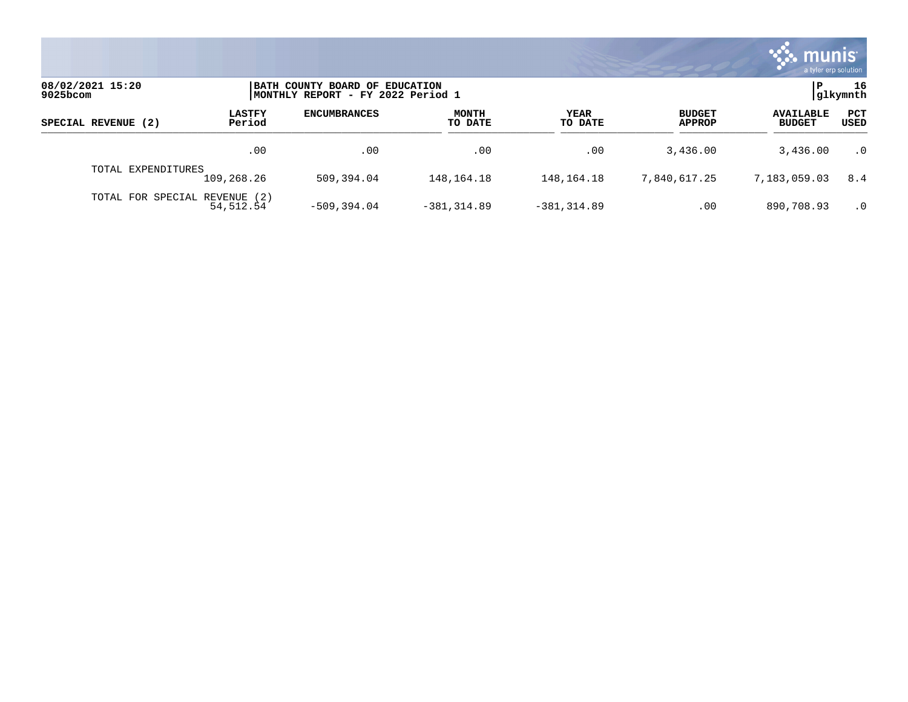

| 08/02/2021 15:20<br>$9025$ bcom |                         | BATH COUNTY BOARD OF EDUCATION<br>MONTHLY REPORT - FY 2022 Period 1 |                         |                 |                                |                                   |             |
|---------------------------------|-------------------------|---------------------------------------------------------------------|-------------------------|-----------------|--------------------------------|-----------------------------------|-------------|
| SPECIAL REVENUE (2)             | <b>LASTFY</b><br>Period | <b>ENCUMBRANCES</b>                                                 | <b>MONTH</b><br>TO DATE | YEAR<br>TO DATE | <b>BUDGET</b><br><b>APPROP</b> | <b>AVAILABLE</b><br><b>BUDGET</b> | PCT<br>USED |
|                                 | .00                     | .00                                                                 | .00                     | .00             | 3,436.00                       | 3,436.00                          | $\cdot$ 0   |
| TOTAL EXPENDITURES              | 109,268.26              | 509,394.04                                                          | 148,164.18              | 148,164.18      | 7,840,617.25                   | 7,183,059.03                      | 8.4         |
| TOTAL FOR SPECIAL REVENUE (2)   | 54,512.54               | $-509.394.04$                                                       | $-381.314.89$           | $-381, 314.89$  | .00                            | 890,708.93                        | $\cdot$ 0   |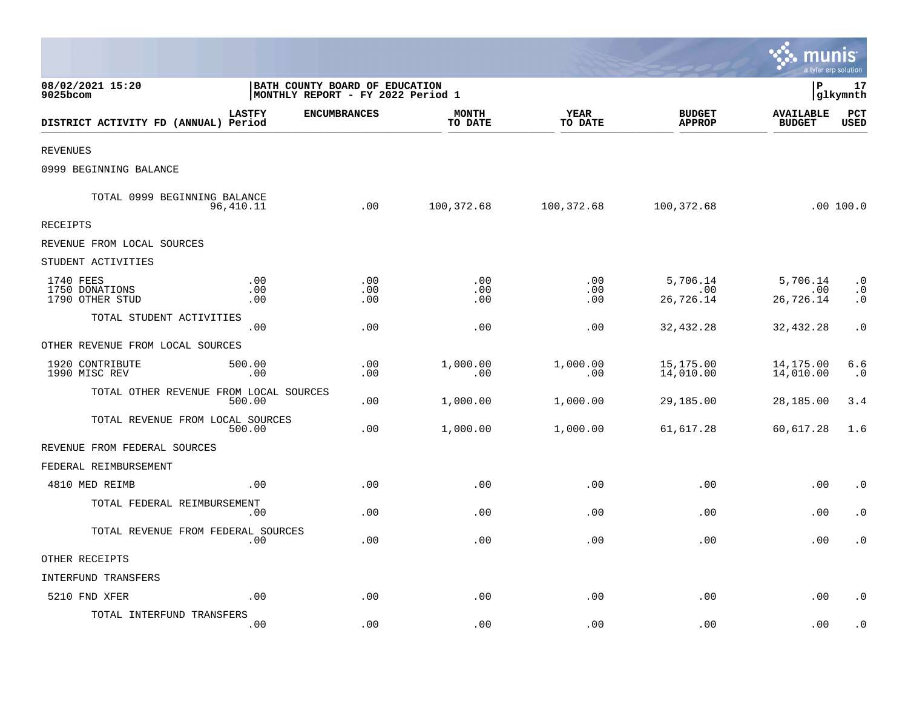|                                                       |                                                                     |                         |                        |                                | a tyler erp solution              |                                     |
|-------------------------------------------------------|---------------------------------------------------------------------|-------------------------|------------------------|--------------------------------|-----------------------------------|-------------------------------------|
| 08/02/2021 15:20<br>9025bcom                          | BATH COUNTY BOARD OF EDUCATION<br>MONTHLY REPORT - FY 2022 Period 1 |                         |                        |                                | l P                               | 17<br> glkymnth                     |
| <b>LASTFY</b><br>DISTRICT ACTIVITY FD (ANNUAL) Period | <b>ENCUMBRANCES</b>                                                 | <b>MONTH</b><br>TO DATE | <b>YEAR</b><br>TO DATE | <b>BUDGET</b><br><b>APPROP</b> | <b>AVAILABLE</b><br><b>BUDGET</b> | PCT<br><b>USED</b>                  |
| <b>REVENUES</b>                                       |                                                                     |                         |                        |                                |                                   |                                     |
| 0999 BEGINNING BALANCE                                |                                                                     |                         |                        |                                |                                   |                                     |
| TOTAL 0999 BEGINNING BALANCE<br>96,410.11             | .00                                                                 | 100,372.68              | 100,372.68             | 100,372.68                     |                                   | .00 100.0                           |
| <b>RECEIPTS</b>                                       |                                                                     |                         |                        |                                |                                   |                                     |
| REVENUE FROM LOCAL SOURCES                            |                                                                     |                         |                        |                                |                                   |                                     |
| STUDENT ACTIVITIES                                    |                                                                     |                         |                        |                                |                                   |                                     |
| 1740 FEES<br>1750 DONATIONS<br>1790 OTHER STUD        | .00<br>$.00$<br>.00<br>.00<br>.00<br>.00                            | .00<br>.00<br>.00       | .00<br>.00<br>.00      | 5,706.14<br>.00<br>26,726.14   | 5,706.14<br>.00<br>26,726.14      | $\cdot$ 0<br>$\cdot$ 0<br>$\cdot$ 0 |
| TOTAL STUDENT ACTIVITIES                              | .00<br>.00                                                          | .00                     | .00                    | 32,432.28                      | 32,432.28                         | $\cdot$ 0                           |
| OTHER REVENUE FROM LOCAL SOURCES                      |                                                                     |                         |                        |                                |                                   |                                     |
| 1920 CONTRIBUTE<br>500.00<br>1990 MISC REV            | .00<br>.00<br>.00                                                   | 1,000.00<br>.00         | 1,000.00<br>.00        | 15,175.00<br>14,010.00         | 14,175.00<br>14,010.00            | 6.6<br>$\cdot$ 0                    |
| TOTAL OTHER REVENUE FROM LOCAL SOURCES<br>500.00      | .00                                                                 | 1,000.00                | 1,000.00               | 29,185.00                      | 28,185.00                         | 3.4                                 |
| TOTAL REVENUE FROM LOCAL SOURCES<br>500.00            | .00                                                                 | 1,000.00                | 1,000.00               | 61,617.28                      | 60,617.28                         | 1.6                                 |
| REVENUE FROM FEDERAL SOURCES                          |                                                                     |                         |                        |                                |                                   |                                     |
| FEDERAL REIMBURSEMENT                                 |                                                                     |                         |                        |                                |                                   |                                     |
| 4810 MED REIMB                                        | .00<br>.00                                                          | .00                     | .00                    | .00                            | .00                               | $\cdot$ 0                           |
| TOTAL FEDERAL REIMBURSEMENT                           | .00<br>.00                                                          | .00                     | .00                    | .00                            | $.00 \,$                          | $\cdot$ 0                           |
| TOTAL REVENUE FROM FEDERAL SOURCES                    | .00<br>.00                                                          | .00                     | .00                    | .00                            | .00                               | $\cdot$ 0                           |
| OTHER RECEIPTS                                        |                                                                     |                         |                        |                                |                                   |                                     |
| <b>INTERFUND TRANSFERS</b>                            |                                                                     |                         |                        |                                |                                   |                                     |
| 5210 FND XFER                                         | .00<br>.00                                                          | .00                     | .00                    | .00                            | .00                               | $\cdot$ 0                           |
| TOTAL INTERFUND TRANSFERS                             | .00<br>.00                                                          | .00                     | .00                    | .00                            | .00                               | . 0                                 |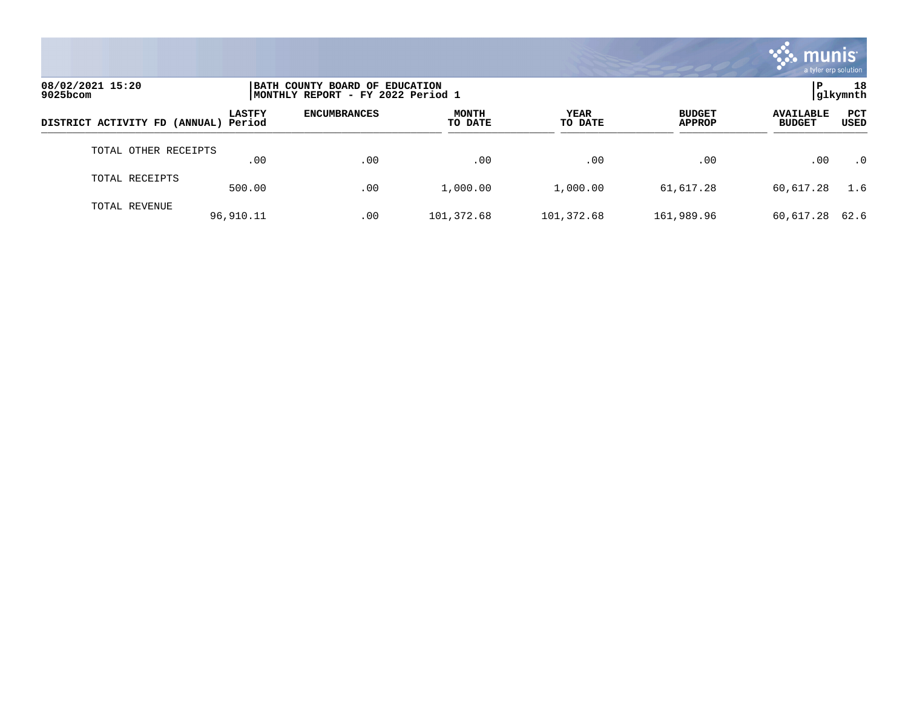

| 08/02/2021 15:20<br>9025bcom         |               | BATH COUNTY BOARD OF EDUCATION<br> MONTHLY REPORT - FY 2022 Period 1 |                         |                        |                                |                                   |             |  |
|--------------------------------------|---------------|----------------------------------------------------------------------|-------------------------|------------------------|--------------------------------|-----------------------------------|-------------|--|
| DISTRICT ACTIVITY FD (ANNUAL) Period | <b>LASTFY</b> | <b>ENCUMBRANCES</b>                                                  | <b>MONTH</b><br>TO DATE | <b>YEAR</b><br>TO DATE | <b>BUDGET</b><br><b>APPROP</b> | <b>AVAILABLE</b><br><b>BUDGET</b> | PCT<br>USED |  |
| TOTAL OTHER RECEIPTS                 | .00           | .00                                                                  | .00                     | .00                    | .00                            | .00                               | $\cdot$ 0   |  |
| TOTAL RECEIPTS                       | 500.00        | .00                                                                  | 1,000.00                | 1,000.00               | 61,617.28                      | 60,617.28                         | 1.6         |  |
| TOTAL REVENUE                        | 96,910.11     | .00                                                                  | 101,372.68              | 101,372.68             | 161,989.96                     | 60,617.28                         | 62.6        |  |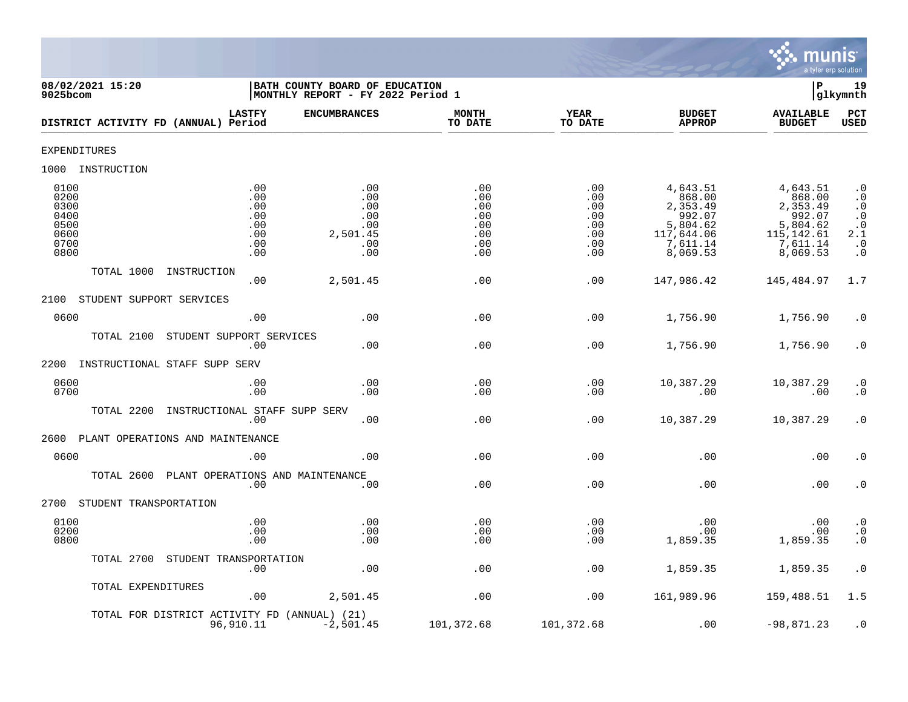

| 08/02/2021 15:20<br>9025bcom                                 |                                                      | BATH COUNTY BOARD OF EDUCATION<br>MONTHLY REPORT - FY 2022 Period 1 |                                                      |                                                      |                                                                                            | Þ                                                                                           | 19<br>glkymnth                                                                                                                                                      |
|--------------------------------------------------------------|------------------------------------------------------|---------------------------------------------------------------------|------------------------------------------------------|------------------------------------------------------|--------------------------------------------------------------------------------------------|---------------------------------------------------------------------------------------------|---------------------------------------------------------------------------------------------------------------------------------------------------------------------|
| DISTRICT ACTIVITY FD (ANNUAL) Period                         | <b>LASTFY</b>                                        | <b>ENCUMBRANCES</b>                                                 | <b>MONTH</b><br>TO DATE                              | <b>YEAR</b><br>TO DATE                               | <b>BUDGET</b><br><b>APPROP</b>                                                             | <b>AVAILABLE</b><br><b>BUDGET</b>                                                           | PCT<br>USED                                                                                                                                                         |
| EXPENDITURES                                                 |                                                      |                                                                     |                                                      |                                                      |                                                                                            |                                                                                             |                                                                                                                                                                     |
| 1000 INSTRUCTION                                             |                                                      |                                                                     |                                                      |                                                      |                                                                                            |                                                                                             |                                                                                                                                                                     |
| 0100<br>0200<br>0300<br>0400<br>0500<br>0600<br>0700<br>0800 | .00<br>.00<br>.00<br>.00<br>.00<br>.00<br>.00<br>.00 | .00<br>.00<br>.00<br>.00<br>.00<br>2,501.45<br>.00<br>.00           | .00<br>.00<br>.00<br>.00<br>.00<br>.00<br>.00<br>.00 | .00<br>.00<br>.00<br>.00<br>.00<br>.00<br>.00<br>.00 | 4,643.51<br>868.00<br>2,353.49<br>992.07<br>5,804.62<br>117,644.06<br>7,611.14<br>8,069.53 | 4,643.51<br>868.00<br>2,353.49<br>992.07<br>5,804.62<br>115, 142.61<br>7,611.14<br>8,069.53 | $\cdot$ 0<br>$\begin{smallmatrix} 0.1 \\ 0.1 \end{smallmatrix}$<br>$\begin{smallmatrix} 0.1 \\ 0.1 \end{smallmatrix}$<br>2.1<br>$\boldsymbol{\cdot}$ 0<br>$\cdot$ 0 |
| TOTAL 1000<br>INSTRUCTION                                    | .00                                                  | 2,501.45                                                            | .00                                                  | .00                                                  | 147,986.42                                                                                 | 145,484.97                                                                                  | 1.7                                                                                                                                                                 |
| STUDENT SUPPORT SERVICES<br>2100                             |                                                      |                                                                     |                                                      |                                                      |                                                                                            |                                                                                             |                                                                                                                                                                     |
| 0600                                                         | .00                                                  | .00                                                                 | .00                                                  | .00                                                  | 1,756.90                                                                                   | 1,756.90                                                                                    | $\cdot$ 0                                                                                                                                                           |
| TOTAL 2100                                                   | STUDENT SUPPORT SERVICES<br>.00                      | .00                                                                 | .00                                                  | .00                                                  | 1,756.90                                                                                   | 1,756.90                                                                                    | $\cdot$ 0                                                                                                                                                           |
| 2200<br>INSTRUCTIONAL STAFF SUPP SERV                        |                                                      |                                                                     |                                                      |                                                      |                                                                                            |                                                                                             |                                                                                                                                                                     |
| 0600<br>0700                                                 | .00<br>.00                                           | .00<br>.00                                                          | .00<br>.00                                           | .00<br>.00                                           | 10,387.29<br>.00                                                                           | 10,387.29<br>.00                                                                            | $\cdot$ 0<br>$\cdot$ 0                                                                                                                                              |
| TOTAL 2200                                                   | INSTRUCTIONAL STAFF SUPP SERV<br>.00                 | .00                                                                 | .00                                                  | .00                                                  | 10,387.29                                                                                  | 10,387.29                                                                                   | $\cdot$ 0                                                                                                                                                           |
| PLANT OPERATIONS AND MAINTENANCE<br>2600                     |                                                      |                                                                     |                                                      |                                                      |                                                                                            |                                                                                             |                                                                                                                                                                     |
| 0600                                                         | .00                                                  | .00                                                                 | .00                                                  | .00                                                  | .00                                                                                        | .00                                                                                         | $\cdot$ 0                                                                                                                                                           |
| TOTAL 2600                                                   | PLANT OPERATIONS AND MAINTENANCE<br>.00              | .00                                                                 | .00                                                  | .00                                                  | .00                                                                                        | .00                                                                                         | $\cdot$ 0                                                                                                                                                           |
| 2700<br>STUDENT TRANSPORTATION                               |                                                      |                                                                     |                                                      |                                                      |                                                                                            |                                                                                             |                                                                                                                                                                     |
| 0100<br>0200<br>0800                                         | .00<br>.00<br>.00                                    | .00<br>.00<br>.00                                                   | .00<br>.00<br>.00                                    | .00<br>.00<br>.00                                    | .00<br>.00<br>1,859.35                                                                     | .00<br>.00<br>1,859.35                                                                      | $\begin{array}{c} . & 0 \\ . & 0 \\ . & 0 \end{array}$                                                                                                              |
| TOTAL 2700                                                   | STUDENT TRANSPORTATION<br>.00                        | .00                                                                 | .00                                                  | .00                                                  | 1,859.35                                                                                   | 1,859.35                                                                                    | $\cdot$ 0                                                                                                                                                           |
| TOTAL EXPENDITURES                                           | .00                                                  | 2,501.45                                                            | .00                                                  | .00                                                  | 161,989.96                                                                                 | 159,488.51                                                                                  | 1.5                                                                                                                                                                 |
| TOTAL FOR DISTRICT ACTIVITY FD (ANNUAL) (21)                 | 96,910.11                                            | $-2,501.45$                                                         | 101,372.68                                           | 101,372.68                                           | .00                                                                                        | $-98,871.23$                                                                                | $\cdot$ 0                                                                                                                                                           |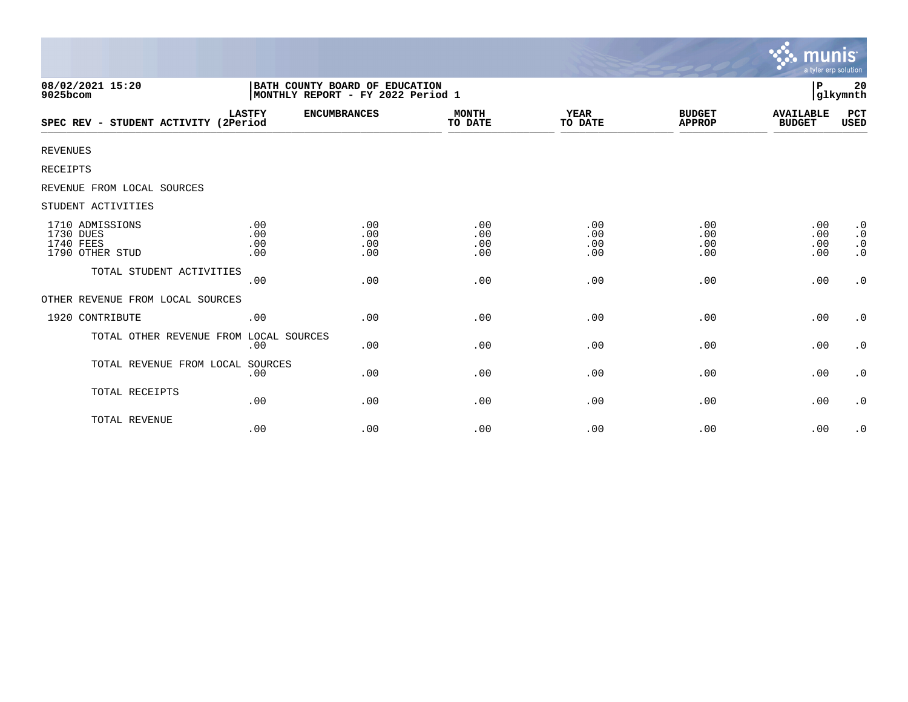|                                                                     |                          |                                                                     |                          |                          |                                | munıs<br>a tyler erp solution     |                                                               |
|---------------------------------------------------------------------|--------------------------|---------------------------------------------------------------------|--------------------------|--------------------------|--------------------------------|-----------------------------------|---------------------------------------------------------------|
| 08/02/2021 15:20<br>9025bcom                                        |                          | BATH COUNTY BOARD OF EDUCATION<br>MONTHLY REPORT - FY 2022 Period 1 |                          |                          |                                | P                                 | 20<br>glkymnth                                                |
| SPEC REV - STUDENT ACTIVITY (2Period                                | <b>LASTFY</b>            | <b>ENCUMBRANCES</b>                                                 | <b>MONTH</b><br>TO DATE  | <b>YEAR</b><br>TO DATE   | <b>BUDGET</b><br><b>APPROP</b> | <b>AVAILABLE</b><br><b>BUDGET</b> | PCT<br>USED                                                   |
| <b>REVENUES</b>                                                     |                          |                                                                     |                          |                          |                                |                                   |                                                               |
| <b>RECEIPTS</b>                                                     |                          |                                                                     |                          |                          |                                |                                   |                                                               |
| REVENUE FROM LOCAL SOURCES                                          |                          |                                                                     |                          |                          |                                |                                   |                                                               |
| STUDENT ACTIVITIES                                                  |                          |                                                                     |                          |                          |                                |                                   |                                                               |
| 1710 ADMISSIONS<br>1730 DUES<br><b>1740 FEES</b><br>1790 OTHER STUD | .00<br>.00<br>.00<br>.00 | .00<br>.00<br>.00<br>.00                                            | .00<br>.00<br>.00<br>.00 | .00<br>.00<br>.00<br>.00 | .00<br>.00<br>.00<br>.00       | .00<br>.00<br>.00<br>.00          | $\cdot$ 0<br>$\boldsymbol{\cdot}$ 0<br>$\cdot$ 0<br>$\cdot$ 0 |
| TOTAL STUDENT ACTIVITIES                                            | .00                      | .00                                                                 | .00                      | .00                      | .00                            | .00                               | $\cdot$ 0                                                     |
| OTHER REVENUE FROM LOCAL SOURCES                                    |                          |                                                                     |                          |                          |                                |                                   |                                                               |
| 1920 CONTRIBUTE                                                     | .00                      | .00                                                                 | .00                      | .00                      | .00                            | .00                               | $\cdot$ 0                                                     |
| TOTAL OTHER REVENUE FROM LOCAL SOURCES                              | .00                      | .00                                                                 | .00                      | .00                      | .00                            | .00                               | $\cdot$ 0                                                     |
| TOTAL REVENUE FROM LOCAL SOURCES                                    | .00                      | .00                                                                 | .00                      | .00                      | .00                            | .00                               | $\cdot$ 0                                                     |
| TOTAL RECEIPTS                                                      | .00                      | .00                                                                 | .00                      | .00                      | .00                            | .00                               | $\cdot$ 0                                                     |
| TOTAL REVENUE                                                       | .00                      | .00                                                                 | .00                      | .00                      | .00                            | .00                               | $\cdot$ 0                                                     |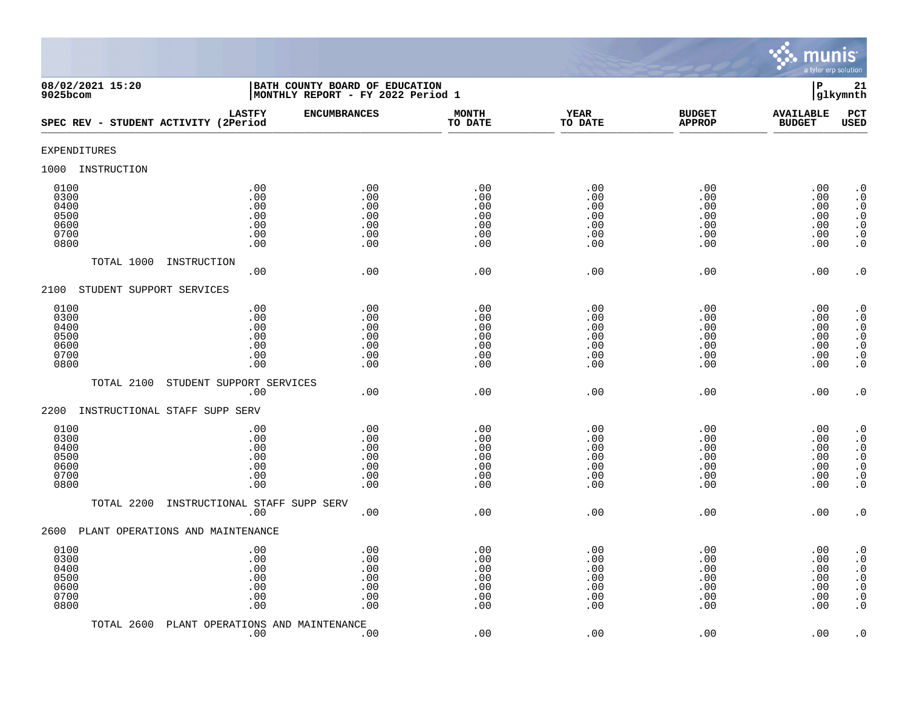

| 08/02/2021 15:20<br>9025bcom                         |                                               | BATH COUNTY BOARD OF EDUCATION<br>MONTHLY REPORT - FY 2022 Period 1 |                                               |                                               |                                               | $\, {\bf P}$                                  | 21<br>glkymnth                                                                                                                                 |
|------------------------------------------------------|-----------------------------------------------|---------------------------------------------------------------------|-----------------------------------------------|-----------------------------------------------|-----------------------------------------------|-----------------------------------------------|------------------------------------------------------------------------------------------------------------------------------------------------|
| SPEC REV - STUDENT ACTIVITY (2Period                 | <b>LASTFY</b>                                 | <b>ENCUMBRANCES</b>                                                 | <b>MONTH</b><br>TO DATE                       | <b>YEAR</b><br>TO DATE                        | <b>BUDGET</b><br><b>APPROP</b>                | <b>AVAILABLE</b><br><b>BUDGET</b>             | PCT<br><b>USED</b>                                                                                                                             |
| <b>EXPENDITURES</b>                                  |                                               |                                                                     |                                               |                                               |                                               |                                               |                                                                                                                                                |
| INSTRUCTION<br>1000                                  |                                               |                                                                     |                                               |                                               |                                               |                                               |                                                                                                                                                |
| 0100<br>0300<br>0400<br>0500<br>0600<br>0700<br>0800 | .00<br>.00<br>.00<br>.00<br>.00<br>.00<br>.00 | .00<br>.00<br>.00<br>.00<br>.00<br>.00<br>.00                       | .00<br>.00<br>.00<br>.00<br>.00<br>.00<br>.00 | .00<br>.00<br>.00<br>.00<br>.00<br>.00<br>.00 | .00<br>.00<br>.00<br>.00<br>.00<br>.00<br>.00 | .00<br>.00<br>.00<br>.00<br>.00<br>.00<br>.00 | $\cdot$ 0<br>$\boldsymbol{\cdot}$ 0<br>$\cdot$ 0<br>$\cdot$ 0<br>$\cdot$ 0<br>$\boldsymbol{\cdot}$ 0<br>$\cdot$ 0                              |
| TOTAL 1000                                           | INSTRUCTION<br>.00                            | .00                                                                 | .00                                           | .00                                           | .00                                           | .00                                           | $\cdot$ 0                                                                                                                                      |
| STUDENT SUPPORT SERVICES<br>2100                     |                                               |                                                                     |                                               |                                               |                                               |                                               |                                                                                                                                                |
| 0100<br>0300<br>0400<br>0500<br>0600<br>0700<br>0800 | .00<br>.00<br>.00<br>.00<br>.00<br>.00<br>.00 | .00<br>.00<br>.00<br>.00<br>.00<br>.00<br>.00                       | .00<br>.00<br>.00<br>.00<br>.00<br>.00<br>.00 | .00<br>.00<br>.00<br>.00<br>.00<br>.00<br>.00 | .00<br>.00<br>.00<br>.00<br>.00<br>.00<br>.00 | .00<br>.00<br>.00<br>.00<br>.00<br>.00<br>.00 | $\begin{smallmatrix} 0.1 \\ 0.1 \end{smallmatrix}$<br>$\boldsymbol{\cdot}$ 0<br>$.0$<br>0.0<br>$\cdot$ 0                                       |
| TOTAL 2100                                           | STUDENT SUPPORT SERVICES                      |                                                                     |                                               |                                               |                                               |                                               |                                                                                                                                                |
| 2200                                                 | .00<br>INSTRUCTIONAL STAFF SUPP SERV          | .00                                                                 | .00                                           | .00                                           | .00                                           | .00                                           | $\cdot$ 0                                                                                                                                      |
| 0100<br>0300<br>0400<br>0500<br>0600<br>0700<br>0800 | .00<br>.00<br>.00<br>.00<br>.00<br>.00<br>.00 | .00<br>.00<br>.00<br>.00<br>.00<br>.00<br>.00                       | .00<br>.00<br>.00<br>.00<br>.00<br>.00<br>.00 | .00<br>.00<br>.00<br>.00<br>.00<br>.00<br>.00 | .00<br>.00<br>.00<br>.00<br>.00<br>.00<br>.00 | .00<br>.00<br>.00<br>.00<br>.00<br>.00<br>.00 | $\cdot$ 0<br>$\overline{0}$<br>$\boldsymbol{\cdot}$ 0<br>$\overline{0}$<br>$\overline{0}$<br>$\boldsymbol{\cdot}$ 0<br>$\overline{0}$          |
| TOTAL 2200                                           | INSTRUCTIONAL STAFF SUPP SERV<br>.00          | .00                                                                 | .00                                           | .00                                           | .00                                           | .00                                           | $\cdot$ 0                                                                                                                                      |
| 2600                                                 | PLANT OPERATIONS AND MAINTENANCE              |                                                                     |                                               |                                               |                                               |                                               |                                                                                                                                                |
| 0100<br>0300<br>0400<br>0500<br>0600<br>0700<br>0800 | .00<br>.00<br>.00<br>.00<br>.00<br>.00<br>.00 | .00<br>.00<br>.00<br>.00<br>.00<br>.00<br>.00                       | .00<br>.00<br>.00<br>.00<br>.00<br>.00<br>.00 | .00<br>.00<br>.00<br>.00<br>.00<br>.00<br>.00 | .00<br>.00<br>.00<br>.00<br>.00<br>.00<br>.00 | .00<br>.00<br>.00<br>.00<br>.00<br>.00<br>.00 | $\cdot$ 0<br>$\boldsymbol{\cdot}$ 0<br>$\begin{smallmatrix} 0.1 \\ 0.1 \end{smallmatrix}$<br>$\boldsymbol{\cdot}$ 0<br>$\ddot{0}$<br>$\cdot$ 0 |
| TOTAL 2600                                           | PLANT OPERATIONS AND MAINTENANCE<br>.00       | .00                                                                 | .00                                           | .00                                           | .00                                           | .00                                           | $\cdot$ 0                                                                                                                                      |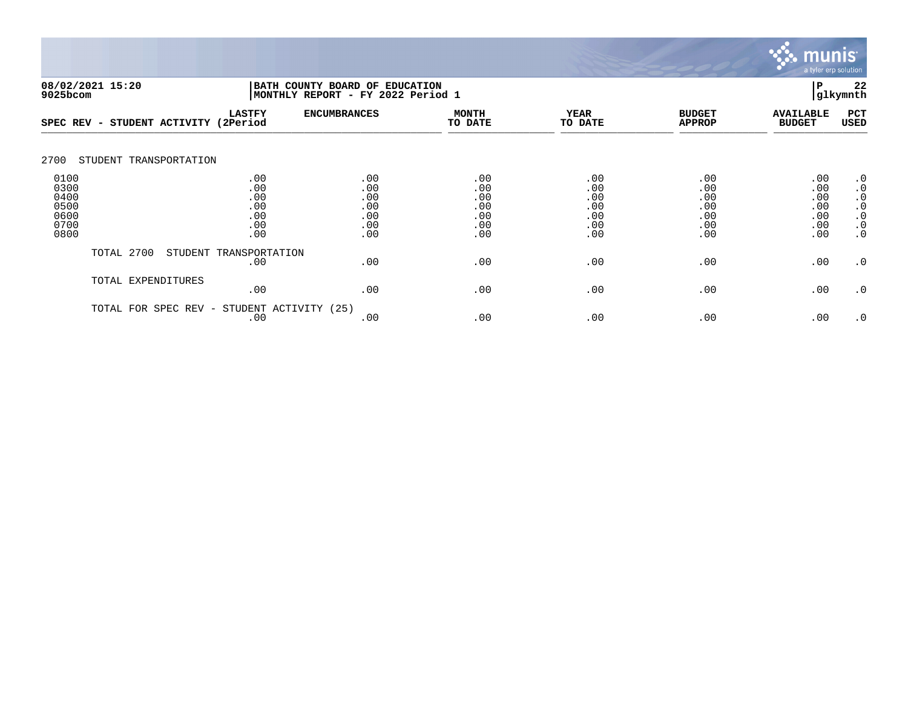

|                                                      | 08/02/2021 15:20<br>BATH COUNTY BOARD OF EDUCATION<br>9025bcom |                                               |                                               | MONTHLY REPORT - FY 2022 Period 1             |                                               |                                               |                                               |                                                                                         |  |
|------------------------------------------------------|----------------------------------------------------------------|-----------------------------------------------|-----------------------------------------------|-----------------------------------------------|-----------------------------------------------|-----------------------------------------------|-----------------------------------------------|-----------------------------------------------------------------------------------------|--|
| SPEC REV -                                           | STUDENT ACTIVITY                                               | <b>LASTFY</b><br>(2Period                     | <b>ENCUMBRANCES</b>                           | <b>MONTH</b><br>TO DATE                       | <b>YEAR</b><br>TO DATE                        | <b>BUDGET</b><br><b>APPROP</b>                | <b>AVAILABLE</b><br><b>BUDGET</b>             | PCT<br><b>USED</b>                                                                      |  |
| 2700                                                 | STUDENT TRANSPORTATION                                         |                                               |                                               |                                               |                                               |                                               |                                               |                                                                                         |  |
| 0100<br>0300<br>0400<br>0500<br>0600<br>0700<br>0800 |                                                                | .00<br>.00<br>.00<br>.00<br>.00<br>.00<br>.00 | .00<br>.00<br>.00<br>.00<br>.00<br>.00<br>.00 | .00<br>.00<br>.00<br>.00<br>.00<br>.00<br>.00 | .00<br>.00<br>.00<br>.00<br>.00<br>.00<br>.00 | .00<br>.00<br>.00<br>.00<br>.00<br>.00<br>.00 | .00<br>.00<br>.00<br>.00<br>.00<br>.00<br>.00 | $\cdot$ 0<br>$\cdot$ 0<br>$\cdot$ 0<br>$\cdot$ 0<br>$\cdot$ 0<br>$\cdot$ 0<br>$\cdot$ 0 |  |
|                                                      | TOTAL 2700                                                     | STUDENT TRANSPORTATION<br>.00                 | .00                                           | .00                                           | .00                                           | .00                                           | .00                                           | $\cdot$ 0                                                                               |  |
|                                                      | TOTAL EXPENDITURES                                             | .00                                           | .00                                           | .00                                           | .00                                           | .00                                           | .00                                           | $\cdot$ 0                                                                               |  |
|                                                      | SPEC REV -<br>TOTAL FOR                                        | STUDENT ACTIVITY<br>.00                       | (25)<br>.00                                   | .00                                           | .00                                           | .00                                           | .00                                           | $\cdot$ 0                                                                               |  |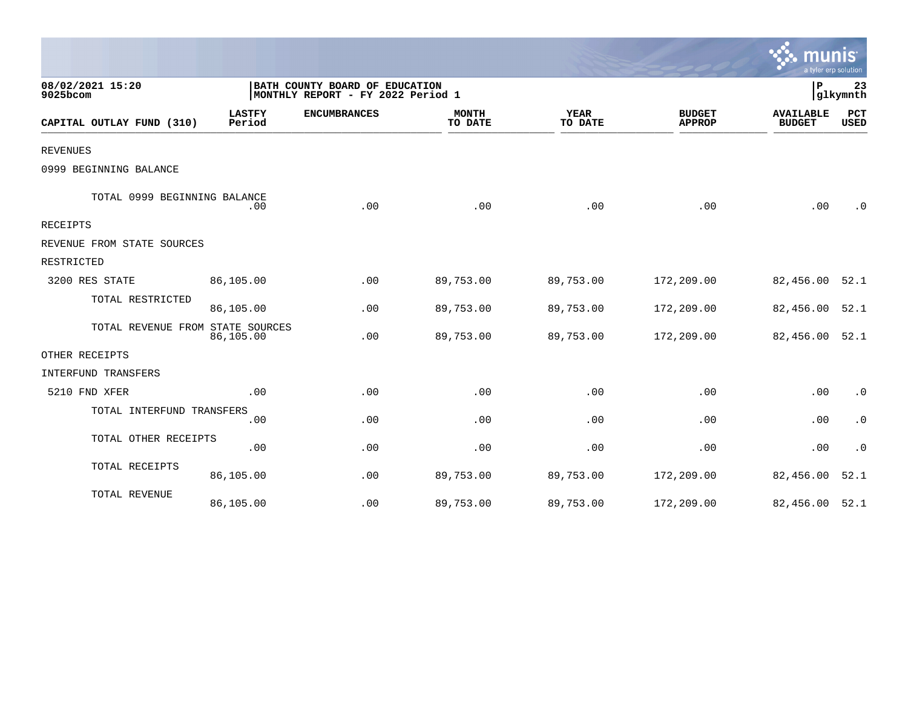|                                  |                         |                                                                     |                         |                        |                                | mun<br>a tyler erp solution       |                    |
|----------------------------------|-------------------------|---------------------------------------------------------------------|-------------------------|------------------------|--------------------------------|-----------------------------------|--------------------|
| 08/02/2021 15:20<br>9025bcom     |                         | BATH COUNTY BOARD OF EDUCATION<br>MONTHLY REPORT - FY 2022 Period 1 |                         |                        |                                | l P                               | 23<br>glkymnth     |
| CAPITAL OUTLAY FUND (310)        | <b>LASTFY</b><br>Period | <b>ENCUMBRANCES</b>                                                 | <b>MONTH</b><br>TO DATE | <b>YEAR</b><br>TO DATE | <b>BUDGET</b><br><b>APPROP</b> | <b>AVAILABLE</b><br><b>BUDGET</b> | PCT<br><b>USED</b> |
| <b>REVENUES</b>                  |                         |                                                                     |                         |                        |                                |                                   |                    |
| 0999 BEGINNING BALANCE           |                         |                                                                     |                         |                        |                                |                                   |                    |
| TOTAL 0999 BEGINNING BALANCE     | .00                     | .00                                                                 | .00                     | .00                    | .00                            | .00                               | $\cdot$ 0          |
| RECEIPTS                         |                         |                                                                     |                         |                        |                                |                                   |                    |
| REVENUE FROM STATE SOURCES       |                         |                                                                     |                         |                        |                                |                                   |                    |
| RESTRICTED                       |                         |                                                                     |                         |                        |                                |                                   |                    |
| 3200 RES STATE                   | 86,105.00               | .00                                                                 | 89,753.00               | 89,753.00              | 172,209.00                     | 82,456.00                         | 52.1               |
| TOTAL RESTRICTED                 | 86,105.00               | .00                                                                 | 89,753.00               | 89,753.00              | 172,209.00                     | 82,456.00                         | 52.1               |
| TOTAL REVENUE FROM STATE SOURCES | 86,105.00               | .00                                                                 | 89,753.00               | 89,753.00              | 172,209.00                     | 82,456.00 52.1                    |                    |
| OTHER RECEIPTS                   |                         |                                                                     |                         |                        |                                |                                   |                    |
| INTERFUND TRANSFERS              |                         |                                                                     |                         |                        |                                |                                   |                    |
| 5210 FND XFER                    | .00                     | .00                                                                 | .00                     | .00                    | .00                            | .00                               | $\cdot$ 0          |
| TOTAL INTERFUND TRANSFERS        | .00                     | .00                                                                 | .00                     | .00                    | .00                            | .00                               | $\cdot$ 0          |
| TOTAL OTHER RECEIPTS             | .00                     | .00                                                                 | .00                     | .00                    | .00                            | .00                               | $\cdot$ 0          |
| TOTAL RECEIPTS                   | 86,105.00               | .00                                                                 | 89,753.00               | 89,753.00              | 172,209.00                     | 82,456.00                         | 52.1               |
| TOTAL REVENUE                    | 86,105.00               | .00                                                                 | 89,753.00               | 89,753.00              | 172,209.00                     | 82,456.00 52.1                    |                    |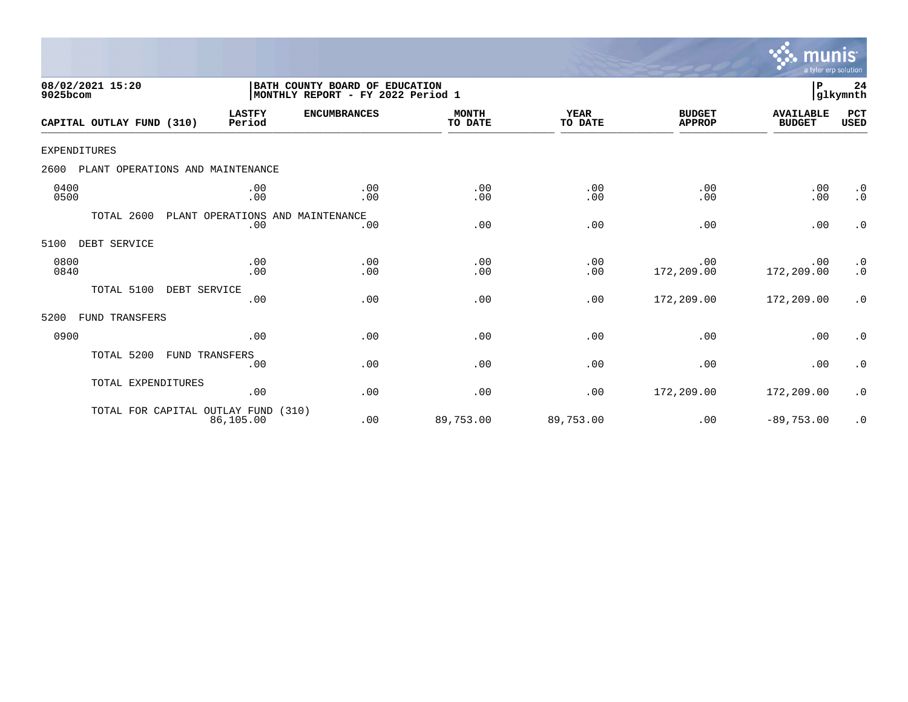

| 08/02/2021 15:20<br>9025bcom             |                                         | BATH COUNTY BOARD OF EDUCATION<br> MONTHLY REPORT - FY 2022 Period 1 |                         |                        |                                | P                                 | 24<br>glkymnth         |
|------------------------------------------|-----------------------------------------|----------------------------------------------------------------------|-------------------------|------------------------|--------------------------------|-----------------------------------|------------------------|
| CAPITAL OUTLAY FUND (310)                | <b>LASTFY</b><br>Period                 | <b>ENCUMBRANCES</b>                                                  | <b>MONTH</b><br>TO DATE | <b>YEAR</b><br>TO DATE | <b>BUDGET</b><br><b>APPROP</b> | <b>AVAILABLE</b><br><b>BUDGET</b> | PCT<br><b>USED</b>     |
| <b>EXPENDITURES</b>                      |                                         |                                                                      |                         |                        |                                |                                   |                        |
| PLANT OPERATIONS AND MAINTENANCE<br>2600 |                                         |                                                                      |                         |                        |                                |                                   |                        |
| 0400<br>0500                             | .00<br>.00                              | .00<br>.00                                                           | .00<br>.00              | .00<br>.00             | .00<br>.00                     | .00<br>.00                        | $\cdot$ 0<br>$\cdot$ 0 |
| TOTAL 2600                               | PLANT OPERATIONS AND MAINTENANCE<br>.00 | .00                                                                  | .00                     | .00                    | .00                            | .00                               | $\cdot$ 0              |
| DEBT SERVICE<br>5100                     |                                         |                                                                      |                         |                        |                                |                                   |                        |
| 0800<br>0840                             | .00<br>.00                              | .00<br>.00                                                           | .00<br>.00              | .00<br>.00             | .00<br>172,209.00              | .00<br>172,209.00                 | $\cdot$ 0<br>$\cdot$ 0 |
| TOTAL 5100<br>DEBT SERVICE               | .00                                     | .00                                                                  | .00                     | .00                    | 172,209.00                     | 172,209.00                        | $\cdot$ 0              |
| FUND TRANSFERS<br>5200                   |                                         |                                                                      |                         |                        |                                |                                   |                        |
| 0900                                     | .00                                     | .00                                                                  | .00                     | .00                    | .00                            | .00                               | $\cdot$ 0              |
| TOTAL 5200                               | FUND TRANSFERS<br>.00                   | .00                                                                  | .00                     | .00                    | .00                            | .00                               | $\cdot$ 0              |
| TOTAL EXPENDITURES                       | .00                                     | .00                                                                  | .00                     | .00                    | 172,209.00                     | 172,209.00                        | $\cdot$ 0              |
| TOTAL FOR CAPITAL OUTLAY FUND            | 86,105.00                               | (310)<br>.00                                                         | 89,753.00               | 89,753.00              | .00                            | $-89,753.00$                      | $\cdot$ 0              |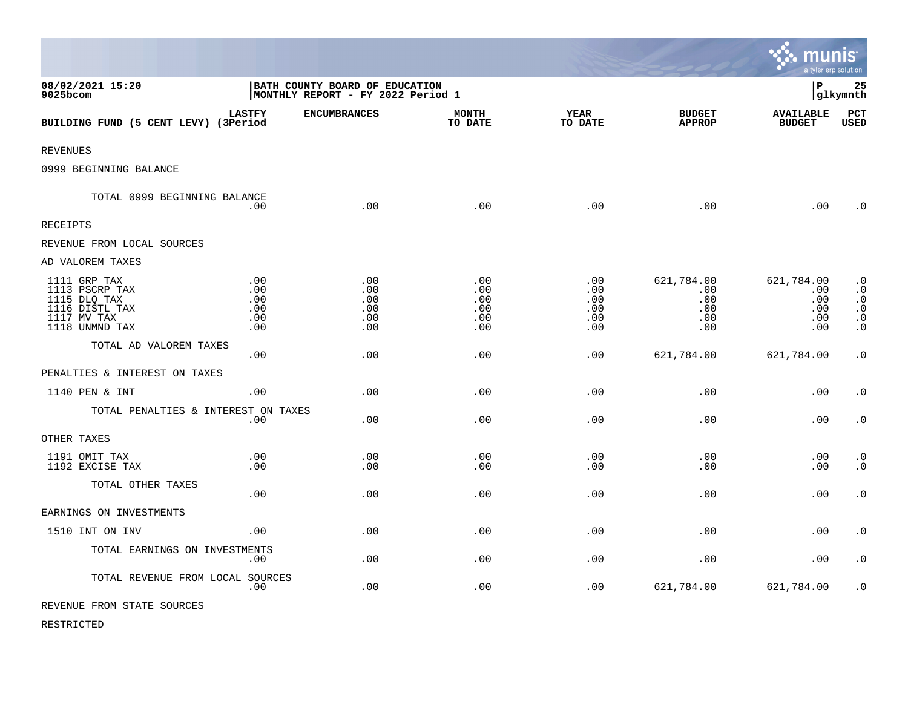|                                                                                                   |                                                                       |                                        |                                        |                                        |                                               | munis<br>a tyler erp solution                 |                                                                                         |
|---------------------------------------------------------------------------------------------------|-----------------------------------------------------------------------|----------------------------------------|----------------------------------------|----------------------------------------|-----------------------------------------------|-----------------------------------------------|-----------------------------------------------------------------------------------------|
| 08/02/2021 15:20<br>9025bcom                                                                      | BATH COUNTY BOARD OF EDUCATION<br>  MONTHLY REPORT - FY 2022 Period 1 |                                        |                                        |                                        |                                               | lР                                            | 25<br>glkymnth                                                                          |
| BUILDING FUND (5 CENT LEVY) (3Period                                                              | <b>LASTFY</b>                                                         | <b>ENCUMBRANCES</b>                    | <b>MONTH</b><br>TO DATE                | <b>YEAR</b><br>TO DATE                 | <b>BUDGET</b><br><b>APPROP</b>                | <b>AVAILABLE</b><br><b>BUDGET</b>             | PCT<br><b>USED</b>                                                                      |
| <b>REVENUES</b>                                                                                   |                                                                       |                                        |                                        |                                        |                                               |                                               |                                                                                         |
| 0999 BEGINNING BALANCE                                                                            |                                                                       |                                        |                                        |                                        |                                               |                                               |                                                                                         |
| TOTAL 0999 BEGINNING BALANCE                                                                      | .00                                                                   | .00                                    | .00                                    | .00                                    | .00                                           | .00                                           | $\cdot$ 0                                                                               |
| <b>RECEIPTS</b>                                                                                   |                                                                       |                                        |                                        |                                        |                                               |                                               |                                                                                         |
| REVENUE FROM LOCAL SOURCES                                                                        |                                                                       |                                        |                                        |                                        |                                               |                                               |                                                                                         |
| AD VALOREM TAXES                                                                                  |                                                                       |                                        |                                        |                                        |                                               |                                               |                                                                                         |
| 1111 GRP TAX<br>1113 PSCRP TAX<br>1115 DLQ TAX<br>1116 DISTL TAX<br>1117 MV TAX<br>1118 UNMND TAX | .00<br>.00<br>.00<br>.00<br>.00<br>.00                                | .00<br>.00<br>.00<br>.00<br>.00<br>.00 | .00<br>.00<br>.00<br>.00<br>.00<br>.00 | .00<br>.00<br>.00<br>.00<br>.00<br>.00 | 621,784.00<br>.00<br>.00<br>.00<br>.00<br>.00 | 621,784.00<br>.00<br>.00<br>.00<br>.00<br>.00 | $\cdot$ 0<br>$\cdot$ 0<br>$\cdot$ 0<br>$\boldsymbol{\cdot}$ 0<br>$\cdot$ 0<br>$\cdot$ 0 |
| TOTAL AD VALOREM TAXES                                                                            | .00                                                                   | .00                                    | .00                                    | .00                                    | 621,784.00                                    | 621,784.00                                    | $\cdot$ 0                                                                               |
| PENALTIES & INTEREST ON TAXES                                                                     |                                                                       |                                        |                                        |                                        |                                               |                                               |                                                                                         |
| 1140 PEN & INT                                                                                    | .00.                                                                  | .00                                    | .00                                    | .00                                    | .00                                           | .00                                           | $\cdot$ 0                                                                               |
| TOTAL PENALTIES & INTEREST ON TAXES                                                               | .00                                                                   | .00                                    | .00                                    | .00                                    | .00                                           | .00                                           | $\cdot$ 0                                                                               |
| OTHER TAXES                                                                                       |                                                                       |                                        |                                        |                                        |                                               |                                               |                                                                                         |
| 1191 OMIT TAX<br>1192 EXCISE TAX                                                                  | .00<br>.00                                                            | .00<br>.00                             | .00<br>.00                             | .00<br>.00                             | .00<br>.00                                    | .00<br>.00                                    | $\cdot$ 0<br>$\cdot$ 0                                                                  |
| TOTAL OTHER TAXES                                                                                 | .00                                                                   | .00                                    | .00                                    | .00                                    | .00                                           | .00                                           | $\cdot$ 0                                                                               |
| EARNINGS ON INVESTMENTS                                                                           |                                                                       |                                        |                                        |                                        |                                               |                                               |                                                                                         |
| 1510 INT ON INV                                                                                   | .00                                                                   | .00                                    | .00                                    | .00                                    | .00                                           | .00                                           | $\cdot$ 0                                                                               |
| TOTAL EARNINGS ON INVESTMENTS                                                                     | .00                                                                   | .00                                    | .00                                    | .00                                    | .00                                           | .00                                           | $\cdot$ 0                                                                               |
| TOTAL REVENUE FROM LOCAL SOURCES                                                                  | .00                                                                   | .00                                    | .00                                    | .00                                    | 621,784.00                                    | 621,784.00                                    | $\cdot$ 0                                                                               |
| REVENUE FROM STATE SOURCES                                                                        |                                                                       |                                        |                                        |                                        |                                               |                                               |                                                                                         |

 $\bullet$ 

RESTRICTED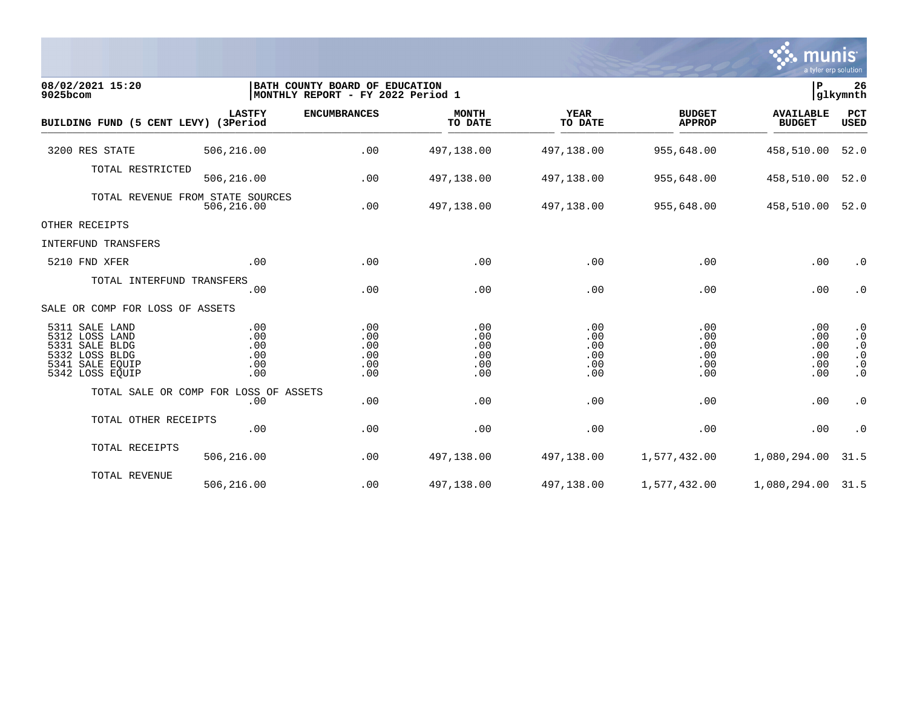

| 08/02/2021 15:20<br>9025bcom                                                                                  |                                        | BATH COUNTY BOARD OF EDUCATION<br> MONTHLY REPORT - FY 2022 Period 1 |                                        |                                        |                                        | lР<br>glkymnth                         |                                                                            |
|---------------------------------------------------------------------------------------------------------------|----------------------------------------|----------------------------------------------------------------------|----------------------------------------|----------------------------------------|----------------------------------------|----------------------------------------|----------------------------------------------------------------------------|
| BUILDING FUND (5 CENT LEVY) (3Period                                                                          | <b>LASTFY</b>                          | <b>ENCUMBRANCES</b>                                                  | <b>MONTH</b><br>TO DATE                | <b>YEAR</b><br>TO DATE                 | <b>BUDGET</b><br><b>APPROP</b>         | <b>AVAILABLE</b><br><b>BUDGET</b>      | PCT<br>USED                                                                |
| 3200 RES STATE                                                                                                | 506,216.00                             | .00                                                                  | 497,138.00                             | 497,138.00                             | 955,648.00                             | 458,510.00                             | 52.0                                                                       |
| TOTAL RESTRICTED                                                                                              | 506,216.00                             | .00                                                                  | 497,138.00                             | 497,138.00                             | 955,648.00                             | 458,510.00                             | 52.0                                                                       |
| TOTAL REVENUE FROM STATE SOURCES                                                                              | 506,216.00                             | .00                                                                  | 497,138.00                             | 497,138.00                             | 955,648.00                             | 458,510.00 52.0                        |                                                                            |
| OTHER RECEIPTS                                                                                                |                                        |                                                                      |                                        |                                        |                                        |                                        |                                                                            |
| INTERFUND TRANSFERS                                                                                           |                                        |                                                                      |                                        |                                        |                                        |                                        |                                                                            |
| 5210 FND XFER                                                                                                 | .00                                    | .00                                                                  | .00                                    | .00                                    | .00                                    | .00                                    | $\cdot$ 0                                                                  |
| TOTAL INTERFUND TRANSFERS                                                                                     | .00                                    | .00                                                                  | .00                                    | .00                                    | .00                                    | .00                                    | $\cdot$ 0                                                                  |
| SALE OR COMP FOR LOSS OF ASSETS                                                                               |                                        |                                                                      |                                        |                                        |                                        |                                        |                                                                            |
| 5311 SALE LAND<br>5312 LOSS LAND<br>5331 SALE BLDG<br>5332 LOSS BLDG<br>5341<br>SALE EOUIP<br>5342 LOSS EQUIP | .00<br>.00<br>.00<br>.00<br>.00<br>.00 | .00<br>.00<br>.00<br>.00<br>.00<br>.00                               | .00<br>.00<br>.00<br>.00<br>.00<br>.00 | .00<br>.00<br>.00<br>.00<br>.00<br>.00 | .00<br>.00<br>.00<br>.00<br>.00<br>.00 | .00<br>.00<br>.00<br>.00<br>.00<br>.00 | $\cdot$ 0<br>$\cdot$ 0<br>$\cdot$ 0<br>$\cdot$ 0<br>$\cdot$ 0<br>$\cdot$ 0 |
| TOTAL SALE OR COMP FOR LOSS OF ASSETS                                                                         | .00                                    | .00                                                                  | .00                                    | .00                                    | .00                                    | .00                                    | $\cdot$ 0                                                                  |
| TOTAL OTHER RECEIPTS                                                                                          | .00                                    | .00                                                                  | .00                                    | .00                                    | .00                                    | .00                                    | $\cdot$ 0                                                                  |
| TOTAL RECEIPTS                                                                                                | 506,216.00                             | .00                                                                  | 497,138.00                             | 497,138.00                             | 1,577,432.00                           | 1,080,294.00                           | 31.5                                                                       |
| TOTAL REVENUE                                                                                                 | 506,216.00                             | .00                                                                  | 497,138.00                             | 497,138.00                             | 1,577,432.00                           | 1,080,294.00 31.5                      |                                                                            |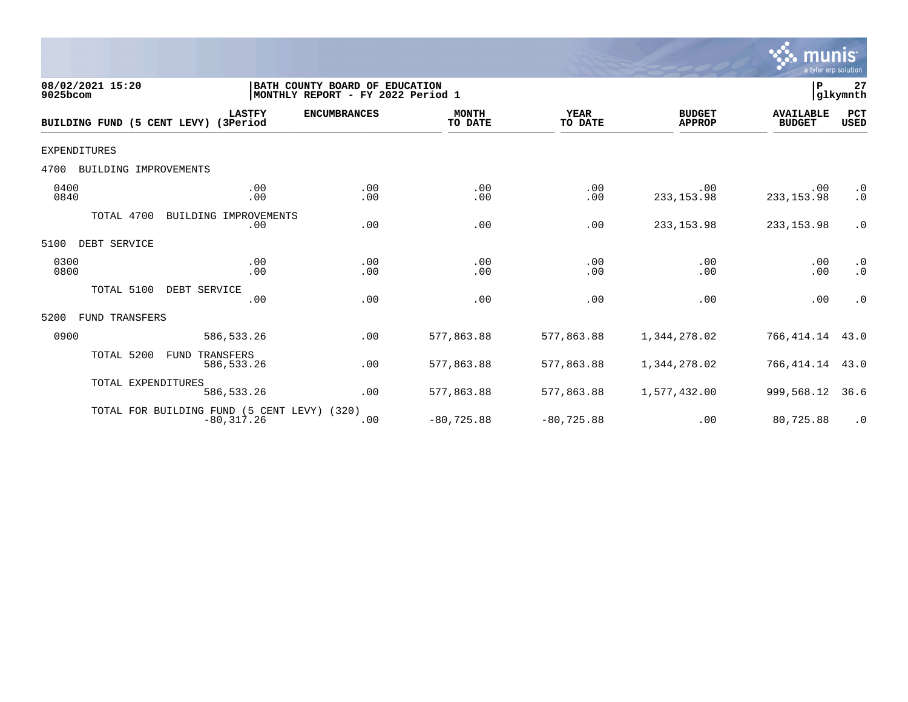

| 08/02/2021 15:20<br>9025bcom         |                                                              | BATH COUNTY BOARD OF EDUCATION<br>MONTHLY REPORT - FY 2022 Period 1 |                         |                        |                                | P                                 | 27<br>glkymnth                      |
|--------------------------------------|--------------------------------------------------------------|---------------------------------------------------------------------|-------------------------|------------------------|--------------------------------|-----------------------------------|-------------------------------------|
| BUILDING FUND (5 CENT LEVY) (3Period | <b>LASTFY</b>                                                | <b>ENCUMBRANCES</b>                                                 | <b>MONTH</b><br>TO DATE | <b>YEAR</b><br>TO DATE | <b>BUDGET</b><br><b>APPROP</b> | <b>AVAILABLE</b><br><b>BUDGET</b> | PCT<br><b>USED</b>                  |
| <b>EXPENDITURES</b>                  |                                                              |                                                                     |                         |                        |                                |                                   |                                     |
| 4700<br>BUILDING IMPROVEMENTS        |                                                              |                                                                     |                         |                        |                                |                                   |                                     |
| 0400<br>0840                         | .00<br>.00                                                   | .00<br>.00                                                          | .00<br>.00              | .00<br>.00             | .00<br>233, 153.98             | .00<br>233, 153.98                | $\cdot$ 0<br>$\cdot$ 0              |
| TOTAL 4700                           | BUILDING IMPROVEMENTS<br>.00                                 | .00                                                                 | .00                     | .00                    | 233, 153.98                    | 233, 153.98                       | $\cdot$ 0                           |
| DEBT SERVICE<br>5100                 |                                                              |                                                                     |                         |                        |                                |                                   |                                     |
| 0300<br>0800                         | .00<br>.00                                                   | .00<br>.00                                                          | .00<br>.00              | .00<br>.00             | .00<br>.00                     | .00<br>.00                        | $\cdot$ 0<br>$\boldsymbol{\cdot}$ 0 |
| TOTAL 5100                           | DEBT SERVICE<br>.00                                          | .00                                                                 | .00                     | .00                    | .00                            | .00                               | $\cdot$ 0                           |
| FUND TRANSFERS<br>5200               |                                                              |                                                                     |                         |                        |                                |                                   |                                     |
| 0900                                 | 586,533.26                                                   | .00                                                                 | 577,863.88              | 577,863.88             | 1,344,278.02                   | 766,414.14                        | 43.0                                |
| TOTAL 5200                           | FUND<br>TRANSFERS<br>586, 533. 26                            | .00                                                                 | 577,863.88              | 577,863.88             | 1,344,278.02                   | 766,414.14                        | 43.0                                |
| TOTAL EXPENDITURES                   | 586, 533.26                                                  | .00                                                                 | 577,863.88              | 577,863.88             | 1,577,432.00                   | 999,568.12                        | 36.6                                |
|                                      | TOTAL FOR BUILDING FUND (5 CENT LEVY) (320)<br>$-80, 317.26$ | .00                                                                 | $-80, 725.88$           | $-80, 725.88$          | .00                            | 80,725.88                         | $\cdot$ 0                           |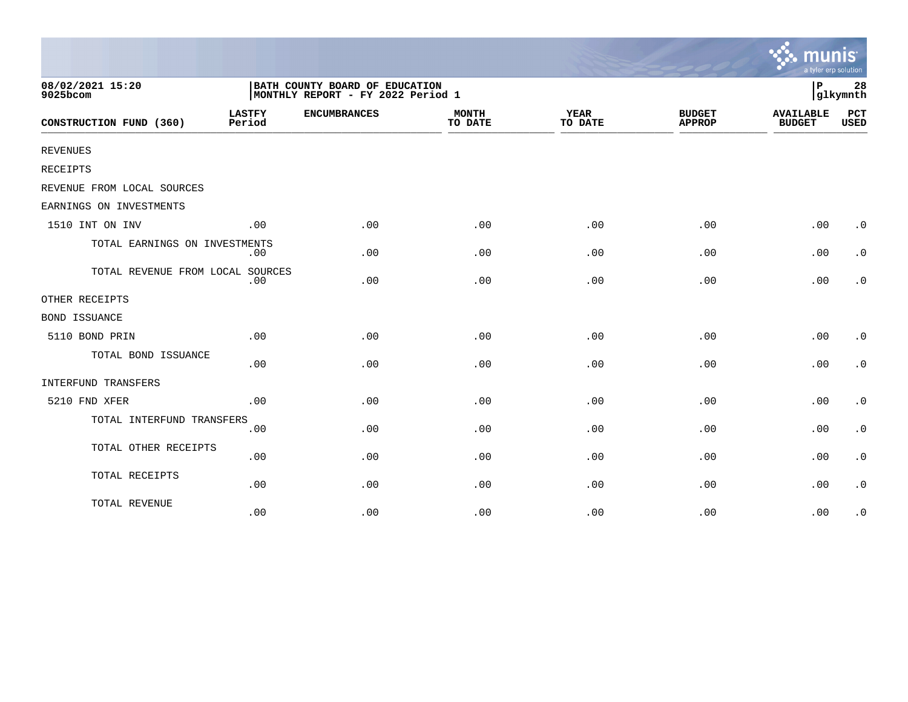|                                  |                         |                                                                     |                         |                        |                                | munis<br>a tyler erp solution     |                        |
|----------------------------------|-------------------------|---------------------------------------------------------------------|-------------------------|------------------------|--------------------------------|-----------------------------------|------------------------|
| 08/02/2021 15:20<br>9025bcom     |                         | BATH COUNTY BOARD OF EDUCATION<br>MONTHLY REPORT - FY 2022 Period 1 |                         |                        |                                | l P                               | 28<br>glkymnth         |
| CONSTRUCTION FUND (360)          | <b>LASTFY</b><br>Period | <b>ENCUMBRANCES</b>                                                 | <b>MONTH</b><br>TO DATE | <b>YEAR</b><br>TO DATE | <b>BUDGET</b><br><b>APPROP</b> | <b>AVAILABLE</b><br><b>BUDGET</b> | PCT<br><b>USED</b>     |
| <b>REVENUES</b>                  |                         |                                                                     |                         |                        |                                |                                   |                        |
| <b>RECEIPTS</b>                  |                         |                                                                     |                         |                        |                                |                                   |                        |
| REVENUE FROM LOCAL SOURCES       |                         |                                                                     |                         |                        |                                |                                   |                        |
| EARNINGS ON INVESTMENTS          |                         |                                                                     |                         |                        |                                |                                   |                        |
| 1510 INT ON INV                  | .00                     | .00                                                                 | .00                     | .00                    | .00                            | .00                               | $\cdot$ 0              |
| TOTAL EARNINGS ON INVESTMENTS    | .00                     | .00                                                                 | .00                     | .00                    | .00                            | .00                               | $\cdot$ 0              |
| TOTAL REVENUE FROM LOCAL SOURCES | .00                     | .00                                                                 | .00                     | .00                    | .00                            | .00                               | $\cdot$ 0              |
| OTHER RECEIPTS                   |                         |                                                                     |                         |                        |                                |                                   |                        |
| <b>BOND ISSUANCE</b>             |                         |                                                                     |                         |                        |                                |                                   |                        |
| 5110 BOND PRIN                   | .00                     | .00                                                                 | .00                     | .00                    | .00                            | .00                               | $\cdot$ 0              |
| TOTAL BOND ISSUANCE              | .00                     | .00                                                                 | .00                     | .00                    | .00                            | .00                               | $\cdot$ 0              |
| INTERFUND TRANSFERS              |                         |                                                                     |                         |                        |                                |                                   |                        |
| 5210 FND XFER                    | .00                     | .00                                                                 | .00                     | .00                    | .00                            | .00                               | $\cdot$ 0              |
| TOTAL INTERFUND TRANSFERS        | .00                     | .00                                                                 | .00                     | .00                    | .00                            | .00                               | $\cdot$ 0              |
| TOTAL OTHER RECEIPTS             | .00                     | .00                                                                 | .00                     | .00                    | .00                            | .00                               | $\cdot$ 0              |
| TOTAL RECEIPTS                   | .00                     | .00                                                                 | .00                     | .00                    | .00                            | .00                               | $\boldsymbol{\cdot}$ 0 |
| TOTAL REVENUE                    | .00                     | .00                                                                 | .00                     | .00                    | .00                            | .00                               | $\cdot$ 0              |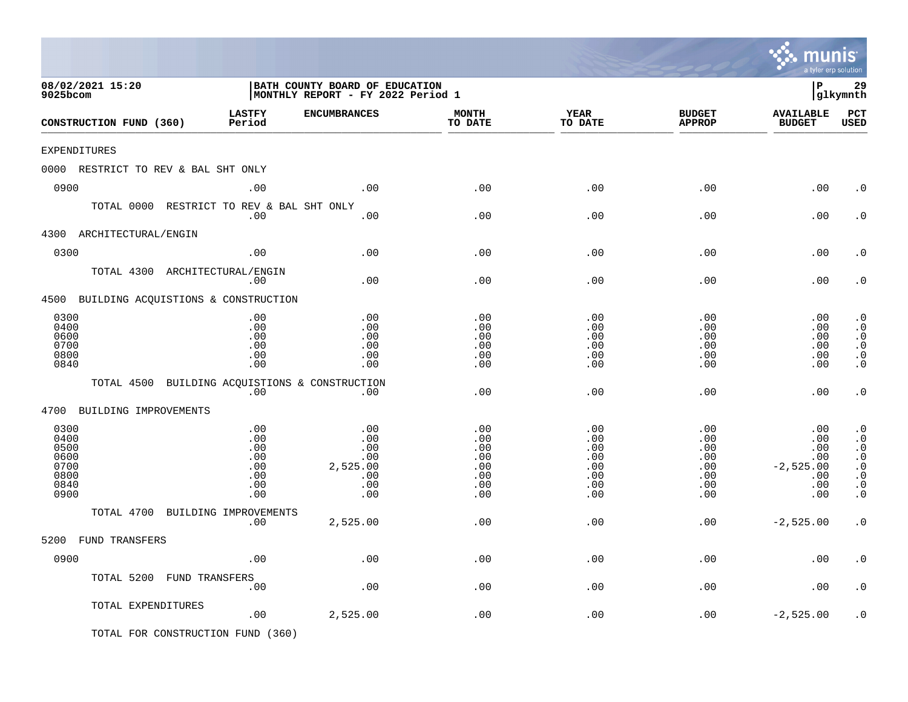|                                                              |                                                      |                                                                     |                                                      |                                                           |                                                           | mu<br>a tyler erp solution                                   |                                                                                                      |
|--------------------------------------------------------------|------------------------------------------------------|---------------------------------------------------------------------|------------------------------------------------------|-----------------------------------------------------------|-----------------------------------------------------------|--------------------------------------------------------------|------------------------------------------------------------------------------------------------------|
| 08/02/2021 15:20<br>9025bcom                                 |                                                      | BATH COUNTY BOARD OF EDUCATION<br>MONTHLY REPORT - FY 2022 Period 1 |                                                      |                                                           |                                                           | l P                                                          | 29<br> glkymnth                                                                                      |
| CONSTRUCTION FUND (360)                                      | <b>LASTFY</b><br>Period                              | <b>ENCUMBRANCES</b>                                                 | <b>MONTH</b><br>TO DATE                              | <b>YEAR</b><br>TO DATE                                    | <b>BUDGET</b><br><b>APPROP</b>                            | <b>AVAILABLE</b><br><b>BUDGET</b>                            | PCT<br><b>USED</b>                                                                                   |
| EXPENDITURES                                                 |                                                      |                                                                     |                                                      |                                                           |                                                           |                                                              |                                                                                                      |
| 0000 RESTRICT TO REV & BAL SHT ONLY                          |                                                      |                                                                     |                                                      |                                                           |                                                           |                                                              |                                                                                                      |
| 0900                                                         | .00                                                  | .00                                                                 | .00                                                  | .00                                                       | .00                                                       | .00                                                          | . 0                                                                                                  |
| TOTAL 0000 RESTRICT TO REV & BAL SHT ONLY                    | .00                                                  | .00                                                                 | .00                                                  | .00                                                       | .00                                                       | .00                                                          | $\cdot$ 0                                                                                            |
| 4300 ARCHITECTURAL/ENGIN                                     |                                                      |                                                                     |                                                      |                                                           |                                                           |                                                              |                                                                                                      |
| 0300                                                         | .00                                                  | .00                                                                 | .00                                                  | .00                                                       | .00                                                       | .00                                                          | . 0                                                                                                  |
| TOTAL 4300 ARCHITECTURAL/ENGIN                               | .00                                                  | .00                                                                 | .00                                                  | .00                                                       | .00                                                       | .00                                                          | . 0                                                                                                  |
| 4500 BUILDING ACQUISTIONS & CONSTRUCTION                     |                                                      |                                                                     |                                                      |                                                           |                                                           |                                                              |                                                                                                      |
| 0300<br>0400<br>0600<br>0700<br>0800<br>0840                 | .00<br>.00<br>.00<br>.00<br>.00<br>.00               | .00<br>.00<br>.00<br>.00<br>.00<br>.00                              | .00<br>.00<br>.00<br>.00<br>.00<br>.00               | .00<br>.00<br>.00<br>.00<br>.00<br>.00                    | .00<br>.00<br>.00<br>.00<br>.00<br>.00                    | .00<br>.00<br>.00<br>.00<br>.00<br>.00                       | $\cdot$ 0<br>$\cdot$ 0<br>$\cdot$ 0<br>$\cdot$ 0<br>$\boldsymbol{\cdot}$ 0<br>$\cdot$ 0              |
| TOTAL 4500 BUILDING ACQUISTIONS & CONSTRUCTION               | .00                                                  | $.00 \,$                                                            | .00                                                  | .00                                                       | .00                                                       | .00                                                          | $\cdot$ 0                                                                                            |
| 4700 BUILDING IMPROVEMENTS                                   |                                                      |                                                                     |                                                      |                                                           |                                                           |                                                              |                                                                                                      |
| 0300<br>0400<br>0500<br>0600<br>0700<br>0800<br>0840<br>0900 | .00<br>.00<br>.00<br>.00<br>.00<br>.00<br>.00<br>.00 | .00<br>.00<br>.00<br>.00<br>2,525.00<br>.00<br>.00<br>.00           | .00<br>.00<br>.00<br>.00<br>.00<br>.00<br>.00<br>.00 | .00<br>.00<br>.00<br>.00<br>.00<br>.00<br>$.00 \,$<br>.00 | .00<br>.00<br>.00<br>.00<br>.00<br>.00<br>$.00 \,$<br>.00 | .00<br>.00<br>.00<br>.00<br>$-2,525.00$<br>.00<br>.00<br>.00 | $\cdot$ 0<br>$\cdot$ 0<br>$\cdot$ 0<br>$\cdot$ 0<br>$\cdot$ 0<br>$\cdot$ 0<br>$\cdot$ 0<br>$\cdot$ 0 |
| TOTAL 4700 BUILDING IMPROVEMENTS                             |                                                      |                                                                     |                                                      |                                                           |                                                           |                                                              |                                                                                                      |
|                                                              | .00                                                  | 2,525.00                                                            | .00                                                  | .00                                                       | .00                                                       | $-2,525.00$                                                  | $\cdot$ 0                                                                                            |
| 5200 FUND TRANSFERS                                          |                                                      |                                                                     |                                                      |                                                           |                                                           |                                                              |                                                                                                      |
| 0900                                                         | .00                                                  | $.00$                                                               | .00                                                  | $.00$                                                     | .00                                                       | .00                                                          | $\cdot$ 0                                                                                            |
| TOTAL 5200 FUND TRANSFERS                                    | .00                                                  | $.00$                                                               | .00                                                  | .00                                                       | .00                                                       | .00                                                          | $\cdot$ 0                                                                                            |
| TOTAL EXPENDITURES                                           | .00                                                  | 2,525.00                                                            | .00                                                  | .00                                                       | .00                                                       | $-2,525.00$                                                  | $\cdot$ 0                                                                                            |
| TOTAL FOR CONSTRUCTION FUND (360)                            |                                                      |                                                                     |                                                      |                                                           |                                                           |                                                              |                                                                                                      |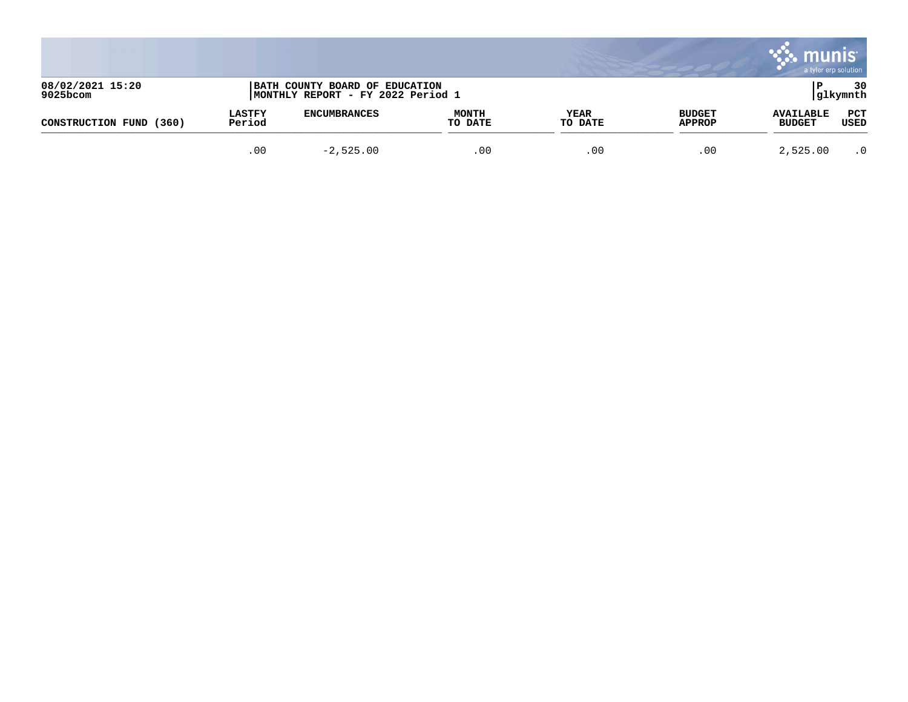|                              |                         |                                                                     |                         |                 |                                | munis<br>a tyler erp solution     |                 |
|------------------------------|-------------------------|---------------------------------------------------------------------|-------------------------|-----------------|--------------------------------|-----------------------------------|-----------------|
| 08/02/2021 15:20<br>9025bcom |                         | BATH COUNTY BOARD OF EDUCATION<br>MONTHLY REPORT - FY 2022 Period 1 |                         |                 |                                |                                   | 30<br> glkymnth |
| (360)<br>CONSTRUCTION FUND   | <b>LASTFY</b><br>Period | <b>ENCUMBRANCES</b>                                                 | <b>MONTH</b><br>TO DATE | YEAR<br>TO DATE | <b>BUDGET</b><br><b>APPROP</b> | <b>AVAILABLE</b><br><b>BUDGET</b> | PCT<br>USED     |
|                              | .00                     | $-2,525.00$                                                         | .00                     | .00             | .00                            | 2,525.00                          | $\cdot$ 0       |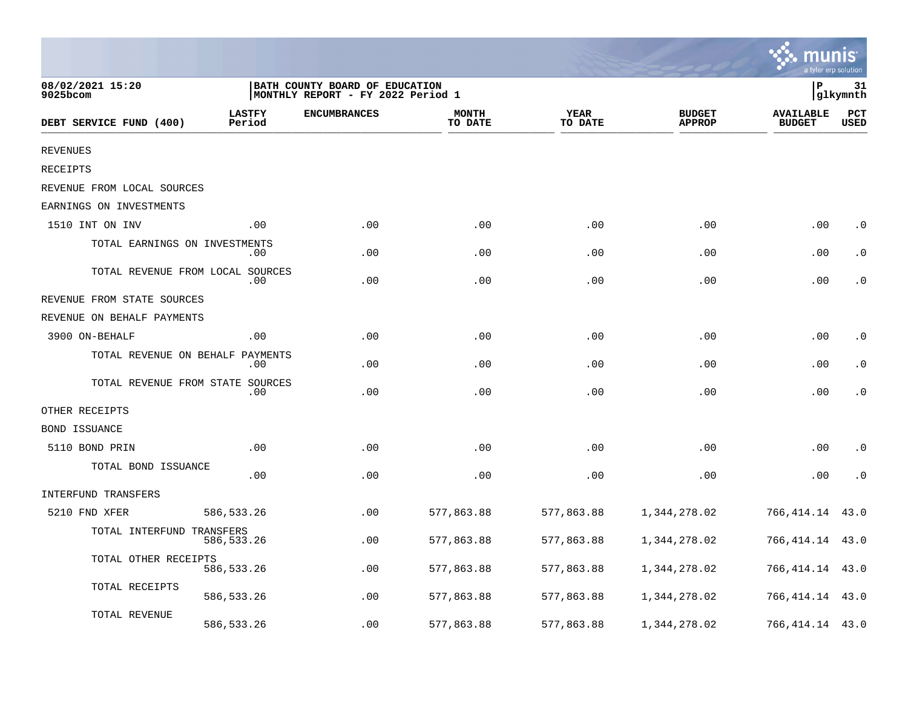|                                  |                         |                                                                      |                         |                        |                                | a tyler erp solution              |                    |
|----------------------------------|-------------------------|----------------------------------------------------------------------|-------------------------|------------------------|--------------------------------|-----------------------------------|--------------------|
| 08/02/2021 15:20<br>9025bcom     |                         | BATH COUNTY BOARD OF EDUCATION<br> MONTHLY REPORT - FY 2022 Period 1 |                         |                        |                                | ΙP                                | 31<br> glkymnth    |
| DEBT SERVICE FUND (400)          | <b>LASTFY</b><br>Period | <b>ENCUMBRANCES</b>                                                  | <b>MONTH</b><br>TO DATE | <b>YEAR</b><br>TO DATE | <b>BUDGET</b><br><b>APPROP</b> | <b>AVAILABLE</b><br><b>BUDGET</b> | PCT<br><b>USED</b> |
| <b>REVENUES</b>                  |                         |                                                                      |                         |                        |                                |                                   |                    |
| RECEIPTS                         |                         |                                                                      |                         |                        |                                |                                   |                    |
| REVENUE FROM LOCAL SOURCES       |                         |                                                                      |                         |                        |                                |                                   |                    |
| EARNINGS ON INVESTMENTS          |                         |                                                                      |                         |                        |                                |                                   |                    |
| 1510 INT ON INV                  | .00                     | .00                                                                  | .00                     | .00                    | .00                            | .00                               | $\cdot$ 0          |
| TOTAL EARNINGS ON INVESTMENTS    | .00                     | .00                                                                  | .00                     | .00                    | .00                            | .00                               | $\cdot$ 0          |
| TOTAL REVENUE FROM LOCAL SOURCES | $.00 \,$                | .00                                                                  | .00                     | .00                    | .00                            | .00                               | $\cdot$ 0          |
| REVENUE FROM STATE SOURCES       |                         |                                                                      |                         |                        |                                |                                   |                    |
| REVENUE ON BEHALF PAYMENTS       |                         |                                                                      |                         |                        |                                |                                   |                    |
| 3900 ON-BEHALF                   | .00                     | .00                                                                  | .00                     | .00                    | .00                            | .00                               | $\cdot$ 0          |
| TOTAL REVENUE ON BEHALF          | PAYMENTS<br>.00         | .00                                                                  | .00                     | .00                    | .00                            | .00                               | $\cdot$ 0          |
| TOTAL REVENUE FROM STATE SOURCES | $.00 \,$                | .00                                                                  | .00                     | .00                    | .00                            | .00                               | $\cdot$ 0          |
| OTHER RECEIPTS                   |                         |                                                                      |                         |                        |                                |                                   |                    |
| BOND ISSUANCE                    |                         |                                                                      |                         |                        |                                |                                   |                    |
| 5110 BOND PRIN                   | .00                     | .00                                                                  | .00                     | .00                    | .00                            | .00                               | $\cdot$ 0          |
| TOTAL BOND ISSUANCE              | .00                     | .00                                                                  | .00                     | .00                    | .00                            | .00                               | $\cdot$ 0          |
| <b>INTERFUND TRANSFERS</b>       |                         |                                                                      |                         |                        |                                |                                   |                    |
| 5210 FND XFER                    | 586, 533. 26            | .00                                                                  | 577,863.88              | 577,863.88             | 1,344,278.02                   | 766,414.14                        | 43.0               |
| TOTAL INTERFUND TRANSFERS        | 586,533.26              | .00                                                                  | 577,863.88              | 577,863.88             | 1,344,278.02                   | 766,414.14                        | 43.0               |
| TOTAL OTHER RECEIPTS             | 586, 533.26             | .00                                                                  | 577,863.88              | 577,863.88             | 1,344,278.02                   | 766,414.14                        | 43.0               |
| TOTAL RECEIPTS                   | 586, 533.26             | .00                                                                  | 577,863.88              | 577,863.88             | 1,344,278.02                   | 766,414.14                        | 43.0               |
| TOTAL REVENUE                    | 586, 533.26             | .00                                                                  | 577,863.88              | 577,863.88             | 1,344,278.02                   | 766, 414.14 43.0                  |                    |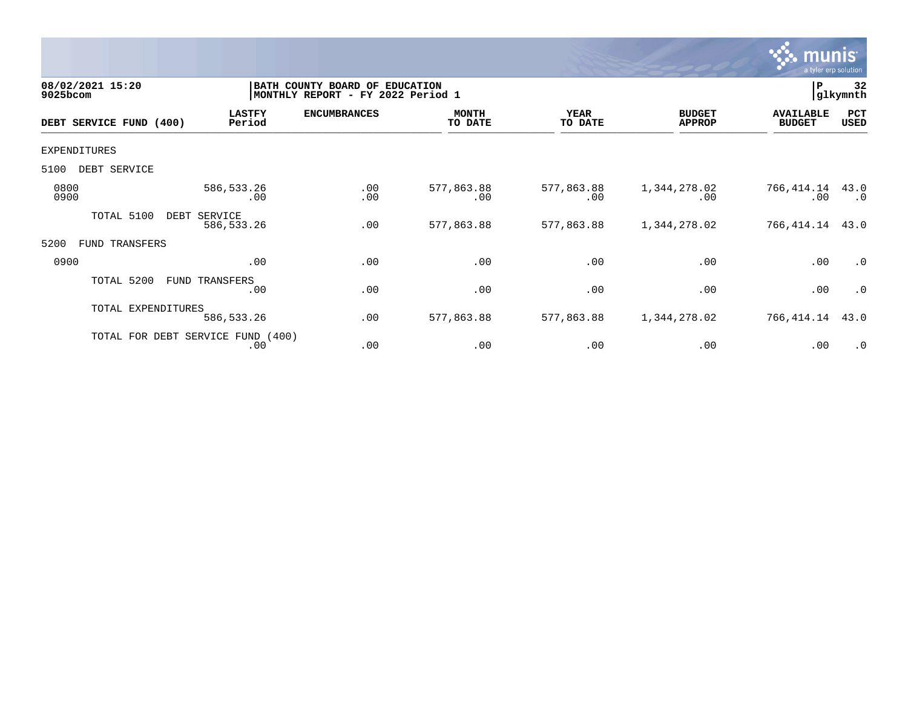

| 08/02/2021 15:20<br>9025bcom |                                          | BATH COUNTY BOARD OF<br><b>EDUCATION</b><br>MONTHLY REPORT - FY 2022 Period 1 |                         |                        |                                |                                   |                   |  |
|------------------------------|------------------------------------------|-------------------------------------------------------------------------------|-------------------------|------------------------|--------------------------------|-----------------------------------|-------------------|--|
| DEBT SERVICE FUND (400)      | <b>LASTFY</b><br>Period                  | <b>ENCUMBRANCES</b>                                                           | <b>MONTH</b><br>TO DATE | <b>YEAR</b><br>TO DATE | <b>BUDGET</b><br><b>APPROP</b> | <b>AVAILABLE</b><br><b>BUDGET</b> | PCT<br>USED       |  |
| <b>EXPENDITURES</b>          |                                          |                                                                               |                         |                        |                                |                                   |                   |  |
| 5100<br>DEBT SERVICE         |                                          |                                                                               |                         |                        |                                |                                   |                   |  |
| 0800<br>0900                 | 586,533.26<br>.00                        | .00<br>.00                                                                    | 577,863.88<br>.00       | 577,863.88<br>.00      | 1,344,278.02<br>.00            | 766,414.14<br>.00                 | 43.0<br>$\cdot$ 0 |  |
| TOTAL 5100                   | DEBT<br>SERVICE<br>586, 533. 26          | .00                                                                           | 577,863.88              | 577,863.88             | 1,344,278.02                   | 766,414.14                        | 43.0              |  |
| 5200<br>TRANSFERS<br>FUND    |                                          |                                                                               |                         |                        |                                |                                   |                   |  |
| 0900                         | .00                                      | .00                                                                           | .00                     | .00                    | .00                            | .00                               | .0                |  |
| TOTAL 5200                   | FUND TRANSFERS<br>.00                    | .00                                                                           | .00                     | .00                    | .00                            | .00                               | $\cdot$ 0         |  |
| TOTAL EXPENDITURES           | 586,533.26                               | .00                                                                           | 577,863.88              | 577,863.88             | 1,344,278.02                   | 766,414.14                        | 43.0              |  |
|                              | TOTAL FOR DEBT SERVICE FUND (400)<br>.00 | .00                                                                           | .00                     | .00                    | .00                            | .00                               | $\cdot$ 0         |  |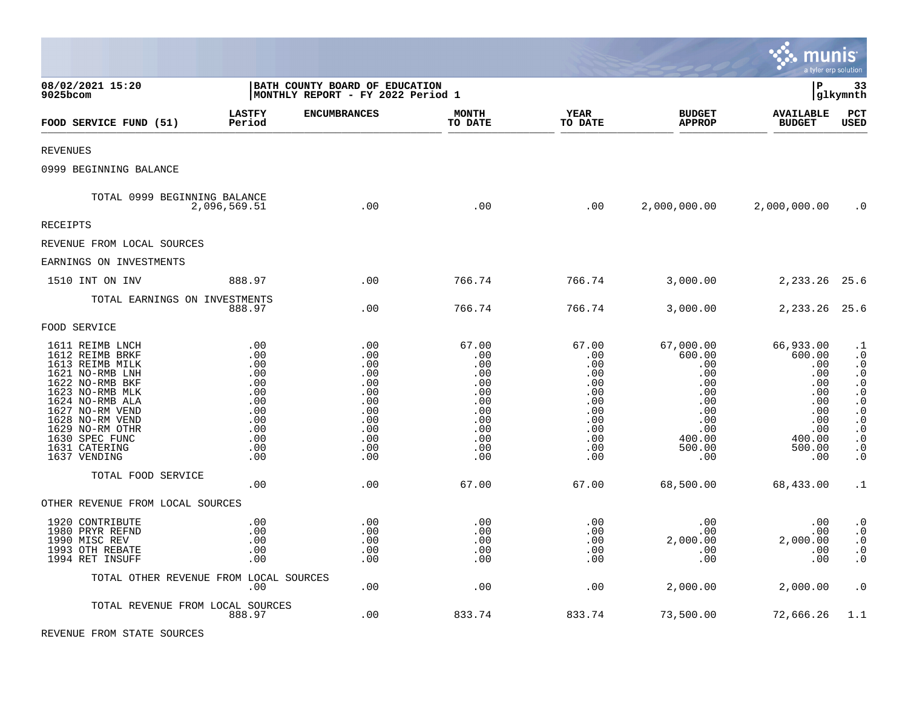|                                                                                                                                                                                                                                               |                                                                                         |                                                                                              |                                                                                           |                                                                                           |                                                                                                        | munis<br>a tyler erp solution                                                                          |                                                                                                                                                                       |
|-----------------------------------------------------------------------------------------------------------------------------------------------------------------------------------------------------------------------------------------------|-----------------------------------------------------------------------------------------|----------------------------------------------------------------------------------------------|-------------------------------------------------------------------------------------------|-------------------------------------------------------------------------------------------|--------------------------------------------------------------------------------------------------------|--------------------------------------------------------------------------------------------------------|-----------------------------------------------------------------------------------------------------------------------------------------------------------------------|
| 08/02/2021 15:20<br>9025bcom                                                                                                                                                                                                                  | BATH COUNTY BOARD OF EDUCATION<br> MONTHLY REPORT - FY 2022 Period 1                    |                                                                                              |                                                                                           |                                                                                           |                                                                                                        | l P                                                                                                    | 33<br> glkymnth                                                                                                                                                       |
| FOOD SERVICE FUND (51)                                                                                                                                                                                                                        | <b>LASTFY</b><br>Period                                                                 | <b>ENCUMBRANCES</b>                                                                          | <b>MONTH</b><br>TO DATE                                                                   | <b>YEAR</b><br>TO DATE                                                                    | <b>BUDGET</b><br><b>APPROP</b>                                                                         | <b>AVAILABLE</b><br><b>BUDGET</b>                                                                      | PCT<br>USED                                                                                                                                                           |
| <b>REVENUES</b>                                                                                                                                                                                                                               |                                                                                         |                                                                                              |                                                                                           |                                                                                           |                                                                                                        |                                                                                                        |                                                                                                                                                                       |
| 0999 BEGINNING BALANCE                                                                                                                                                                                                                        |                                                                                         |                                                                                              |                                                                                           |                                                                                           |                                                                                                        |                                                                                                        |                                                                                                                                                                       |
| TOTAL 0999 BEGINNING BALANCE<br>2,096,569.51                                                                                                                                                                                                  |                                                                                         | .00                                                                                          | .00                                                                                       | .00                                                                                       | 2,000,000.00                                                                                           | 2,000,000.00                                                                                           | $\cdot$ 0                                                                                                                                                             |
| <b>RECEIPTS</b>                                                                                                                                                                                                                               |                                                                                         |                                                                                              |                                                                                           |                                                                                           |                                                                                                        |                                                                                                        |                                                                                                                                                                       |
| REVENUE FROM LOCAL SOURCES                                                                                                                                                                                                                    |                                                                                         |                                                                                              |                                                                                           |                                                                                           |                                                                                                        |                                                                                                        |                                                                                                                                                                       |
| EARNINGS ON INVESTMENTS                                                                                                                                                                                                                       |                                                                                         |                                                                                              |                                                                                           |                                                                                           |                                                                                                        |                                                                                                        |                                                                                                                                                                       |
| 1510 INT ON INV                                                                                                                                                                                                                               | 888.97                                                                                  | .00                                                                                          | 766.74                                                                                    | 766.74                                                                                    | 3,000.00                                                                                               | 2,233.26                                                                                               | 25.6                                                                                                                                                                  |
| TOTAL EARNINGS ON INVESTMENTS                                                                                                                                                                                                                 | 888.97                                                                                  | $.00 \,$                                                                                     | 766.74                                                                                    | 766.74                                                                                    | 3,000.00                                                                                               | 2,233.26                                                                                               | 25.6                                                                                                                                                                  |
| FOOD SERVICE                                                                                                                                                                                                                                  |                                                                                         |                                                                                              |                                                                                           |                                                                                           |                                                                                                        |                                                                                                        |                                                                                                                                                                       |
| 1611 REIMB LNCH<br>1612 REIMB BRKF<br>1613 REIMB MILK<br>1621 NO-RMB LNH<br>1622 NO-RMB BKF<br>1623 NO-RMB MLK<br>1624 NO-RMB ALA<br>1627 NO-RM VEND<br>1628 NO-RM VEND<br>1629 NO-RM OTHR<br>1630 SPEC FUNC<br>1631 CATERING<br>1637 VENDING | .00<br>.00<br>.00<br>.00<br>.00<br>.00<br>.00<br>.00<br>.00<br>.00<br>.00<br>.00<br>.00 | .00<br>.00<br>.00<br>.00<br>.00<br>.00<br>.00<br>.00<br>.00<br>.00<br>.00<br>.00<br>$.00 \,$ | 67.00<br>.00<br>.00<br>.00<br>.00<br>.00<br>.00<br>.00<br>.00<br>.00<br>.00<br>.00<br>.00 | 67.00<br>.00<br>.00<br>.00<br>.00<br>.00<br>.00<br>.00<br>.00<br>.00<br>.00<br>.00<br>.00 | 67,000.00<br>600.00<br>.00<br>.00<br>.00<br>.00<br>.00<br>.00<br>.00<br>.00<br>400.00<br>500.00<br>.00 | 66,933.00<br>600.00<br>.00<br>.00<br>.00<br>.00<br>.00<br>.00<br>.00<br>.00<br>400.00<br>500.00<br>.00 | $\cdot$ 1<br>$\cdot$ 0<br>$\cdot$ 0<br>$\cdot$ 0<br>$\cdot$ 0<br>$\cdot$ 0<br>$\cdot$ 0<br>$\cdot$ 0<br>$\cdot$ 0<br>$\cdot$ 0<br>$\cdot$ 0<br>$\cdot$ 0<br>$\cdot$ 0 |
| TOTAL FOOD SERVICE                                                                                                                                                                                                                            | .00                                                                                     | .00                                                                                          | 67.00                                                                                     | 67.00                                                                                     | 68,500.00                                                                                              | 68,433.00                                                                                              | $\cdot$ 1                                                                                                                                                             |
| OTHER REVENUE FROM LOCAL SOURCES                                                                                                                                                                                                              |                                                                                         |                                                                                              |                                                                                           |                                                                                           |                                                                                                        |                                                                                                        |                                                                                                                                                                       |
| 1920 CONTRIBUTE<br>1980 PRYR REFND<br>1990 MISC REV<br>1993 OTH REBATE<br>1994 RET INSUFF                                                                                                                                                     | .00<br>.00<br>.00<br>.00<br>.00                                                         | .00<br>.00<br>.00<br>.00<br>.00                                                              | .00<br>.00<br>.00<br>.00<br>.00                                                           | .00<br>.00<br>.00<br>.00<br>.00                                                           | .00<br>.00<br>2,000.00<br>.00<br>.00                                                                   | .00<br>.00<br>2,000.00<br>.00<br>.00                                                                   | $\cdot$ 0<br>$\boldsymbol{\cdot}$ 0<br>$\cdot$ 0<br>$\cdot$ 0<br>$\cdot$ 0                                                                                            |
| TOTAL OTHER REVENUE FROM LOCAL SOURCES                                                                                                                                                                                                        | .00                                                                                     | .00                                                                                          | .00                                                                                       | .00                                                                                       | 2,000.00                                                                                               | 2,000.00                                                                                               | $\cdot$ 0                                                                                                                                                             |
| TOTAL REVENUE FROM LOCAL SOURCES                                                                                                                                                                                                              | 888.97                                                                                  | .00                                                                                          | 833.74                                                                                    | 833.74                                                                                    | 73,500.00                                                                                              | 72,666.26                                                                                              | 1.1                                                                                                                                                                   |

 $\mathcal{L}^{\text{max}}$ 

REVENUE FROM STATE SOURCES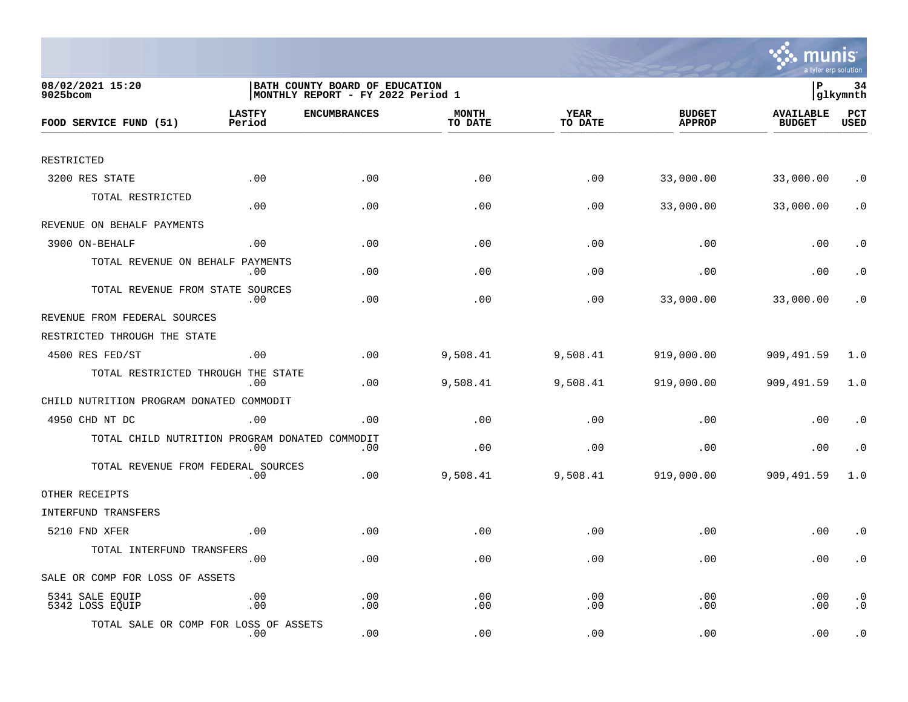

| 08/02/2021 15:20<br>$9025$ bcom                |                         | BATH COUNTY BOARD OF EDUCATION<br>MONTHLY REPORT - FY 2022 Period 1 |                         |                        |                                | lР                                | 34<br> glkymnth                 |
|------------------------------------------------|-------------------------|---------------------------------------------------------------------|-------------------------|------------------------|--------------------------------|-----------------------------------|---------------------------------|
| FOOD SERVICE FUND (51)                         | <b>LASTFY</b><br>Period | <b>ENCUMBRANCES</b>                                                 | <b>MONTH</b><br>TO DATE | <b>YEAR</b><br>TO DATE | <b>BUDGET</b><br><b>APPROP</b> | <b>AVAILABLE</b><br><b>BUDGET</b> | PCT<br><b>USED</b>              |
|                                                |                         |                                                                     |                         |                        |                                |                                   |                                 |
| RESTRICTED                                     |                         |                                                                     |                         |                        |                                |                                   |                                 |
| 3200 RES STATE                                 | .00                     | .00                                                                 | .00                     | .00                    | 33,000.00                      | 33,000.00                         | . $\boldsymbol{0}$              |
| TOTAL RESTRICTED                               | .00                     | .00                                                                 | .00                     | .00                    | 33,000.00                      | 33,000.00                         | $\cdot$ 0                       |
| REVENUE ON BEHALF PAYMENTS                     |                         |                                                                     |                         |                        |                                |                                   |                                 |
| 3900 ON-BEHALF                                 | .00                     | .00                                                                 | .00                     | .00                    | .00                            | .00                               | $\cdot$ 0                       |
| TOTAL REVENUE ON BEHALF                        | PAYMENTS<br>.00         | .00                                                                 | .00                     | .00                    | .00                            | .00                               | . 0                             |
| TOTAL REVENUE FROM STATE SOURCES               | .00                     | .00                                                                 | .00                     | .00                    | 33,000.00                      | 33,000.00                         | $\cdot$ 0                       |
| REVENUE FROM FEDERAL SOURCES                   |                         |                                                                     |                         |                        |                                |                                   |                                 |
| RESTRICTED THROUGH THE STATE                   |                         |                                                                     |                         |                        |                                |                                   |                                 |
| 4500 RES FED/ST                                | .00                     | .00                                                                 | 9,508.41                | 9,508.41               | 919,000.00                     | 909,491.59                        | 1.0                             |
| TOTAL RESTRICTED THROUGH THE STATE             | .00                     | .00                                                                 | 9,508.41                | 9,508.41               | 919,000.00                     | 909,491.59                        | 1.0                             |
| CHILD NUTRITION PROGRAM DONATED COMMODIT       |                         |                                                                     |                         |                        |                                |                                   |                                 |
| 4950 CHD NT DC                                 | .00                     | .00                                                                 | .00                     | .00                    | .00                            | .00                               | $\cdot$ 0                       |
| TOTAL CHILD NUTRITION PROGRAM DONATED COMMODIT | .00                     | .00                                                                 | .00                     | .00                    | .00                            | .00                               | $\cdot$ 0                       |
| TOTAL REVENUE FROM FEDERAL SOURCES             | .00                     | .00                                                                 | 9,508.41                | 9,508.41               | 919,000.00                     | 909,491.59                        | 1.0                             |
| OTHER RECEIPTS                                 |                         |                                                                     |                         |                        |                                |                                   |                                 |
| INTERFUND TRANSFERS                            |                         |                                                                     |                         |                        |                                |                                   |                                 |
| 5210 FND XFER                                  | .00                     | .00                                                                 | .00                     | .00                    | .00                            | .00                               | $\cdot$ 0                       |
| TOTAL INTERFUND TRANSFERS                      | .00                     | .00                                                                 | .00                     | .00                    | .00                            | .00                               | $\cdot$ 0                       |
| SALE OR COMP FOR LOSS OF ASSETS                |                         |                                                                     |                         |                        |                                |                                   |                                 |
| 5341 SALE EQUIP<br>5342 LOSS EQUIP             | .00<br>.00              | .00<br>.00                                                          | .00<br>.00              | .00<br>.00             | .00<br>.00                     | .00<br>.00                        | . $\boldsymbol{0}$<br>$\cdot$ 0 |
| TOTAL SALE OR COMP FOR LOSS OF ASSETS          | $.00 \,$                | .00                                                                 | .00                     | .00                    | .00                            | .00                               | $\cdot$ 0                       |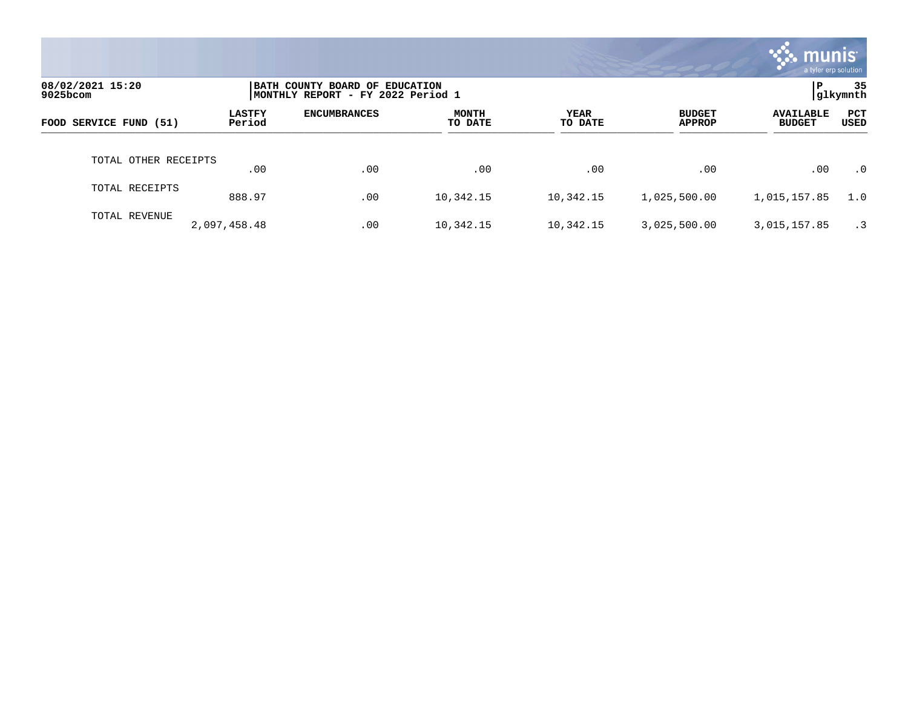|                              |                         |                                                                     |                         |                 |                                | munis'<br>a tyler erp solution    |                |
|------------------------------|-------------------------|---------------------------------------------------------------------|-------------------------|-----------------|--------------------------------|-----------------------------------|----------------|
| 08/02/2021 15:20<br>9025bcom |                         | BATH COUNTY BOARD OF EDUCATION<br>MONTHLY REPORT - FY 2022 Period 1 |                         |                 |                                | P                                 | 35<br>glkymnth |
| FOOD SERVICE FUND (51)       | <b>LASTFY</b><br>Period | <b>ENCUMBRANCES</b>                                                 | <b>MONTH</b><br>TO DATE | YEAR<br>TO DATE | <b>BUDGET</b><br><b>APPROP</b> | <b>AVAILABLE</b><br><b>BUDGET</b> | PCT<br>USED    |
| TOTAL OTHER RECEIPTS         | .00                     | .00                                                                 | .00                     | .00             | .00                            | .00                               | $\cdot$ 0      |
| TOTAL RECEIPTS               | 888.97                  | .00                                                                 | 10,342.15               | 10,342.15       | 1,025,500.00                   | 1,015,157.85                      | 1.0            |
| TOTAL REVENUE                | 2,097,458.48            | .00                                                                 | 10,342.15               | 10,342.15       | 3,025,500.00                   | 3,015,157.85                      | $\cdot$ 3      |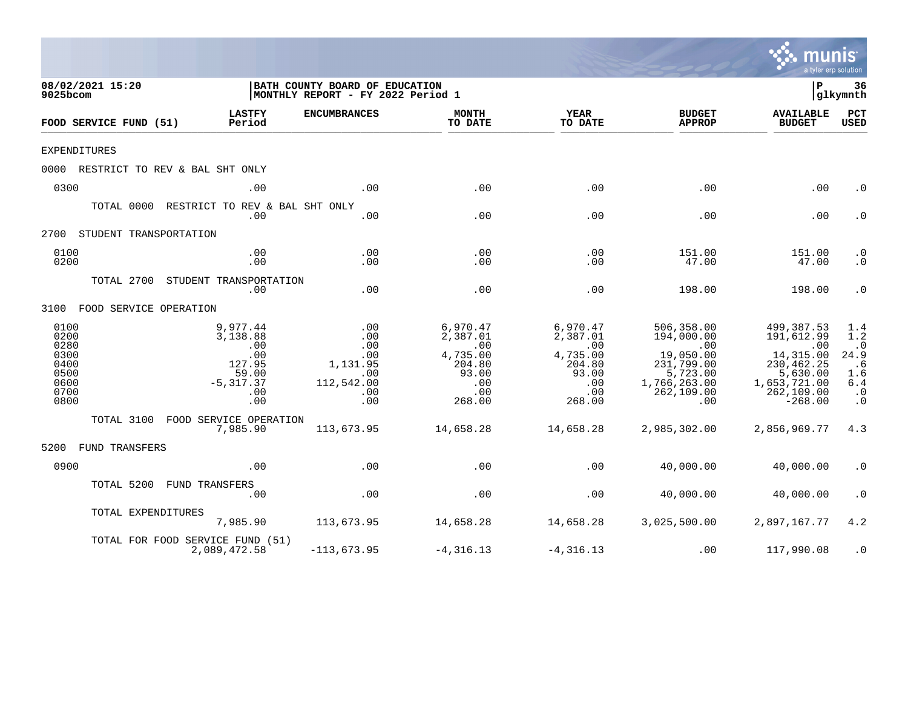|                                                                      |                             |                                                                                    |                                                                         |                                                                                    |                                                                                         |                                                                                                                   | <b>munis</b><br>a tyler erp solution                                                                                |                                                                                |
|----------------------------------------------------------------------|-----------------------------|------------------------------------------------------------------------------------|-------------------------------------------------------------------------|------------------------------------------------------------------------------------|-----------------------------------------------------------------------------------------|-------------------------------------------------------------------------------------------------------------------|---------------------------------------------------------------------------------------------------------------------|--------------------------------------------------------------------------------|
| 08/02/2021 15:20<br>9025bcom                                         |                             |                                                                                    | BATH COUNTY BOARD OF EDUCATION<br>MONTHLY REPORT - FY 2022 Period 1     |                                                                                    |                                                                                         |                                                                                                                   | ΙP                                                                                                                  | 36<br> glkymnth                                                                |
|                                                                      | FOOD SERVICE FUND (51)      | <b>LASTFY</b><br>Period                                                            | <b>ENCUMBRANCES</b>                                                     | <b>MONTH</b><br>TO DATE                                                            | <b>YEAR</b><br>TO DATE                                                                  | <b>BUDGET</b><br><b>APPROP</b>                                                                                    | <b>AVAILABLE</b><br><b>BUDGET</b>                                                                                   | PCT<br><b>USED</b>                                                             |
| <b>EXPENDITURES</b>                                                  |                             |                                                                                    |                                                                         |                                                                                    |                                                                                         |                                                                                                                   |                                                                                                                     |                                                                                |
|                                                                      |                             | 0000 RESTRICT TO REV & BAL SHT ONLY                                                |                                                                         |                                                                                    |                                                                                         |                                                                                                                   |                                                                                                                     |                                                                                |
| 0300                                                                 |                             | .00                                                                                | .00                                                                     | .00                                                                                | .00                                                                                     | .00                                                                                                               | .00                                                                                                                 | $\cdot$ 0                                                                      |
|                                                                      | TOTAL 0000                  | RESTRICT TO REV & BAL SHT ONLY<br>.00                                              | .00                                                                     | .00                                                                                | .00                                                                                     | .00                                                                                                               | .00                                                                                                                 | $\cdot$ 0                                                                      |
| 2700                                                                 | STUDENT TRANSPORTATION      |                                                                                    |                                                                         |                                                                                    |                                                                                         |                                                                                                                   |                                                                                                                     |                                                                                |
| 0100<br>0200                                                         |                             | .00<br>.00                                                                         | .00<br>.00                                                              | .00<br>.00                                                                         | .00<br>.00                                                                              | 151.00<br>47.00                                                                                                   | 151.00<br>47.00                                                                                                     | $\cdot$ 0<br>$\cdot$ 0                                                         |
|                                                                      | TOTAL 2700                  | STUDENT TRANSPORTATION<br>.00                                                      | .00                                                                     | .00                                                                                | .00                                                                                     | 198.00                                                                                                            | 198.00                                                                                                              | $\cdot$ 0                                                                      |
|                                                                      | 3100 FOOD SERVICE OPERATION |                                                                                    |                                                                         |                                                                                    |                                                                                         |                                                                                                                   |                                                                                                                     |                                                                                |
| 0100<br>0200<br>0280<br>0300<br>0400<br>0500<br>0600<br>0700<br>0800 |                             | 9,977.44<br>3,138.88<br>.00<br>.00<br>127.95<br>59.00<br>$-5,317.37$<br>.00<br>.00 | .00<br>.00<br>.00<br>.00<br>1,131.95<br>.00<br>112,542.00<br>.00<br>.00 | 6,970.47<br>2,387.01<br>.00<br>4,735.00<br>204.80<br>93.00<br>.00<br>.00<br>268.00 | 6,970.47<br>2,387.01<br>$\ldots$<br>4,735.00<br>204.80<br>93.00<br>.00<br>.00<br>268.00 | 506,358.00<br>194,000.00<br>$\sim$ 00<br>19,050.00<br>231,799.00<br>5,723.00<br>1,766,263.00<br>262,109.00<br>.00 | 499,387.53<br>191,612.99<br>.00<br>14,315.00<br>230, 462.25<br>5,630.00<br>1,653,721.00<br>262, 109.00<br>$-268.00$ | 1.4<br>1.2<br>$\cdot$ 0<br>24.9<br>. 6<br>1.6<br>6.4<br>$\cdot$ 0<br>$\cdot$ 0 |
|                                                                      | TOTAL 3100                  | FOOD SERVICE OPERATION<br>7,985.90                                                 | 113,673.95                                                              | 14,658.28                                                                          | 14,658.28                                                                               | 2,985,302.00                                                                                                      | 2,856,969.77                                                                                                        | 4.3                                                                            |
| 5200                                                                 | FUND TRANSFERS              |                                                                                    |                                                                         |                                                                                    |                                                                                         |                                                                                                                   |                                                                                                                     |                                                                                |
| 0900                                                                 |                             | .00                                                                                | .00                                                                     | .00                                                                                | .00                                                                                     | 40,000.00                                                                                                         | 40,000.00                                                                                                           | $\cdot$ 0                                                                      |
|                                                                      | TOTAL 5200                  | FUND TRANSFERS<br>.00                                                              | .00                                                                     | .00                                                                                | .00                                                                                     | 40,000.00                                                                                                         | 40,000.00                                                                                                           | $\cdot$ 0                                                                      |
|                                                                      | TOTAL EXPENDITURES          | 7,985.90                                                                           | 113,673.95                                                              | 14,658.28                                                                          | 14,658.28                                                                               | 3,025,500.00                                                                                                      | 2,897,167.77                                                                                                        | 4.2                                                                            |
|                                                                      |                             | TOTAL FOR FOOD SERVICE FUND (51)<br>2,089,472.58                                   | $-113,673.95$                                                           | $-4, 316.13$                                                                       | $-4, 316.13$                                                                            | .00                                                                                                               | 117,990.08                                                                                                          | $\cdot$ 0                                                                      |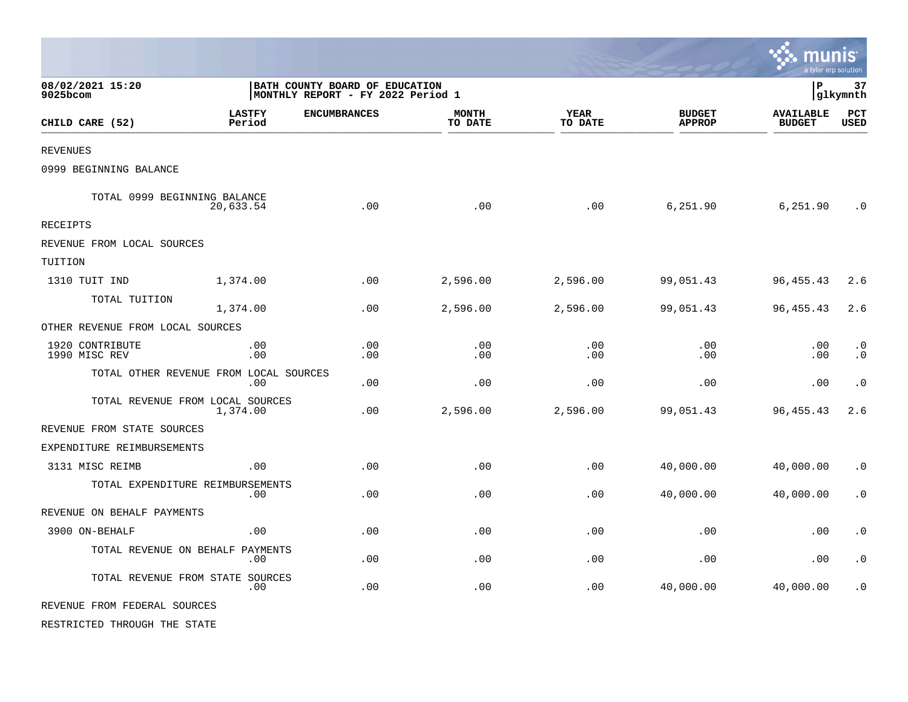|                                  |                                               |                                                                     |                         |                 |                                | munis<br>a tyler erp solution     |                        |
|----------------------------------|-----------------------------------------------|---------------------------------------------------------------------|-------------------------|-----------------|--------------------------------|-----------------------------------|------------------------|
| 08/02/2021 15:20<br>9025bcom     |                                               | BATH COUNTY BOARD OF EDUCATION<br>MONTHLY REPORT - FY 2022 Period 1 |                         |                 |                                | l P                               | 37<br>glkymnth         |
| CHILD CARE (52)                  | <b>LASTFY</b><br>Period                       | <b>ENCUMBRANCES</b>                                                 | <b>MONTH</b><br>TO DATE | YEAR<br>TO DATE | <b>BUDGET</b><br><b>APPROP</b> | <b>AVAILABLE</b><br><b>BUDGET</b> | PCT<br><b>USED</b>     |
| <b>REVENUES</b>                  |                                               |                                                                     |                         |                 |                                |                                   |                        |
| 0999 BEGINNING BALANCE           |                                               |                                                                     |                         |                 |                                |                                   |                        |
| TOTAL 0999 BEGINNING BALANCE     | 20,633.54                                     | .00                                                                 | .00                     | .00             | 6,251.90                       | 6,251.90                          | $\cdot$ 0              |
| <b>RECEIPTS</b>                  |                                               |                                                                     |                         |                 |                                |                                   |                        |
| REVENUE FROM LOCAL SOURCES       |                                               |                                                                     |                         |                 |                                |                                   |                        |
| TUITION                          |                                               |                                                                     |                         |                 |                                |                                   |                        |
| 1310 TUIT IND                    | 1,374.00                                      | .00                                                                 | 2,596.00                | 2,596.00        | 99,051.43                      | 96, 455. 43                       | 2.6                    |
| TOTAL TUITION                    | 1,374.00                                      | .00                                                                 | 2,596.00                | 2,596.00        | 99,051.43                      | 96, 455. 43                       | 2.6                    |
| OTHER REVENUE FROM LOCAL SOURCES |                                               |                                                                     |                         |                 |                                |                                   |                        |
| 1920 CONTRIBUTE<br>1990 MISC REV | .00<br>.00                                    | .00<br>.00                                                          | .00<br>.00              | .00<br>.00      | .00<br>.00                     | .00<br>.00                        | $\cdot$ 0<br>$\cdot$ 0 |
|                                  | TOTAL OTHER REVENUE FROM LOCAL SOURCES<br>.00 | .00                                                                 | .00                     | .00             | .00                            | .00                               | $\cdot$ 0              |
|                                  | TOTAL REVENUE FROM LOCAL SOURCES<br>1,374.00  | .00                                                                 | 2,596.00                | 2,596.00        | 99,051.43                      | 96, 455. 43                       | 2.6                    |
| REVENUE FROM STATE SOURCES       |                                               |                                                                     |                         |                 |                                |                                   |                        |
| EXPENDITURE REIMBURSEMENTS       |                                               |                                                                     |                         |                 |                                |                                   |                        |
| 3131 MISC REIMB                  | .00                                           | .00                                                                 | .00                     | .00             | 40,000.00                      | 40,000.00                         | $\cdot$ 0              |
|                                  | TOTAL EXPENDITURE REIMBURSEMENTS<br>.00       | .00                                                                 | .00                     | .00             | 40,000.00                      | 40,000.00                         | $\cdot$ 0              |
| REVENUE ON BEHALF PAYMENTS       |                                               |                                                                     |                         |                 |                                |                                   |                        |
| 3900 ON-BEHALF                   | .00                                           | .00                                                                 | .00                     | .00             | .00                            | .00                               | $\cdot$ 0              |
|                                  | TOTAL REVENUE ON BEHALF PAYMENTS<br>.00       | .00                                                                 | .00                     | .00             | .00                            | .00                               | $\cdot$ 0              |
|                                  | TOTAL REVENUE FROM STATE SOURCES<br>.00       | .00                                                                 | .00                     | .00             | 40,000.00                      | 40,000.00                         | $\cdot$ 0              |
| REVENUE FROM FEDERAL SOURCES     |                                               |                                                                     |                         |                 |                                |                                   |                        |
| RESTRICTED THROUGH THE STATE     |                                               |                                                                     |                         |                 |                                |                                   |                        |

 $\mathcal{L}$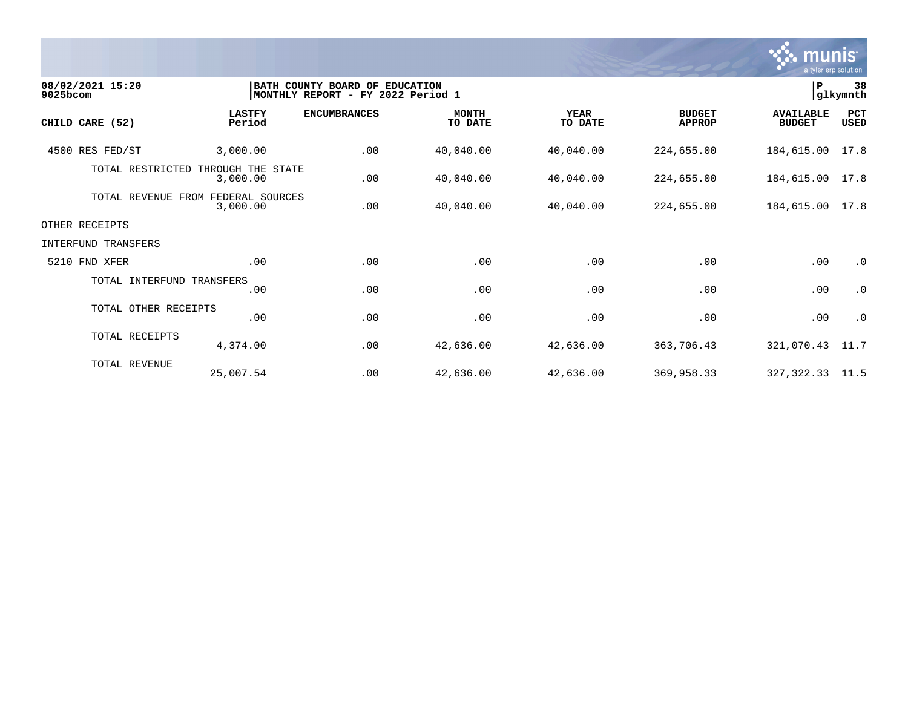

| 08/02/2021 15:20<br>$9025$ bcom |                               | BATH COUNTY BOARD OF EDUCATION<br> MONTHLY REPORT - FY 2022 Period 1 |                         |                        |                                | l P                               | 38<br>glkymnth     |
|---------------------------------|-------------------------------|----------------------------------------------------------------------|-------------------------|------------------------|--------------------------------|-----------------------------------|--------------------|
| CHILD CARE (52)                 | <b>LASTFY</b><br>Period       | <b>ENCUMBRANCES</b>                                                  | <b>MONTH</b><br>TO DATE | <b>YEAR</b><br>TO DATE | <b>BUDGET</b><br><b>APPROP</b> | <b>AVAILABLE</b><br><b>BUDGET</b> | PCT<br><b>USED</b> |
| 4500 RES FED/ST                 | 3,000.00                      | .00                                                                  | 40,040.00               | 40,040.00              | 224,655.00                     | 184,615.00                        | 17.8               |
| TOTAL RESTRICTED                | THROUGH THE STATE<br>3,000.00 | .00                                                                  | 40,040.00               | 40,040.00              | 224,655.00                     | 184,615.00                        | 17.8               |
| TOTAL REVENUE FROM              | FEDERAL SOURCES<br>3,000.00   | .00                                                                  | 40,040.00               | 40,040.00              | 224,655.00                     | 184,615.00                        | 17.8               |
| OTHER RECEIPTS                  |                               |                                                                      |                         |                        |                                |                                   |                    |
| INTERFUND TRANSFERS             |                               |                                                                      |                         |                        |                                |                                   |                    |
| 5210 FND XFER                   | .00                           | .00                                                                  | .00                     | .00                    | .00                            | .00                               | $\cdot$ 0          |
| TOTAL INTERFUND TRANSFERS       | .00                           | .00                                                                  | .00                     | .00                    | .00                            | .00                               | $\cdot$ 0          |
| TOTAL OTHER RECEIPTS            | .00                           | .00                                                                  | .00                     | .00                    | .00                            | .00                               | $\cdot$ 0          |
| TOTAL RECEIPTS                  | 4,374.00                      | .00                                                                  | 42,636.00               | 42,636.00              | 363,706.43                     | 321,070.43                        | 11.7               |
| TOTAL REVENUE                   | 25,007.54                     | .00                                                                  | 42,636.00               | 42,636.00              | 369,958.33                     | 327,322.33                        | 11.5               |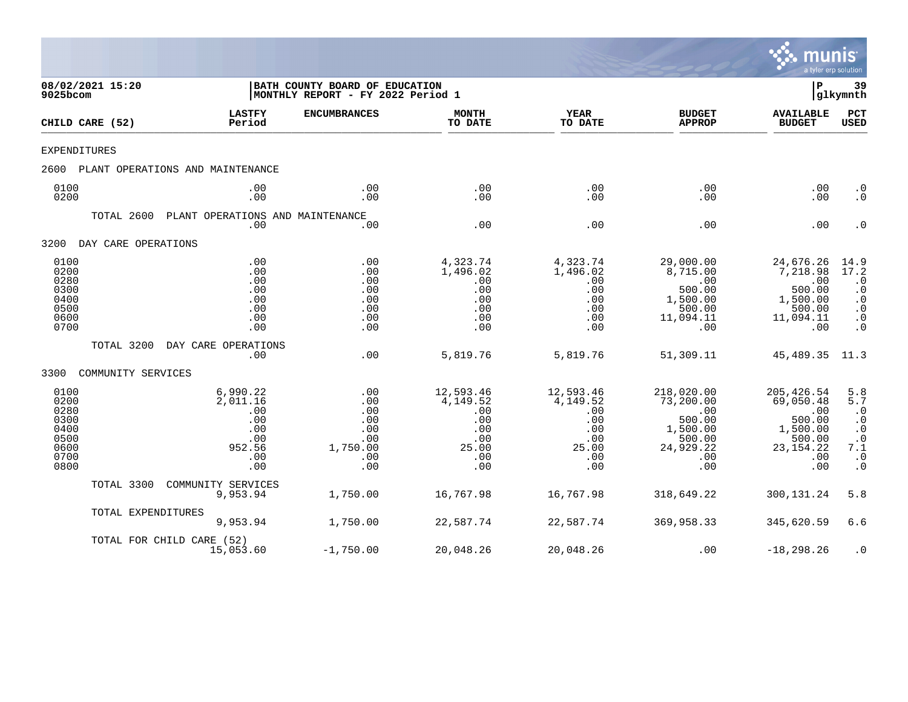

| 9025bcom                                                             | 08/02/2021 15:20    |                                                                          | BATH COUNTY BOARD OF EDUCATION<br> MONTHLY REPORT - FY 2022 Period 1 |                                                                          |                                                                          |                                                                                           | P                                                                                            | 39<br> glkymnth                                                                                              |
|----------------------------------------------------------------------|---------------------|--------------------------------------------------------------------------|----------------------------------------------------------------------|--------------------------------------------------------------------------|--------------------------------------------------------------------------|-------------------------------------------------------------------------------------------|----------------------------------------------------------------------------------------------|--------------------------------------------------------------------------------------------------------------|
|                                                                      | CHILD CARE (52)     | <b>LASTFY</b><br>Period                                                  | <b>ENCUMBRANCES</b>                                                  | <b>MONTH</b><br>TO DATE                                                  | <b>YEAR</b><br>TO DATE                                                   | <b>BUDGET</b><br><b>APPROP</b>                                                            | <b>AVAILABLE</b><br><b>BUDGET</b>                                                            | PCT<br><b>USED</b>                                                                                           |
| EXPENDITURES                                                         |                     |                                                                          |                                                                      |                                                                          |                                                                          |                                                                                           |                                                                                              |                                                                                                              |
| 2600                                                                 |                     | PLANT OPERATIONS AND MAINTENANCE                                         |                                                                      |                                                                          |                                                                          |                                                                                           |                                                                                              |                                                                                                              |
| 0100<br>0200                                                         |                     | .00<br>.00                                                               | .00<br>.00                                                           | .00<br>.00                                                               | .00<br>.00                                                               | .00<br>.00                                                                                | .00<br>.00                                                                                   | $\cdot$ 0<br>$\cdot$ 0                                                                                       |
|                                                                      | TOTAL 2600          | PLANT OPERATIONS AND MAINTENANCE<br>.00                                  | .00                                                                  | .00                                                                      | .00                                                                      | .00                                                                                       | .00                                                                                          | $\cdot$ 0                                                                                                    |
| 3200                                                                 | DAY CARE OPERATIONS |                                                                          |                                                                      |                                                                          |                                                                          |                                                                                           |                                                                                              |                                                                                                              |
| 0100<br>0200<br>0280<br>0300<br>0400<br>0500<br>0600<br>0700         |                     | .00<br>.00<br>.00<br>.00<br>.00<br>.00<br>.00<br>.00                     | .00<br>.00<br>.00<br>.00<br>.00<br>.00<br>.00<br>.00                 | 4,323.74<br>1,496.02<br>.00<br>.00<br>.00<br>.00<br>.00<br>.00           | 4,323.74<br>1,496.02<br>.00<br>.00<br>.00<br>.00<br>.00<br>.00           | 29,000.00<br>8,715.00<br>.00<br>500.00<br>1,500.00<br>500.00<br>11,094.11<br>.00          | 24,676.26<br>7,218.98<br>.00<br>500.00<br>1,500.00<br>500.00<br>11,094.11<br>.00             | $\frac{14.9}{17.2}$<br>$\cdot$ 0<br>$\cdot$ 0<br>$\cdot$ 0<br>$\cdot$ 0<br>$\cdot$ 0<br>$\cdot$ 0            |
|                                                                      | TOTAL 3200          | DAY CARE OPERATIONS<br>.00                                               | .00                                                                  | 5,819.76                                                                 | 5,819.76                                                                 | 51,309.11                                                                                 | 45,489.35                                                                                    | 11.3                                                                                                         |
| 3300                                                                 | COMMUNITY SERVICES  |                                                                          |                                                                      |                                                                          |                                                                          |                                                                                           |                                                                                              |                                                                                                              |
| 0100<br>0200<br>0280<br>0300<br>0400<br>0500<br>0600<br>0700<br>0800 |                     | 6,990.22<br>2,011.16<br>.00<br>.00<br>.00<br>.00<br>952.56<br>.00<br>.00 | .00<br>.00<br>.00<br>.00<br>.00<br>.00<br>1,750.00<br>.00<br>.00     | 12,593.46<br>4,149.52<br>.00<br>.00<br>.00<br>.00<br>25.00<br>.00<br>.00 | 12,593.46<br>4,149.52<br>.00<br>.00<br>.00<br>.00<br>25.00<br>.00<br>.00 | 218,020.00<br>73,200.00<br>.00<br>500.00<br>1,500.00<br>500.00<br>24,929.22<br>.00<br>.00 | 205, 426.54<br>69,050.48<br>.00<br>500.00<br>1,500.00<br>500.00<br>23, 154. 22<br>.00<br>.00 | 5.8<br>5.7<br>$\cdot$ 0<br>$\cdot$ 0<br>$\cdot$ 0<br>$\cdot$ 0<br>7.1<br>$\boldsymbol{\cdot}$ 0<br>$\cdot$ 0 |
|                                                                      | TOTAL 3300          | COMMUNITY SERVICES<br>9,953.94                                           | 1,750.00                                                             | 16,767.98                                                                | 16,767.98                                                                | 318,649.22                                                                                | 300, 131.24                                                                                  | 5.8                                                                                                          |
|                                                                      | TOTAL EXPENDITURES  | 9,953.94                                                                 | 1,750.00                                                             | 22,587.74                                                                | 22,587.74                                                                | 369,958.33                                                                                | 345,620.59                                                                                   | 6.6                                                                                                          |
|                                                                      |                     | TOTAL FOR CHILD CARE (52)<br>15,053.60                                   | $-1,750.00$                                                          | 20,048.26                                                                | 20,048.26                                                                | .00                                                                                       | $-18, 298.26$                                                                                | $\cdot$ 0                                                                                                    |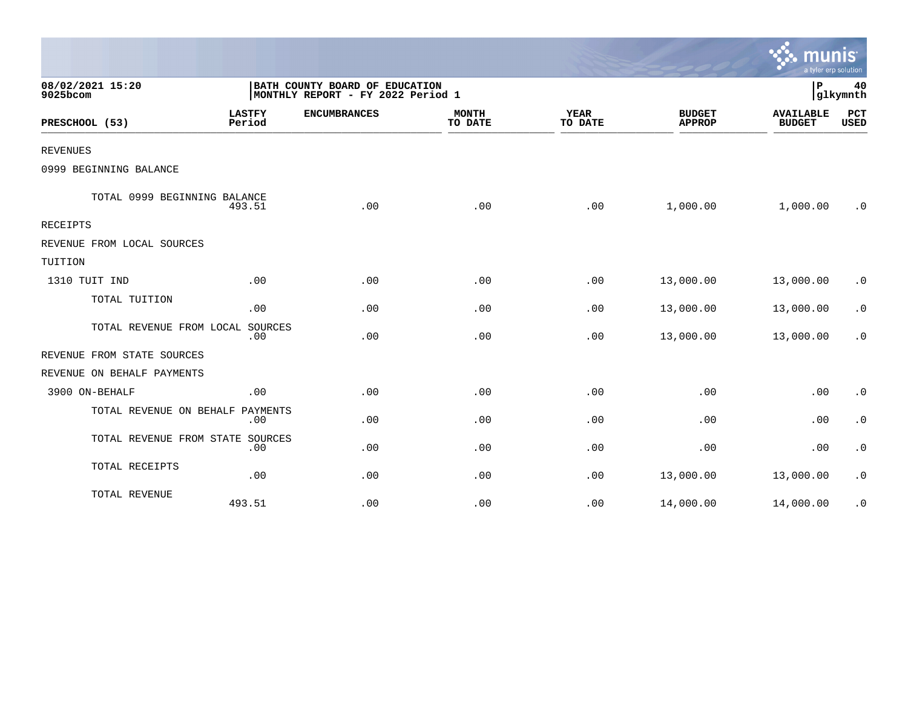|                                  |                         |                                                                     |                         |                        |                                | mun<br>a tyler erp solution       |                    |
|----------------------------------|-------------------------|---------------------------------------------------------------------|-------------------------|------------------------|--------------------------------|-----------------------------------|--------------------|
| 08/02/2021 15:20<br>9025bcom     |                         | BATH COUNTY BOARD OF EDUCATION<br>MONTHLY REPORT - FY 2022 Period 1 |                         |                        |                                | IΡ                                | 40<br>glkymnth     |
| PRESCHOOL (53)                   | <b>LASTFY</b><br>Period | <b>ENCUMBRANCES</b>                                                 | <b>MONTH</b><br>TO DATE | <b>YEAR</b><br>TO DATE | <b>BUDGET</b><br><b>APPROP</b> | <b>AVAILABLE</b><br><b>BUDGET</b> | PCT<br><b>USED</b> |
| <b>REVENUES</b>                  |                         |                                                                     |                         |                        |                                |                                   |                    |
| 0999 BEGINNING BALANCE           |                         |                                                                     |                         |                        |                                |                                   |                    |
| TOTAL 0999 BEGINNING BALANCE     | 493.51                  | .00                                                                 | .00                     | .00                    | 1,000.00                       | 1,000.00                          | $\cdot$ 0          |
| <b>RECEIPTS</b>                  |                         |                                                                     |                         |                        |                                |                                   |                    |
| REVENUE FROM LOCAL SOURCES       |                         |                                                                     |                         |                        |                                |                                   |                    |
| TUITION                          |                         |                                                                     |                         |                        |                                |                                   |                    |
| 1310 TUIT IND                    | .00                     | .00                                                                 | .00                     | .00                    | 13,000.00                      | 13,000.00                         | $\cdot$ 0          |
| TOTAL TUITION                    | .00                     | .00                                                                 | .00                     | .00                    | 13,000.00                      | 13,000.00                         | $\cdot$ 0          |
| TOTAL REVENUE FROM LOCAL SOURCES | .00                     | .00                                                                 | .00                     | .00                    | 13,000.00                      | 13,000.00                         | $\cdot$ 0          |
| REVENUE FROM STATE SOURCES       |                         |                                                                     |                         |                        |                                |                                   |                    |
| REVENUE ON BEHALF PAYMENTS       |                         |                                                                     |                         |                        |                                |                                   |                    |
| 3900 ON-BEHALF                   | .00                     | .00                                                                 | .00                     | .00                    | .00                            | .00                               | $\cdot$ 0          |
| TOTAL REVENUE ON BEHALF          | PAYMENTS<br>.00         | .00                                                                 | .00                     | .00                    | .00                            | .00                               | $\cdot$ 0          |
| TOTAL REVENUE FROM STATE SOURCES | .00                     | .00                                                                 | .00                     | .00                    | .00                            | .00                               | $\cdot$ 0          |
| TOTAL RECEIPTS                   | .00                     | .00                                                                 | .00                     | .00                    | 13,000.00                      | 13,000.00                         | $\cdot$ 0          |
| TOTAL REVENUE                    | 493.51                  | .00                                                                 | .00                     | .00                    | 14,000.00                      | 14,000.00                         | $\cdot$ 0          |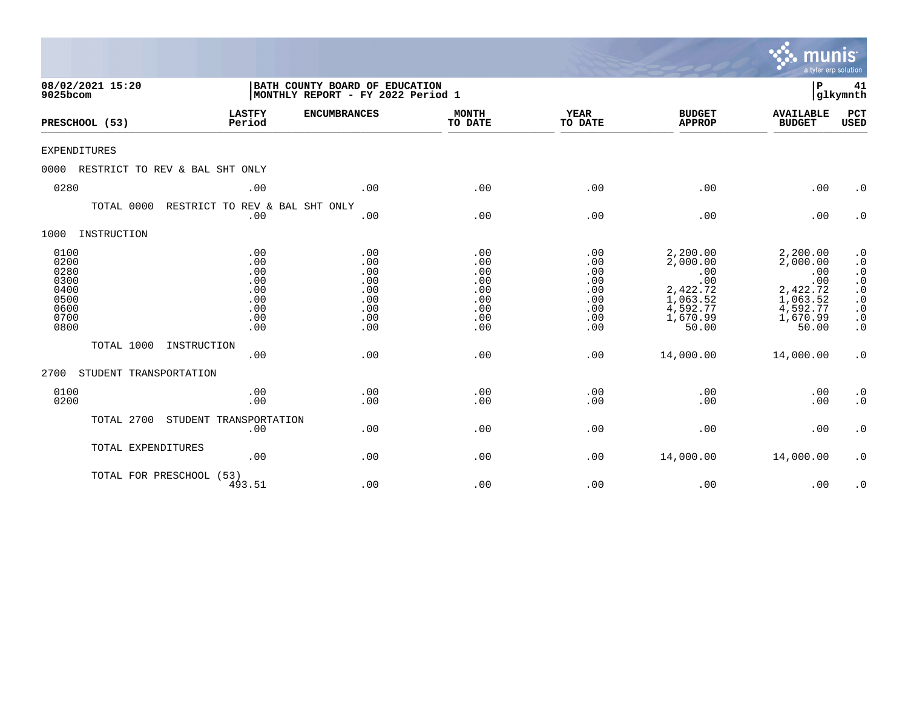|                                                                      |                                                             |                                                                     |                                                             |                                                             |                                                                                             | <b>munis</b><br>a tyler erp solution                                                        |                                                                                                                                                                                |
|----------------------------------------------------------------------|-------------------------------------------------------------|---------------------------------------------------------------------|-------------------------------------------------------------|-------------------------------------------------------------|---------------------------------------------------------------------------------------------|---------------------------------------------------------------------------------------------|--------------------------------------------------------------------------------------------------------------------------------------------------------------------------------|
| 08/02/2021 15:20<br>9025bcom                                         |                                                             | BATH COUNTY BOARD OF EDUCATION<br>MONTHLY REPORT - FY 2022 Period 1 |                                                             |                                                             |                                                                                             | P                                                                                           | 41<br>glkymnth                                                                                                                                                                 |
| PRESCHOOL (53)                                                       | <b>LASTFY</b><br>Period                                     | <b>ENCUMBRANCES</b>                                                 | <b>MONTH</b><br>TO DATE                                     | YEAR<br>TO DATE                                             | <b>BUDGET</b><br><b>APPROP</b>                                                              | <b>AVAILABLE</b><br><b>BUDGET</b>                                                           | PCT<br><b>USED</b>                                                                                                                                                             |
| <b>EXPENDITURES</b>                                                  |                                                             |                                                                     |                                                             |                                                             |                                                                                             |                                                                                             |                                                                                                                                                                                |
| 0000                                                                 | RESTRICT TO REV & BAL SHT ONLY                              |                                                                     |                                                             |                                                             |                                                                                             |                                                                                             |                                                                                                                                                                                |
| 0280                                                                 | .00                                                         | .00                                                                 | .00                                                         | .00                                                         | .00                                                                                         | .00                                                                                         | $\cdot$ 0                                                                                                                                                                      |
| TOTAL 0000                                                           | RESTRICT TO REV & BAL SHT ONLY<br>.00                       | .00                                                                 | .00                                                         | .00                                                         | .00                                                                                         | .00                                                                                         | $\cdot$ 0                                                                                                                                                                      |
| 1000<br>INSTRUCTION                                                  |                                                             |                                                                     |                                                             |                                                             |                                                                                             |                                                                                             |                                                                                                                                                                                |
| 0100<br>0200<br>0280<br>0300<br>0400<br>0500<br>0600<br>0700<br>0800 | .00<br>.00<br>.00<br>.00<br>.00<br>.00<br>.00<br>.00<br>.00 | .00<br>.00<br>.00<br>.00<br>.00<br>.00<br>.00<br>.00<br>.00         | .00<br>.00<br>.00<br>.00<br>.00<br>.00<br>.00<br>.00<br>.00 | .00<br>.00<br>.00<br>.00<br>.00<br>.00<br>.00<br>.00<br>.00 | 2,200.00<br>2,000.00<br>.00<br>.00<br>2,422.72<br>1,063.52<br>4,592.77<br>1,670.99<br>50.00 | 2,200.00<br>2,000.00<br>.00<br>.00<br>2,422.72<br>1,063.52<br>4,592.77<br>1,670.99<br>50.00 | $\cdot$ 0<br>$\cdot$ 0<br>$\boldsymbol{\cdot}$ 0<br>$\cdot$ 0<br>$\begin{matrix} . & 0 \\ . & 0 \end{matrix}$<br>$\boldsymbol{\cdot}$ 0<br>$\boldsymbol{\cdot}$ 0<br>$\cdot$ 0 |
| TOTAL 1000                                                           | INSTRUCTION<br>.00                                          | .00                                                                 | .00                                                         | .00                                                         | 14,000.00                                                                                   | 14,000.00                                                                                   | $\cdot$ 0                                                                                                                                                                      |
| 2700                                                                 | STUDENT TRANSPORTATION                                      |                                                                     |                                                             |                                                             |                                                                                             |                                                                                             |                                                                                                                                                                                |
| 0100<br>0200                                                         | .00<br>.00                                                  | .00<br>.00                                                          | .00<br>.00                                                  | .00<br>.00                                                  | .00<br>.00                                                                                  | .00<br>.00                                                                                  | $\cdot$ 0<br>$\cdot$ 0                                                                                                                                                         |
| TOTAL 2700                                                           | STUDENT TRANSPORTATION<br>.00                               | .00                                                                 | .00                                                         | .00                                                         | .00                                                                                         | .00                                                                                         | $\cdot$ 0                                                                                                                                                                      |
|                                                                      | TOTAL EXPENDITURES<br>.00                                   | .00                                                                 | .00                                                         | .00                                                         | 14,000.00                                                                                   | 14,000.00                                                                                   | $\cdot$ 0                                                                                                                                                                      |
|                                                                      | TOTAL FOR PRESCHOOL (53)<br>493.51                          | .00                                                                 | .00                                                         | .00                                                         | .00                                                                                         | .00                                                                                         | $\cdot$ 0                                                                                                                                                                      |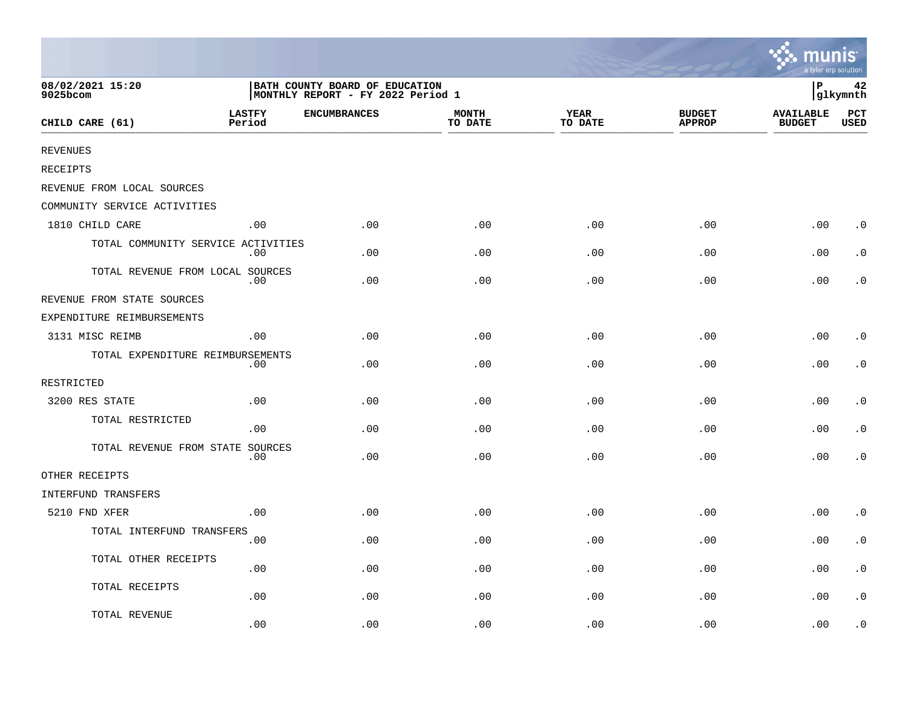|                                    |                         |                                                                     |                         |                        |                                | <b>A.</b> munis<br>a tyler erp solution |                    |
|------------------------------------|-------------------------|---------------------------------------------------------------------|-------------------------|------------------------|--------------------------------|-----------------------------------------|--------------------|
| 08/02/2021 15:20<br>9025bcom       |                         | BATH COUNTY BOARD OF EDUCATION<br>MONTHLY REPORT - FY 2022 Period 1 |                         |                        |                                | ∣P                                      | 42<br>glkymnth     |
| CHILD CARE (61)                    | <b>LASTFY</b><br>Period | <b>ENCUMBRANCES</b>                                                 | <b>MONTH</b><br>TO DATE | <b>YEAR</b><br>TO DATE | <b>BUDGET</b><br><b>APPROP</b> | <b>AVAILABLE</b><br><b>BUDGET</b>       | PCT<br><b>USED</b> |
| <b>REVENUES</b>                    |                         |                                                                     |                         |                        |                                |                                         |                    |
| RECEIPTS                           |                         |                                                                     |                         |                        |                                |                                         |                    |
| REVENUE FROM LOCAL SOURCES         |                         |                                                                     |                         |                        |                                |                                         |                    |
| COMMUNITY SERVICE ACTIVITIES       |                         |                                                                     |                         |                        |                                |                                         |                    |
| 1810 CHILD CARE                    | .00                     | .00                                                                 | .00                     | .00                    | .00                            | .00                                     | $\cdot$ 0          |
| TOTAL COMMUNITY SERVICE ACTIVITIES | .00                     | .00                                                                 | .00                     | .00                    | .00                            | .00                                     | $\cdot$ 0          |
| TOTAL REVENUE FROM LOCAL SOURCES   | .00                     | .00                                                                 | .00                     | .00                    | .00                            | .00                                     | . 0                |
| REVENUE FROM STATE SOURCES         |                         |                                                                     |                         |                        |                                |                                         |                    |
| EXPENDITURE REIMBURSEMENTS         |                         |                                                                     |                         |                        |                                |                                         |                    |
| 3131 MISC REIMB                    | .00                     | .00                                                                 | .00                     | .00                    | .00                            | .00                                     | $\cdot$ 0          |
| TOTAL EXPENDITURE REIMBURSEMENTS   | .00                     | .00                                                                 | .00                     | .00                    | .00                            | .00                                     | $\cdot$ 0          |
| RESTRICTED                         |                         |                                                                     |                         |                        |                                |                                         |                    |
| 3200 RES STATE                     | .00                     | .00                                                                 | .00                     | .00                    | .00                            | .00                                     | $\cdot$ 0          |
| TOTAL RESTRICTED                   | .00                     | .00                                                                 | .00                     | .00                    | .00                            | .00                                     | $\cdot$ 0          |
| TOTAL REVENUE FROM STATE SOURCES   | $.00 \,$                | .00                                                                 | .00                     | .00                    | .00                            | .00                                     | $\cdot$ 0          |
| OTHER RECEIPTS                     |                         |                                                                     |                         |                        |                                |                                         |                    |
| INTERFUND TRANSFERS                |                         |                                                                     |                         |                        |                                |                                         |                    |
| 5210 FND XFER                      | .00                     | .00                                                                 | .00                     | .00                    | .00                            | .00                                     | $\cdot$ 0          |
| TOTAL INTERFUND TRANSFERS          | .00                     | .00                                                                 | .00                     | .00                    | .00                            | .00                                     | $\cdot$ 0          |
| TOTAL OTHER RECEIPTS               | .00                     | .00                                                                 | .00                     | .00                    | .00                            | .00                                     | $\cdot$ 0          |
| TOTAL RECEIPTS                     | .00                     | .00                                                                 | .00                     | .00                    | .00                            | .00                                     | $\cdot$ 0          |
| TOTAL REVENUE                      | .00                     | .00                                                                 | .00                     | .00                    | .00                            | .00                                     | $\cdot$ 0          |

the contract of the contract of the contract of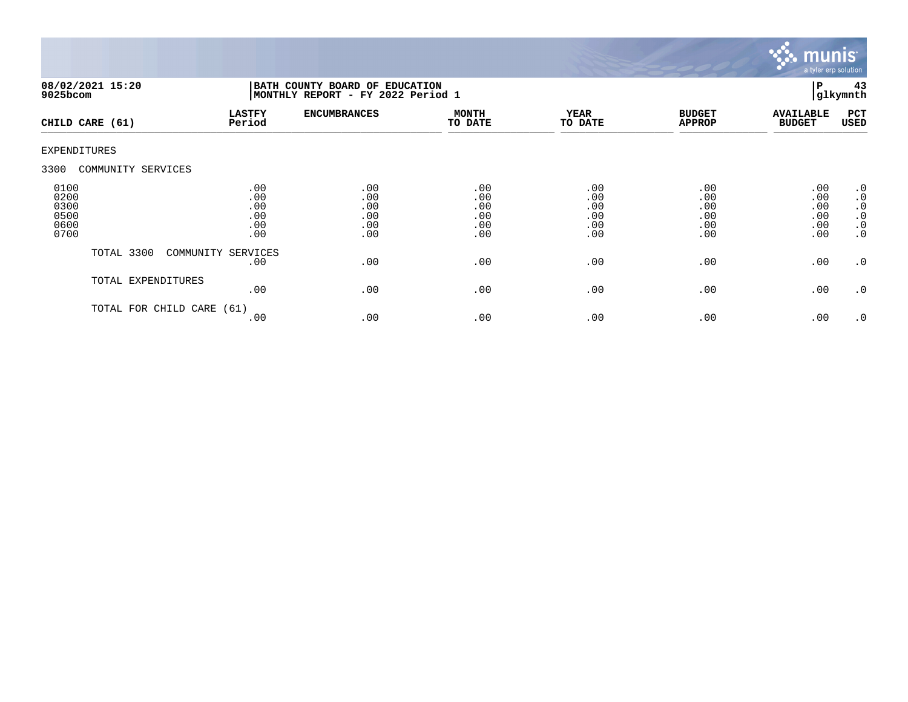

| 9025bcom                                     | 08/02/2021 15:20     | BATH COUNTY BOARD OF EDUCATION<br> MONTHLY REPORT - FY 2022 Period 1 |                                        |                                        |                                        |                                        |                                        | 43<br>glkymnth                                                      |
|----------------------------------------------|----------------------|----------------------------------------------------------------------|----------------------------------------|----------------------------------------|----------------------------------------|----------------------------------------|----------------------------------------|---------------------------------------------------------------------|
|                                              | CHILD CARE (61)      | <b>LASTFY</b><br>Period                                              | <b>ENCUMBRANCES</b>                    | <b>MONTH</b><br>TO DATE                | YEAR<br>TO DATE                        | <b>BUDGET</b><br><b>APPROP</b>         | <b>AVAILABLE</b><br><b>BUDGET</b>      | PCT<br>USED                                                         |
| <b>EXPENDITURES</b>                          |                      |                                                                      |                                        |                                        |                                        |                                        |                                        |                                                                     |
| 3300                                         | COMMUNITY SERVICES   |                                                                      |                                        |                                        |                                        |                                        |                                        |                                                                     |
| 0100<br>0200<br>0300<br>0500<br>0600<br>0700 |                      | .00<br>.00<br>.00<br>.00<br>.00<br>.00                               | .00<br>.00<br>.00<br>.00<br>.00<br>.00 | .00<br>.00<br>.00<br>.00<br>.00<br>.00 | .00<br>.00<br>.00<br>.00<br>.00<br>.00 | .00<br>.00<br>.00<br>.00<br>.00<br>.00 | .00<br>.00<br>.00<br>.00<br>.00<br>.00 | .0<br>$\cdot$ 0<br>$\cdot$ 0<br>$\cdot$ 0<br>$\cdot$ 0<br>$\cdot$ 0 |
|                                              | TOTAL 3300           | COMMUNITY SERVICES<br>.00                                            | .00                                    | .00                                    | .00                                    | .00                                    | .00                                    | .0                                                                  |
|                                              | TOTAL EXPENDITURES   | .00                                                                  | .00                                    | .00                                    | .00                                    | .00                                    | .00                                    | .0                                                                  |
|                                              | TOTAL FOR CHILD CARE | (61)<br>.00                                                          | .00                                    | .00                                    | .00                                    | .00                                    | .00                                    | .0                                                                  |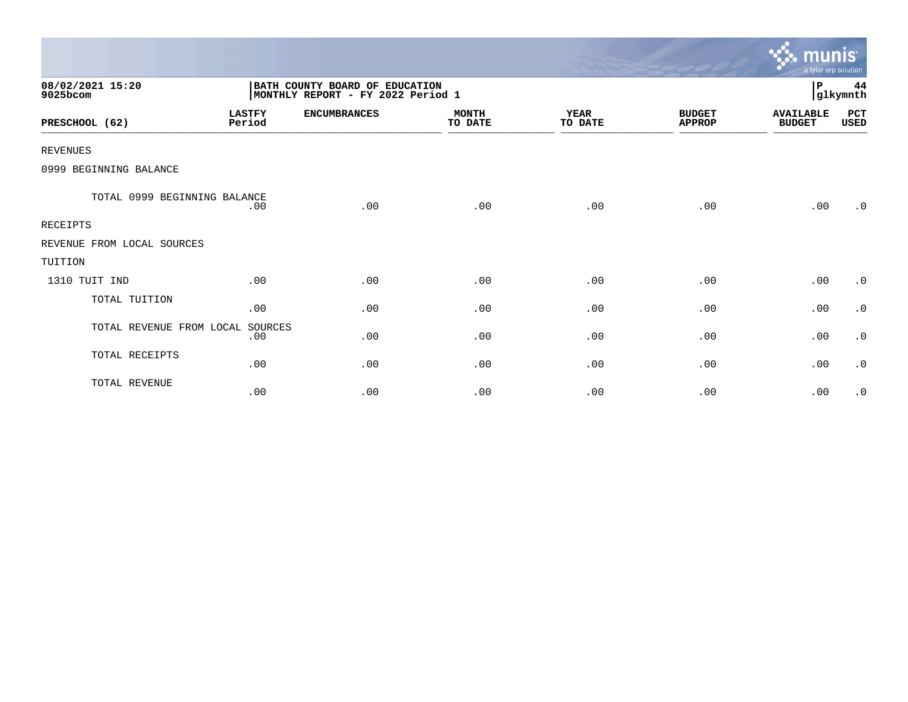|                              |                         |                                                                     |                         |                        |                                | munis <sup>.</sup><br>a tyler erp solution |                |
|------------------------------|-------------------------|---------------------------------------------------------------------|-------------------------|------------------------|--------------------------------|--------------------------------------------|----------------|
| 08/02/2021 15:20<br>9025bcom |                         | BATH COUNTY BOARD OF EDUCATION<br>MONTHLY REPORT - FY 2022 Period 1 |                         |                        |                                | $\, {\bf P}$                               | 44<br>glkymnth |
| PRESCHOOL (62)               | <b>LASTFY</b><br>Period | <b>ENCUMBRANCES</b>                                                 | <b>MONTH</b><br>TO DATE | <b>YEAR</b><br>TO DATE | <b>BUDGET</b><br><b>APPROP</b> | <b>AVAILABLE</b><br><b>BUDGET</b>          | PCT<br>USED    |
| <b>REVENUES</b>              |                         |                                                                     |                         |                        |                                |                                            |                |
| 0999 BEGINNING BALANCE       |                         |                                                                     |                         |                        |                                |                                            |                |
| TOTAL 0999 BEGINNING BALANCE | .00                     | .00                                                                 | .00                     | .00                    | .00                            | .00                                        | $\cdot$ 0      |
| <b>RECEIPTS</b>              |                         |                                                                     |                         |                        |                                |                                            |                |
| REVENUE FROM LOCAL SOURCES   |                         |                                                                     |                         |                        |                                |                                            |                |
| TUITION                      |                         |                                                                     |                         |                        |                                |                                            |                |
| 1310 TUIT IND                | .00                     | .00                                                                 | .00                     | .00                    | .00                            | .00                                        | $\cdot$ 0      |
| TOTAL TUITION                | .00                     | .00                                                                 | .00                     | .00                    | .00                            | .00                                        | $\cdot$ 0      |
| TOTAL REVENUE FROM LOCAL     | SOURCES<br>.00          | .00                                                                 | .00                     | .00                    | .00                            | .00                                        | $\cdot$ 0      |
| TOTAL RECEIPTS               | .00                     | .00                                                                 | .00                     | .00                    | .00                            | .00                                        | $\cdot$ 0      |
| TOTAL REVENUE                | .00                     | .00                                                                 | .00                     | .00                    | .00                            | .00                                        | $\cdot$ 0      |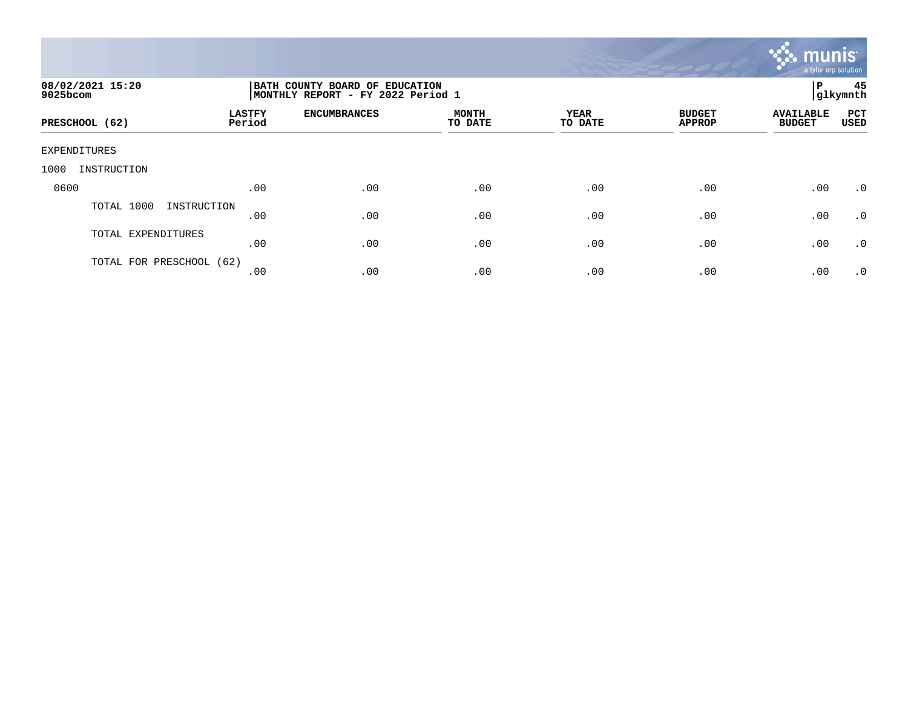

| 08/02/2021 15:20<br>9025bcom |                         | BATH COUNTY BOARD OF EDUCATION<br>MONTHLY REPORT - FY 2022 Period 1 |                  |                 |                                |                                   |                    |  |
|------------------------------|-------------------------|---------------------------------------------------------------------|------------------|-----------------|--------------------------------|-----------------------------------|--------------------|--|
| PRESCHOOL (62)               | <b>LASTFY</b><br>Period | <b>ENCUMBRANCES</b>                                                 | MONTH<br>TO DATE | YEAR<br>TO DATE | <b>BUDGET</b><br><b>APPROP</b> | <b>AVAILABLE</b><br><b>BUDGET</b> | PCT<br><b>USED</b> |  |
| EXPENDITURES                 |                         |                                                                     |                  |                 |                                |                                   |                    |  |
| 1000<br>INSTRUCTION          |                         |                                                                     |                  |                 |                                |                                   |                    |  |
| 0600                         | .00                     | .00                                                                 | .00              | .00             | .00                            | .00                               | $\cdot$ 0          |  |
| TOTAL 1000<br>INSTRUCTION    | .00                     | .00                                                                 | .00              | .00             | .00                            | .00                               | $\cdot$ 0          |  |
| TOTAL EXPENDITURES           | .00                     | .00                                                                 | .00              | .00             | .00                            | .00                               | $\cdot$ 0          |  |
| TOTAL FOR PRESCHOOL (62)     | .00                     | .00                                                                 | .00              | .00             | .00                            | .00                               | $\cdot$ 0          |  |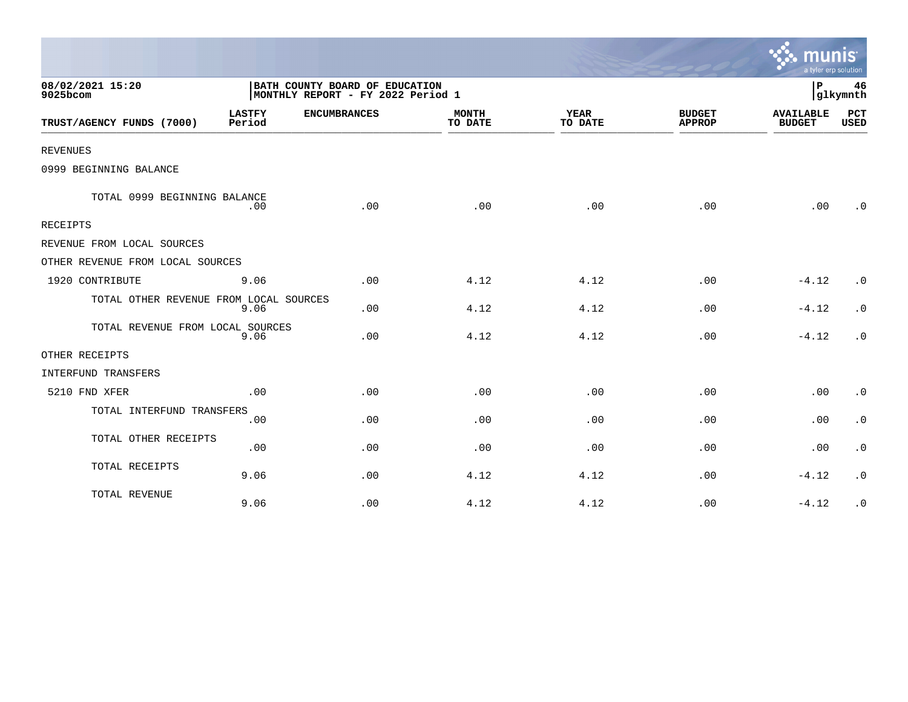|                                        |                         |                                                                     |                         |                        |                                | a tyler erp solution              |                        |
|----------------------------------------|-------------------------|---------------------------------------------------------------------|-------------------------|------------------------|--------------------------------|-----------------------------------|------------------------|
| 08/02/2021 15:20<br>9025bcom           |                         | BATH COUNTY BOARD OF EDUCATION<br>MONTHLY REPORT - FY 2022 Period 1 |                         |                        |                                | ΙP                                | 46<br> glkymnth        |
| TRUST/AGENCY FUNDS (7000)              | <b>LASTFY</b><br>Period | <b>ENCUMBRANCES</b>                                                 | <b>MONTH</b><br>TO DATE | <b>YEAR</b><br>TO DATE | <b>BUDGET</b><br><b>APPROP</b> | <b>AVAILABLE</b><br><b>BUDGET</b> | PCT<br><b>USED</b>     |
| <b>REVENUES</b>                        |                         |                                                                     |                         |                        |                                |                                   |                        |
| 0999 BEGINNING BALANCE                 |                         |                                                                     |                         |                        |                                |                                   |                        |
| TOTAL 0999 BEGINNING BALANCE           | .00                     | .00                                                                 | .00                     | .00                    | .00                            | .00                               | $\cdot$ 0              |
| RECEIPTS                               |                         |                                                                     |                         |                        |                                |                                   |                        |
| REVENUE FROM LOCAL SOURCES             |                         |                                                                     |                         |                        |                                |                                   |                        |
| OTHER REVENUE FROM LOCAL SOURCES       |                         |                                                                     |                         |                        |                                |                                   |                        |
| 1920 CONTRIBUTE                        | 9.06                    | .00                                                                 | 4.12                    | 4.12                   | .00                            | $-4.12$                           | .0                     |
| TOTAL OTHER REVENUE FROM LOCAL SOURCES | 9.06                    | .00                                                                 | 4.12                    | 4.12                   | .00                            | $-4.12$                           | $\cdot$ 0              |
| TOTAL REVENUE FROM LOCAL SOURCES       | 9.06                    | .00                                                                 | 4.12                    | 4.12                   | .00                            | $-4.12$                           | $\cdot$ 0              |
| OTHER RECEIPTS                         |                         |                                                                     |                         |                        |                                |                                   |                        |
| <b>INTERFUND TRANSFERS</b>             |                         |                                                                     |                         |                        |                                |                                   |                        |
| 5210 FND XFER                          | .00                     | .00                                                                 | .00                     | .00                    | .00                            | .00                               | $\cdot$ 0              |
| TOTAL INTERFUND TRANSFERS              | .00                     | .00                                                                 | .00                     | .00                    | .00                            | .00                               | $\boldsymbol{\cdot}$ 0 |
| TOTAL OTHER RECEIPTS                   | .00                     | .00                                                                 | .00                     | .00                    | .00                            | .00                               | $\cdot$ 0              |
| TOTAL RECEIPTS                         | 9.06                    | .00                                                                 | 4.12                    | 4.12                   | .00                            | $-4.12$                           | $\cdot$ 0              |
| TOTAL REVENUE                          | 9.06                    | .00                                                                 | 4.12                    | 4.12                   | .00                            | $-4.12$                           | $\cdot$ 0              |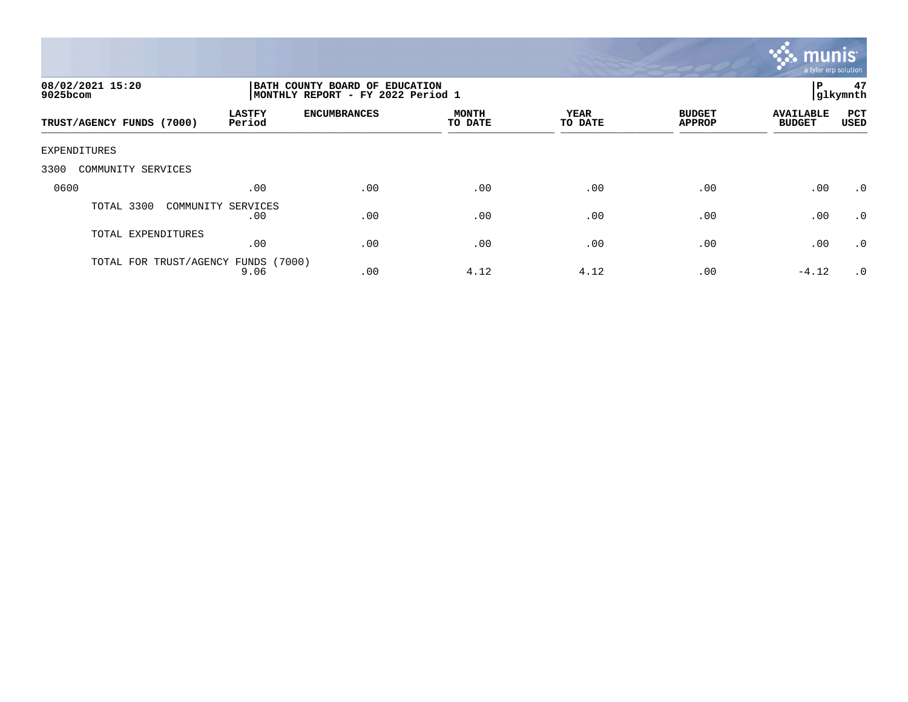

| 08/02/2021 15:20<br>9025bcom     |                         | P<br>BATH COUNTY BOARD OF EDUCATION<br>MONTHLY REPORT - FY 2022 Period 1<br> glkymnth |                         |                 |                                |                                   |             |  |
|----------------------------------|-------------------------|---------------------------------------------------------------------------------------|-------------------------|-----------------|--------------------------------|-----------------------------------|-------------|--|
| TRUST/AGENCY FUNDS (7000)        | <b>LASTFY</b><br>Period | <b>ENCUMBRANCES</b>                                                                   | <b>MONTH</b><br>TO DATE | YEAR<br>TO DATE | <b>BUDGET</b><br><b>APPROP</b> | <b>AVAILABLE</b><br><b>BUDGET</b> | PCT<br>USED |  |
| EXPENDITURES                     |                         |                                                                                       |                         |                 |                                |                                   |             |  |
| 3300<br>COMMUNITY SERVICES       |                         |                                                                                       |                         |                 |                                |                                   |             |  |
| 0600                             | .00                     | .00                                                                                   | .00                     | .00             | .00                            | .00                               | $\cdot$ 0   |  |
| TOTAL 3300<br>COMMUNITY SERVICES | .00                     | .00                                                                                   | .00                     | .00             | .00                            | .00                               | $\cdot$ 0   |  |
| TOTAL EXPENDITURES               | .00                     | .00                                                                                   | .00                     | .00             | .00                            | .00                               | $\cdot$ 0   |  |
| TOTAL FOR TRUST/AGENCY           | (7000)<br>FUNDS<br>9.06 | .00                                                                                   | 4.12                    | 4.12            | .00                            | $-4.12$                           | $\cdot$ 0   |  |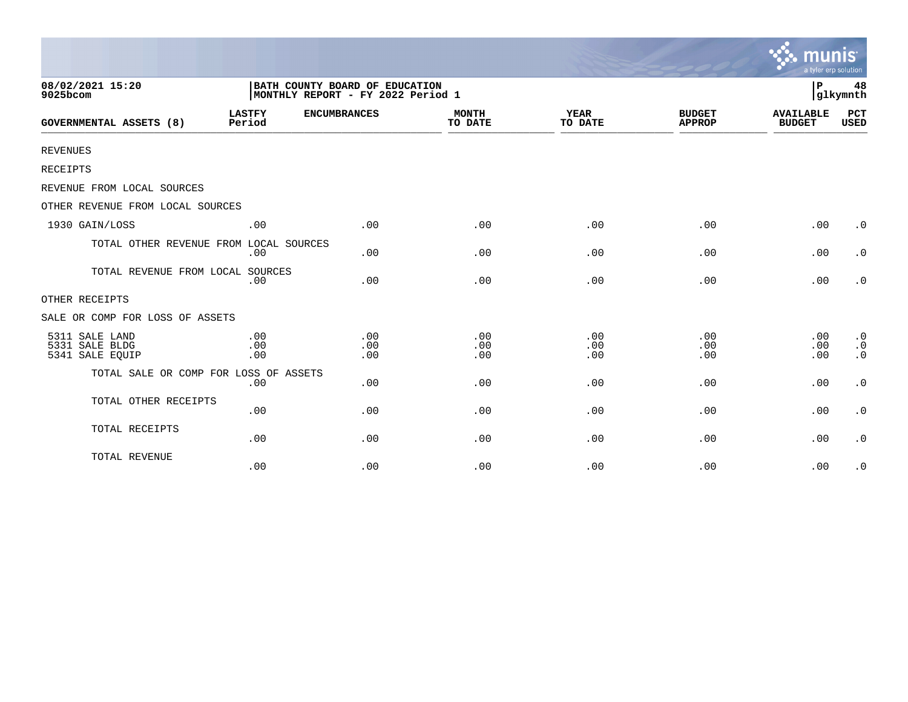|                                                     |                                                                     |                   |                         |                        |                                | munis<br>a tyler erp solution     |                                                  |
|-----------------------------------------------------|---------------------------------------------------------------------|-------------------|-------------------------|------------------------|--------------------------------|-----------------------------------|--------------------------------------------------|
| 08/02/2021 15:20<br>9025bcom                        | BATH COUNTY BOARD OF EDUCATION<br>MONTHLY REPORT - FY 2022 Period 1 |                   |                         |                        |                                | P                                 | 48<br>glkymnth                                   |
| <b>GOVERNMENTAL ASSETS (8)</b>                      | <b>LASTFY</b><br><b>ENCUMBRANCES</b><br>Period                      |                   | <b>MONTH</b><br>TO DATE | <b>YEAR</b><br>TO DATE | <b>BUDGET</b><br><b>APPROP</b> | <b>AVAILABLE</b><br><b>BUDGET</b> | PCT<br><b>USED</b>                               |
| <b>REVENUES</b>                                     |                                                                     |                   |                         |                        |                                |                                   |                                                  |
| RECEIPTS                                            |                                                                     |                   |                         |                        |                                |                                   |                                                  |
| REVENUE FROM LOCAL SOURCES                          |                                                                     |                   |                         |                        |                                |                                   |                                                  |
| OTHER REVENUE FROM LOCAL SOURCES                    |                                                                     |                   |                         |                        |                                |                                   |                                                  |
| 1930 GAIN/LOSS                                      | .00                                                                 | .00               | .00                     | .00                    | .00                            | .00                               | $\cdot$ 0                                        |
| TOTAL OTHER REVENUE FROM LOCAL SOURCES              | .00                                                                 | .00               | .00                     | .00                    | .00                            | .00                               | $\cdot$ 0                                        |
| TOTAL REVENUE FROM LOCAL SOURCES                    | .00                                                                 | .00               | .00                     | .00                    | .00                            | .00                               | $\cdot$ 0                                        |
| OTHER RECEIPTS                                      |                                                                     |                   |                         |                        |                                |                                   |                                                  |
| SALE OR COMP FOR LOSS OF ASSETS                     |                                                                     |                   |                         |                        |                                |                                   |                                                  |
| 5311 SALE LAND<br>5331 SALE BLDG<br>5341 SALE EQUIP | .00<br>.00<br>.00                                                   | .00<br>.00<br>.00 | .00<br>.00<br>.00       | .00<br>.00<br>.00      | .00<br>.00<br>.00              | .00<br>.00<br>.00                 | $\boldsymbol{\cdot}$ 0<br>$\cdot$ 0<br>$\cdot$ 0 |
| TOTAL SALE OR COMP FOR LOSS OF ASSETS               | .00                                                                 | .00               | .00                     | .00                    | .00                            | .00                               | $\boldsymbol{\cdot}$ 0                           |
| TOTAL OTHER RECEIPTS                                | .00                                                                 | .00               | .00                     | .00                    | .00                            | .00                               | $\boldsymbol{\cdot}$ 0                           |
| TOTAL RECEIPTS                                      | .00                                                                 | .00               | .00                     | .00                    | .00                            | .00                               | $\cdot$ 0                                        |
| TOTAL REVENUE                                       | .00                                                                 | .00               | .00                     | .00                    | .00                            | .00                               | $\cdot$ 0                                        |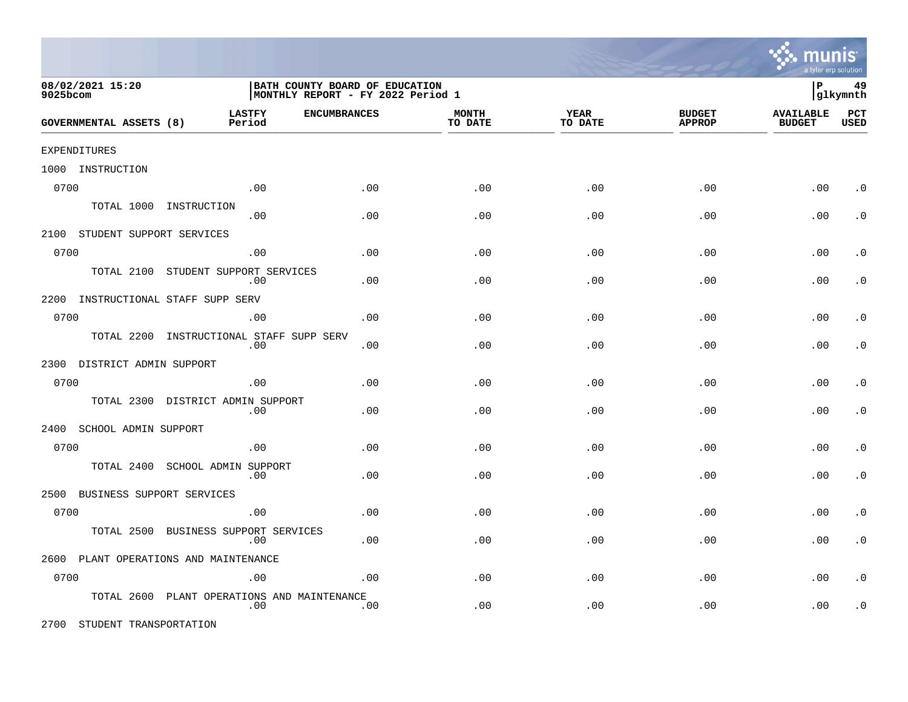

|              | 08/02/2021 15:20<br>9025bcom   |                                       | BATH COUNTY BOARD OF EDUCATION<br>  MONTHLY REPORT - FY 2022 Period 1 |                     |                         |                        |                                | 49<br>∣P<br> glkymnth             |                    |  |
|--------------|--------------------------------|---------------------------------------|-----------------------------------------------------------------------|---------------------|-------------------------|------------------------|--------------------------------|-----------------------------------|--------------------|--|
|              | <b>GOVERNMENTAL ASSETS (8)</b> | <b>LASTFY</b>                         | Period                                                                | <b>ENCUMBRANCES</b> | <b>MONTH</b><br>TO DATE | <b>YEAR</b><br>TO DATE | <b>BUDGET</b><br><b>APPROP</b> | <b>AVAILABLE</b><br><b>BUDGET</b> | PCT<br><b>USED</b> |  |
| EXPENDITURES |                                |                                       |                                                                       |                     |                         |                        |                                |                                   |                    |  |
|              | 1000 INSTRUCTION               |                                       |                                                                       |                     |                         |                        |                                |                                   |                    |  |
| 0700         |                                |                                       | .00                                                                   | .00                 | .00                     | .00                    | .00                            | .00                               | $\cdot$ 0          |  |
|              | TOTAL 1000                     | INSTRUCTION                           | .00                                                                   | .00                 | .00                     | .00                    | .00                            | .00                               | $\cdot$ 0          |  |
|              | 2100 STUDENT SUPPORT SERVICES  |                                       |                                                                       |                     |                         |                        |                                |                                   |                    |  |
| 0700         |                                |                                       | .00                                                                   | .00                 | .00                     | .00                    | .00                            | .00                               | $\cdot$ 0          |  |
|              | TOTAL 2100                     | STUDENT SUPPORT SERVICES              | .00                                                                   | .00                 | .00                     | .00                    | .00                            | .00                               | $\cdot$ 0          |  |
| 2200         |                                | INSTRUCTIONAL STAFF SUPP SERV         |                                                                       |                     |                         |                        |                                |                                   |                    |  |
| 0700         |                                |                                       | .00                                                                   | .00                 | .00                     | .00                    | .00                            | .00                               | $\cdot$ 0          |  |
|              | TOTAL 2200                     |                                       | INSTRUCTIONAL STAFF SUPP SERV<br>.00                                  | .00                 | .00                     | .00                    | .00                            | .00                               | $\cdot$ 0          |  |
|              | 2300 DISTRICT ADMIN SUPPORT    |                                       |                                                                       |                     |                         |                        |                                |                                   |                    |  |
| 0700         |                                |                                       | .00                                                                   | .00                 | .00                     | .00                    | .00                            | .00                               | $\cdot$ 0          |  |
|              |                                | TOTAL 2300 DISTRICT ADMIN SUPPORT     | .00                                                                   | .00                 | .00                     | .00                    | .00                            | .00                               | $\cdot$ 0          |  |
|              | 2400 SCHOOL ADMIN SUPPORT      |                                       |                                                                       |                     |                         |                        |                                |                                   |                    |  |
| 0700         |                                |                                       | .00                                                                   | .00                 | .00                     | .00                    | .00                            | .00                               | $\cdot$ 0          |  |
|              | TOTAL 2400                     | SCHOOL ADMIN SUPPORT                  | .00                                                                   | .00                 | .00                     | .00                    | .00                            | .00                               | $\cdot$ 0          |  |
| 2500         |                                | BUSINESS SUPPORT SERVICES             |                                                                       |                     |                         |                        |                                |                                   |                    |  |
| 0700         |                                |                                       | .00                                                                   | .00                 | .00                     | .00                    | .00                            | .00                               | $\cdot$ 0          |  |
|              | TOTAL 2500                     | BUSINESS SUPPORT SERVICES             | .00                                                                   | .00                 | .00                     | .00                    | .00                            | .00                               | $\cdot$ 0          |  |
|              |                                | 2600 PLANT OPERATIONS AND MAINTENANCE |                                                                       |                     |                         |                        |                                |                                   |                    |  |
| 0700         |                                |                                       | .00                                                                   | .00                 | .00                     | .00                    | .00                            | .00                               | $\cdot$ 0          |  |
|              | TOTAL 2600                     |                                       | PLANT OPERATIONS AND MAINTENANCE<br>.00                               | .00                 | .00                     | .00                    | .00                            | .00                               | $\cdot$ 0          |  |

2700 STUDENT TRANSPORTATION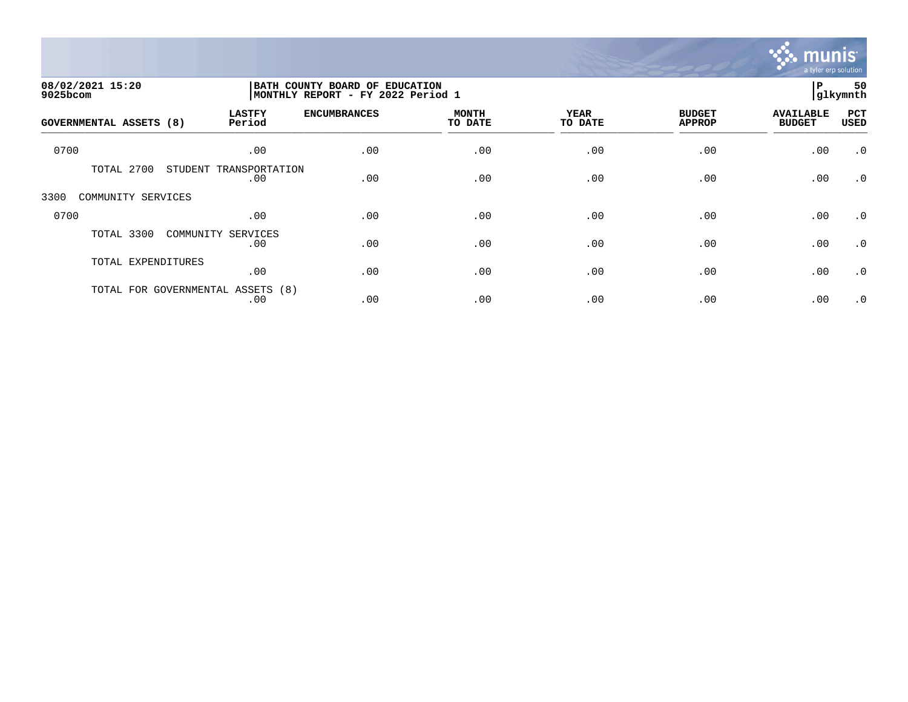

| 08/02/2021 15:20<br>9025bcom      |                               | BATH COUNTY BOARD OF EDUCATION<br>MONTHLY REPORT - FY 2022 Period 1 |                         |                        |                                |                                   |                    |
|-----------------------------------|-------------------------------|---------------------------------------------------------------------|-------------------------|------------------------|--------------------------------|-----------------------------------|--------------------|
| <b>GOVERNMENTAL ASSETS (8)</b>    | <b>LASTFY</b><br>Period       | <b>ENCUMBRANCES</b>                                                 | <b>MONTH</b><br>TO DATE | <b>YEAR</b><br>TO DATE | <b>BUDGET</b><br><b>APPROP</b> | <b>AVAILABLE</b><br><b>BUDGET</b> | PCT<br><b>USED</b> |
| 0700                              | .00                           | .00                                                                 | .00                     | .00                    | .00                            | .00                               | $\cdot$ 0          |
| TOTAL 2700                        | STUDENT TRANSPORTATION<br>.00 | .00                                                                 | .00                     | .00                    | .00                            | .00                               | $\cdot$ 0          |
| 3300<br>COMMUNITY SERVICES        |                               |                                                                     |                         |                        |                                |                                   |                    |
| 0700                              | .00                           | .00                                                                 | .00                     | .00                    | .00                            | .00                               | $\cdot$ 0          |
| TOTAL 3300                        | COMMUNITY SERVICES<br>.00     | .00                                                                 | .00                     | .00                    | .00                            | .00                               | $\cdot$ 0          |
| TOTAL EXPENDITURES                | .00                           | .00                                                                 | .00                     | .00                    | .00                            | .00                               | $\cdot$ 0          |
| TOTAL FOR GOVERNMENTAL ASSETS (8) | .00                           | .00                                                                 | .00                     | .00                    | .00                            | .00                               | $\cdot$ 0          |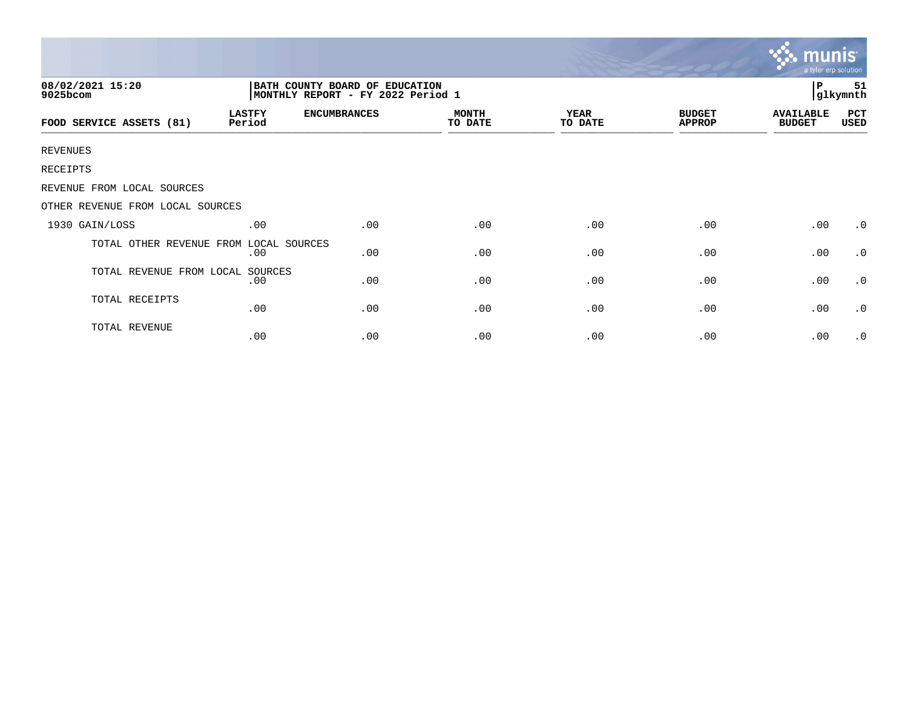|                                  |                                                                     |                     |                         |                        |                                | munis<br>a tyler erp solution     |                |
|----------------------------------|---------------------------------------------------------------------|---------------------|-------------------------|------------------------|--------------------------------|-----------------------------------|----------------|
| 08/02/2021 15:20<br>9025bcom     | BATH COUNTY BOARD OF EDUCATION<br>MONTHLY REPORT - FY 2022 Period 1 |                     |                         |                        |                                | P                                 | 51<br>glkymnth |
| FOOD SERVICE ASSETS (81)         | <b>LASTFY</b><br>Period                                             | <b>ENCUMBRANCES</b> | <b>MONTH</b><br>TO DATE | <b>YEAR</b><br>TO DATE | <b>BUDGET</b><br><b>APPROP</b> | <b>AVAILABLE</b><br><b>BUDGET</b> | PCT<br>USED    |
| <b>REVENUES</b>                  |                                                                     |                     |                         |                        |                                |                                   |                |
| RECEIPTS                         |                                                                     |                     |                         |                        |                                |                                   |                |
| REVENUE FROM LOCAL SOURCES       |                                                                     |                     |                         |                        |                                |                                   |                |
| OTHER REVENUE FROM LOCAL SOURCES |                                                                     |                     |                         |                        |                                |                                   |                |
| 1930 GAIN/LOSS                   | .00                                                                 | .00                 | .00                     | .00                    | .00                            | .00                               | $\cdot$ 0      |
| TOTAL OTHER REVENUE FROM         | LOCAL SOURCES<br>.00                                                | .00                 | .00                     | .00                    | .00                            | .00                               | $\cdot$ 0      |
| TOTAL REVENUE FROM LOCAL SOURCES | .00                                                                 | .00                 | .00                     | .00                    | .00                            | .00                               | $\cdot$ 0      |
| TOTAL RECEIPTS                   | .00                                                                 | .00                 | .00                     | .00                    | .00                            | .00                               | $\cdot$ 0      |
| TOTAL REVENUE                    | .00                                                                 | .00                 | .00                     | .00                    | .00                            | .00                               | $\cdot$ 0      |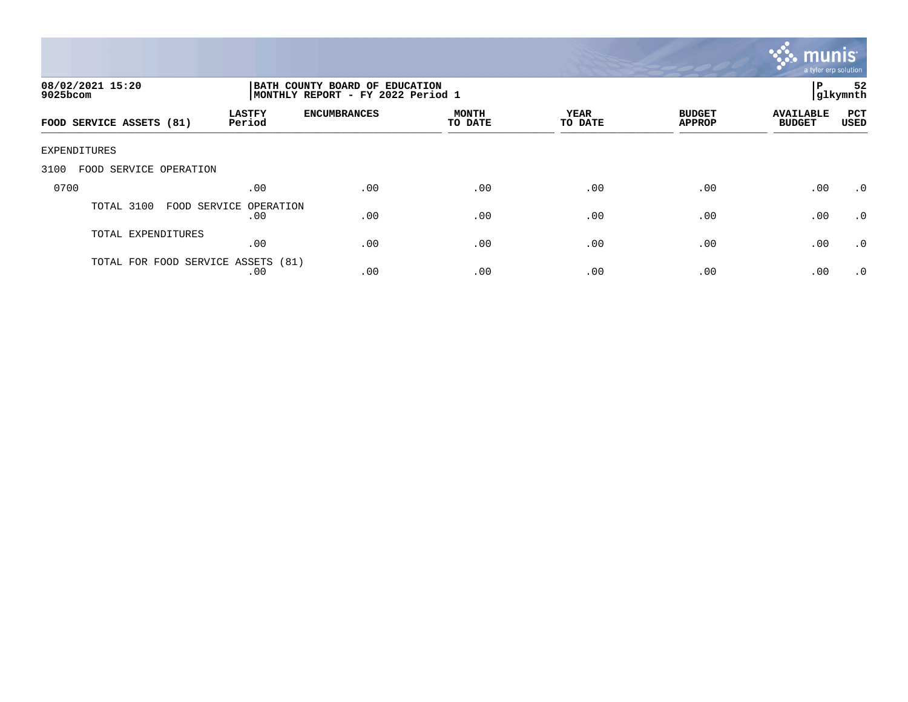

| 08/02/2021 15:20<br>$9025$ bcom    |                               | BATH COUNTY BOARD OF EDUCATION<br>MONTHLY REPORT - FY 2022 Period 1 |                         |                 |                                |                                   |                    |
|------------------------------------|-------------------------------|---------------------------------------------------------------------|-------------------------|-----------------|--------------------------------|-----------------------------------|--------------------|
| FOOD SERVICE ASSETS (81)           | <b>LASTFY</b><br>Period       | <b>ENCUMBRANCES</b>                                                 | <b>MONTH</b><br>TO DATE | YEAR<br>TO DATE | <b>BUDGET</b><br><b>APPROP</b> | <b>AVAILABLE</b><br><b>BUDGET</b> | PCT<br><b>USED</b> |
| EXPENDITURES                       |                               |                                                                     |                         |                 |                                |                                   |                    |
| 3100<br>FOOD SERVICE OPERATION     |                               |                                                                     |                         |                 |                                |                                   |                    |
| 0700                               | .00                           | .00                                                                 | .00                     | .00             | .00                            | .00                               | .0                 |
| TOTAL 3100                         | FOOD SERVICE OPERATION<br>.00 | .00                                                                 | .00                     | .00             | .00                            | .00                               | .0                 |
| TOTAL EXPENDITURES                 | .00                           | .00                                                                 | .00                     | .00             | .00                            | .00                               | $\cdot$ 0          |
| TOTAL FOR FOOD SERVICE ASSETS (81) | .00                           | .00                                                                 | .00                     | .00             | .00                            | .00                               | .0                 |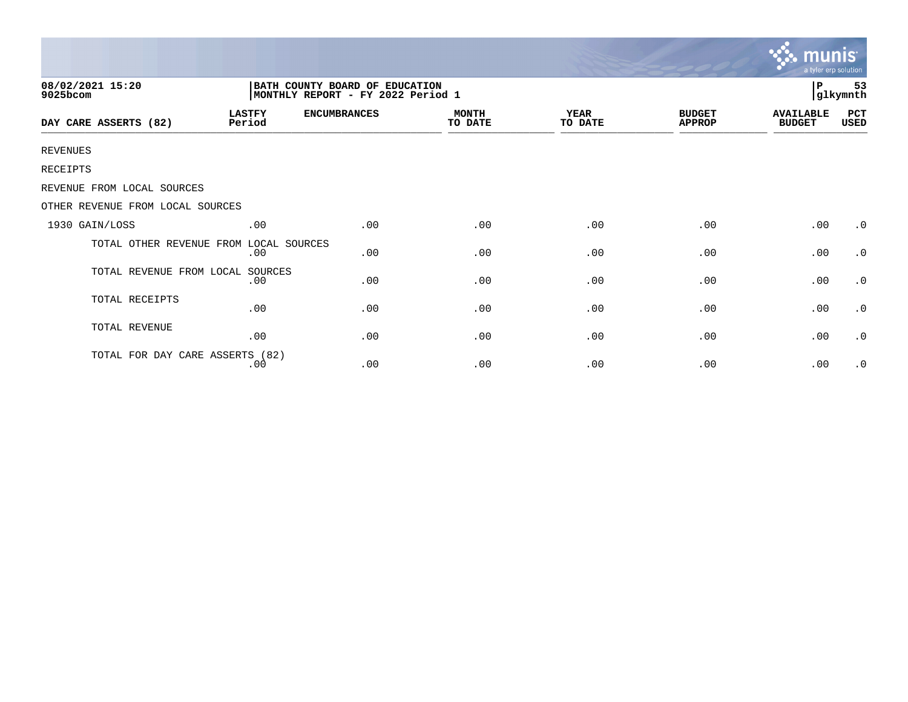|                                        |                                                                      |                     |                         |                        |                                | <b>munis</b><br>a tyler erp solution |                     |  |
|----------------------------------------|----------------------------------------------------------------------|---------------------|-------------------------|------------------------|--------------------------------|--------------------------------------|---------------------|--|
| 08/02/2021 15:20<br>9025bcom           | BATH COUNTY BOARD OF EDUCATION<br> MONTHLY REPORT - FY 2022 Period 1 |                     |                         |                        |                                |                                      | 53<br>P<br>glkymnth |  |
| DAY CARE ASSERTS (82)                  | <b>LASTFY</b><br>Period                                              | <b>ENCUMBRANCES</b> | <b>MONTH</b><br>TO DATE | <b>YEAR</b><br>TO DATE | <b>BUDGET</b><br><b>APPROP</b> | <b>AVAILABLE</b><br><b>BUDGET</b>    | PCT<br>USED         |  |
| <b>REVENUES</b>                        |                                                                      |                     |                         |                        |                                |                                      |                     |  |
| <b>RECEIPTS</b>                        |                                                                      |                     |                         |                        |                                |                                      |                     |  |
| REVENUE FROM LOCAL SOURCES             |                                                                      |                     |                         |                        |                                |                                      |                     |  |
| OTHER REVENUE FROM LOCAL SOURCES       |                                                                      |                     |                         |                        |                                |                                      |                     |  |
| 1930 GAIN/LOSS                         | .00                                                                  | .00                 | .00                     | .00                    | .00                            | .00                                  | $\cdot$ 0           |  |
| TOTAL OTHER REVENUE FROM LOCAL SOURCES | .00                                                                  | .00                 | .00                     | .00                    | .00                            | .00                                  | $\cdot$ 0           |  |
| TOTAL REVENUE FROM LOCAL               | SOURCES<br>.00                                                       | .00                 | .00                     | .00                    | .00                            | .00                                  | $\cdot$ 0           |  |
| TOTAL RECEIPTS                         | .00                                                                  | .00                 | .00                     | .00                    | .00                            | .00                                  | $\cdot$ 0           |  |
| TOTAL REVENUE                          | .00                                                                  | .00                 | .00                     | .00                    | .00                            | .00                                  | $\cdot$ 0           |  |
| TOTAL FOR DAY CARE ASSERTS (82)        | .00                                                                  | .00                 | .00                     | .00                    | .00                            | .00                                  | $\cdot$ 0           |  |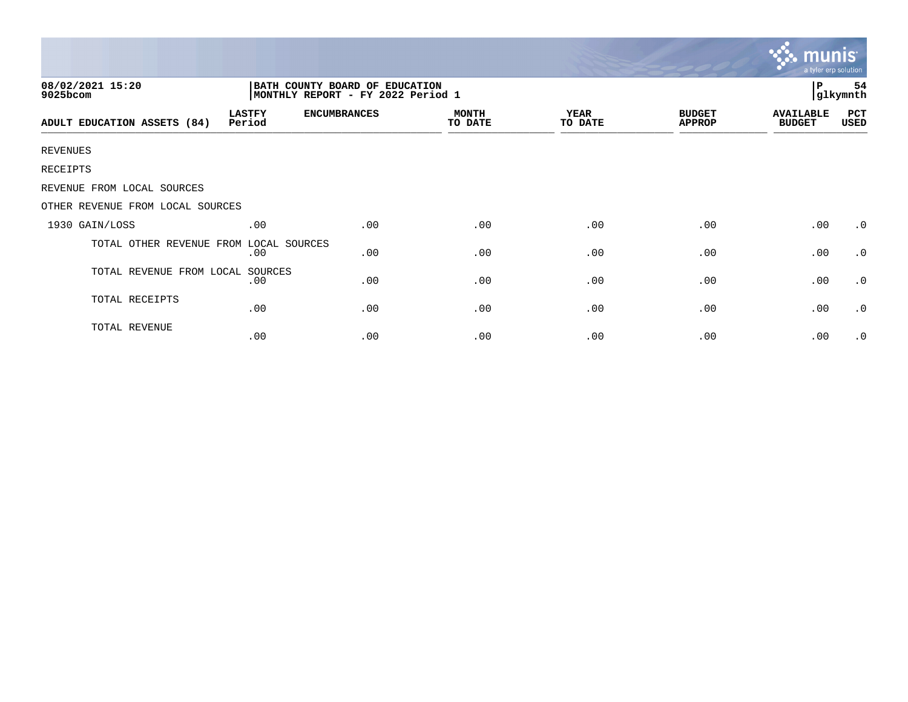|                                                                                                     |                         |                     |                         |                        |                                | <b>munis</b><br>a tyler erp solution |                     |  |  |
|-----------------------------------------------------------------------------------------------------|-------------------------|---------------------|-------------------------|------------------------|--------------------------------|--------------------------------------|---------------------|--|--|
| 08/02/2021 15:20<br>BATH COUNTY BOARD OF EDUCATION<br>MONTHLY REPORT - FY 2022 Period 1<br>9025bcom |                         |                     |                         |                        |                                |                                      | P<br>54<br>glkymnth |  |  |
| ADULT EDUCATION ASSETS (84)                                                                         | <b>LASTFY</b><br>Period | <b>ENCUMBRANCES</b> | <b>MONTH</b><br>TO DATE | <b>YEAR</b><br>TO DATE | <b>BUDGET</b><br><b>APPROP</b> | <b>AVAILABLE</b><br><b>BUDGET</b>    | PCT<br>USED         |  |  |
| <b>REVENUES</b>                                                                                     |                         |                     |                         |                        |                                |                                      |                     |  |  |
| RECEIPTS                                                                                            |                         |                     |                         |                        |                                |                                      |                     |  |  |
| REVENUE FROM LOCAL SOURCES                                                                          |                         |                     |                         |                        |                                |                                      |                     |  |  |
| OTHER REVENUE FROM LOCAL SOURCES                                                                    |                         |                     |                         |                        |                                |                                      |                     |  |  |
| 1930 GAIN/LOSS                                                                                      | .00                     | .00                 | .00                     | .00                    | .00                            | .00                                  | $\cdot$ 0           |  |  |
| TOTAL OTHER REVENUE FROM                                                                            | LOCAL SOURCES<br>.00    | .00                 | .00                     | .00                    | .00                            | .00                                  | $\cdot$ 0           |  |  |
| TOTAL REVENUE FROM LOCAL                                                                            | SOURCES<br>.00          | .00                 | .00                     | .00                    | .00                            | .00                                  | $\cdot$ 0           |  |  |
| TOTAL RECEIPTS                                                                                      | .00                     | .00                 | .00                     | .00                    | .00                            | .00                                  | $\cdot$ 0           |  |  |
| TOTAL REVENUE                                                                                       | .00                     | .00                 | .00                     | .00                    | .00                            | .00                                  | $\cdot$ 0           |  |  |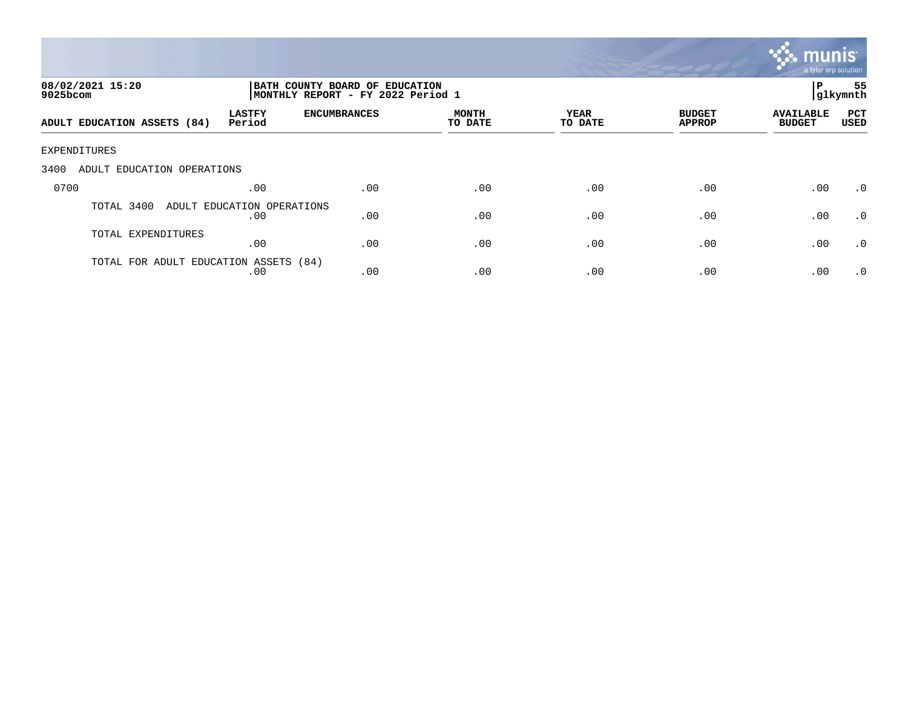

| 08/02/2021 15:20<br>9025bcom          |                                   | BATH COUNTY BOARD OF EDUCATION<br>MONTHLY REPORT - FY 2022 Period 1 |                         |                 |                                |                                   | 55<br>P<br> glkymnth |
|---------------------------------------|-----------------------------------|---------------------------------------------------------------------|-------------------------|-----------------|--------------------------------|-----------------------------------|----------------------|
| ADULT EDUCATION ASSETS (84)           | <b>LASTFY</b><br>Period           | <b>ENCUMBRANCES</b>                                                 | <b>MONTH</b><br>TO DATE | YEAR<br>TO DATE | <b>BUDGET</b><br><b>APPROP</b> | <b>AVAILABLE</b><br><b>BUDGET</b> | PCT<br><b>USED</b>   |
| EXPENDITURES                          |                                   |                                                                     |                         |                 |                                |                                   |                      |
| ADULT EDUCATION OPERATIONS<br>3400    |                                   |                                                                     |                         |                 |                                |                                   |                      |
| 0700                                  | .00                               | .00                                                                 | .00                     | .00             | .00                            | .00                               | $\cdot$ 0            |
| TOTAL 3400                            | ADULT EDUCATION OPERATIONS<br>.00 | .00                                                                 | .00                     | .00             | .00                            | .00                               | $\cdot$ 0            |
| TOTAL EXPENDITURES                    | .00                               | .00                                                                 | .00                     | .00             | .00                            | .00                               | .0                   |
| TOTAL FOR ADULT EDUCATION ASSETS (84) | .00                               | .00                                                                 | .00                     | .00             | .00                            | .00                               | $\cdot$ 0            |